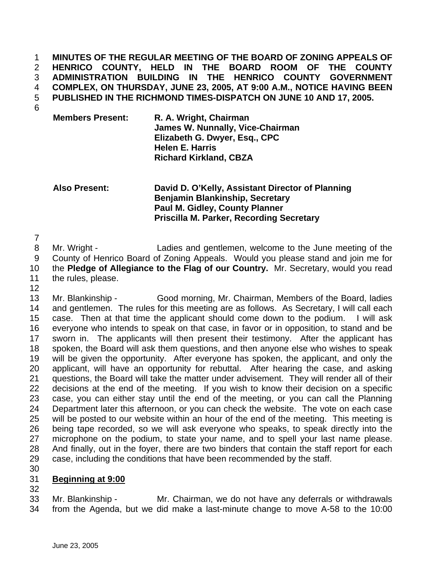**MINUTES OF THE REGULAR MEETING OF THE BOARD OF ZONING APPEALS OF HENRICO COUNTY, HELD IN THE BOARD ROOM OF THE COUNTY ADMINISTRATION BUILDING IN THE HENRICO COUNTY GOVERNMENT COMPLEX, ON THURSDAY, JUNE 23, 2005, AT 9:00 A.M., NOTICE HAVING BEEN PUBLISHED IN THE RICHMOND TIMES-DISPATCH ON JUNE 10 AND 17, 2005.** 

- 6
- **Members Present: R. A. Wright, Chairman James W. Nunnally, Vice-Chairman Elizabeth G. Dwyer, Esq., CPC Helen E. Harris Richard Kirkland, CBZA**

## **Also Present: David D. O'Kelly, Assistant Director of Planning Benjamin Blankinship, Secretary Paul M. Gidley, County Planner Priscilla M. Parker, Recording Secretary**

7

12

8 Mr. Wright - Ladies and gentlemen, welcome to the June meeting of the 9 County of Henrico Board of Zoning Appeals. Would you please stand and join me for 10 the **Pledge of Allegiance to the Flag of our Country.** Mr. Secretary, would you read 11 the rules, please.

13 Mr. Blankinship - Good morning, Mr. Chairman, Members of the Board, ladies 14 and gentlemen. The rules for this meeting are as follows. As Secretary, I will call each 15 case. Then at that time the applicant should come down to the podium. I will ask 16 everyone who intends to speak on that case, in favor or in opposition, to stand and be 17 sworn in. The applicants will then present their testimony. After the applicant has 18 spoken, the Board will ask them questions, and then anyone else who wishes to speak 19 will be given the opportunity. After everyone has spoken, the applicant, and only the 20 applicant, will have an opportunity for rebuttal. After hearing the case, and asking 21 questions, the Board will take the matter under advisement. They will render all of their 22 decisions at the end of the meeting. If you wish to know their decision on a specific 23 case, you can either stay until the end of the meeting, or you can call the Planning 24 Department later this afternoon, or you can check the website. The vote on each case 25 will be posted to our website within an hour of the end of the meeting. This meeting is 26 being tape recorded, so we will ask everyone who speaks, to speak directly into the 27 microphone on the podium, to state your name, and to spell your last name please. 28 And finally, out in the foyer, there are two binders that contain the staff report for each 29 case, including the conditions that have been recommended by the staff.

30

## 31 **Beginning at 9:00** 32

33 Mr. Blankinship - Mr. Chairman, we do not have any deferrals or withdrawals 34 from the Agenda, but we did make a last-minute change to move A-58 to the 10:00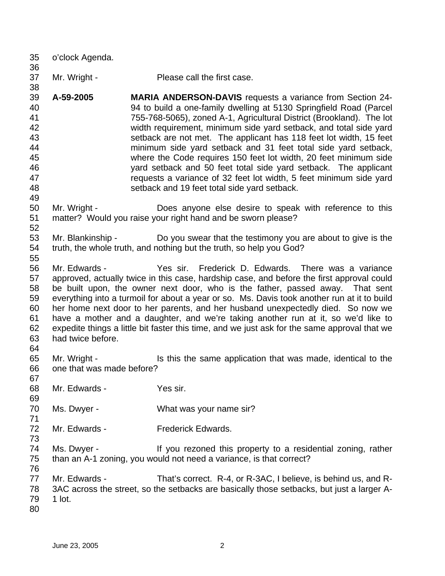| 35<br>36                                                       | o'clock Agenda.                           |                                                                                                                                                                                                                                                                                                                                                                                                                                                                                                                                                                                                                                                                                          |
|----------------------------------------------------------------|-------------------------------------------|------------------------------------------------------------------------------------------------------------------------------------------------------------------------------------------------------------------------------------------------------------------------------------------------------------------------------------------------------------------------------------------------------------------------------------------------------------------------------------------------------------------------------------------------------------------------------------------------------------------------------------------------------------------------------------------|
| 37<br>38                                                       | Mr. Wright -                              | Please call the first case.                                                                                                                                                                                                                                                                                                                                                                                                                                                                                                                                                                                                                                                              |
| 39<br>40<br>41<br>42<br>43<br>44<br>45<br>46<br>47<br>48<br>49 | A-59-2005                                 | <b>MARIA ANDERSON-DAVIS</b> requests a variance from Section 24-<br>94 to build a one-family dwelling at 5130 Springfield Road (Parcel<br>755-768-5065), zoned A-1, Agricultural District (Brookland). The lot<br>width requirement, minimum side yard setback, and total side yard<br>setback are not met. The applicant has 118 feet lot width, 15 feet<br>minimum side yard setback and 31 feet total side yard setback,<br>where the Code requires 150 feet lot width, 20 feet minimum side<br>yard setback and 50 feet total side yard setback. The applicant<br>requests a variance of 32 feet lot width, 5 feet minimum side yard<br>setback and 19 feet total side yard setback. |
| 50<br>51<br>52                                                 | Mr. Wright -                              | Does anyone else desire to speak with reference to this<br>matter? Would you raise your right hand and be sworn please?                                                                                                                                                                                                                                                                                                                                                                                                                                                                                                                                                                  |
| 53<br>54<br>55                                                 | Mr. Blankinship -                         | Do you swear that the testimony you are about to give is the<br>truth, the whole truth, and nothing but the truth, so help you God?                                                                                                                                                                                                                                                                                                                                                                                                                                                                                                                                                      |
| 56<br>57<br>58<br>59<br>60<br>61<br>62<br>63<br>64             | Mr. Edwards -<br>had twice before.        | Yes sir. Frederick D. Edwards. There was a variance<br>approved, actually twice in this case, hardship case, and before the first approval could<br>be built upon, the owner next door, who is the father, passed away. That sent<br>everything into a turmoil for about a year or so. Ms. Davis took another run at it to build<br>her home next door to her parents, and her husband unexpectedly died. So now we<br>have a mother and a daughter, and we're taking another run at it, so we'd like to<br>expedite things a little bit faster this time, and we just ask for the same approval that we                                                                                 |
| 65<br>66<br>67                                                 | Mr. Wright -<br>one that was made before? | Is this the same application that was made, identical to the                                                                                                                                                                                                                                                                                                                                                                                                                                                                                                                                                                                                                             |
| 68<br>69                                                       | Mr. Edwards -                             | Yes sir.                                                                                                                                                                                                                                                                                                                                                                                                                                                                                                                                                                                                                                                                                 |
| 70<br>71                                                       | Ms. Dwyer -                               | What was your name sir?                                                                                                                                                                                                                                                                                                                                                                                                                                                                                                                                                                                                                                                                  |
| 72<br>73                                                       | Mr. Edwards -                             | <b>Frederick Edwards.</b>                                                                                                                                                                                                                                                                                                                                                                                                                                                                                                                                                                                                                                                                |
| 74<br>75<br>76                                                 | Ms. Dwyer -                               | If you rezoned this property to a residential zoning, rather<br>than an A-1 zoning, you would not need a variance, is that correct?                                                                                                                                                                                                                                                                                                                                                                                                                                                                                                                                                      |
| 77<br>78<br>79<br>80                                           | Mr. Edwards -<br>$1$ lot.                 | That's correct. R-4, or R-3AC, I believe, is behind us, and R-<br>3AC across the street, so the setbacks are basically those setbacks, but just a larger A-                                                                                                                                                                                                                                                                                                                                                                                                                                                                                                                              |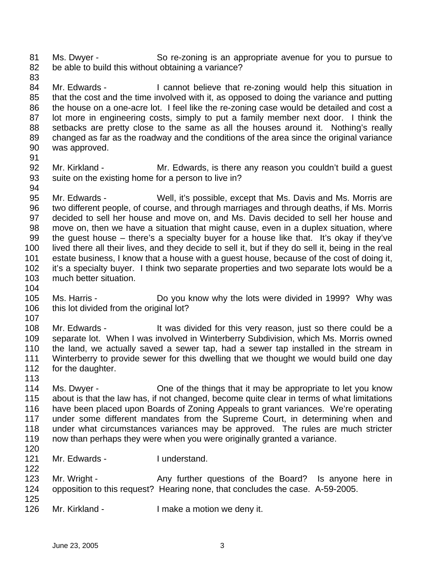81 Ms. Dwyer - So re-zoning is an appropriate avenue for you to pursue to 82 be able to build this without obtaining a variance?

83

84 Mr. Edwards - I cannot believe that re-zoning would help this situation in 85 that the cost and the time involved with it, as opposed to doing the variance and putting 86 the house on a one-acre lot. I feel like the re-zoning case would be detailed and cost a 87 lot more in engineering costs, simply to put a family member next door. I think the 88 setbacks are pretty close to the same as all the houses around it. Nothing's really 89 changed as far as the roadway and the conditions of the area since the original variance 90 was approved.

91

94

92 Mr. Kirkland - Mr. Edwards, is there any reason you couldn't build a guest 93 suite on the existing home for a person to live in?

95 Mr. Edwards - Well, it's possible, except that Ms. Davis and Ms. Morris are 96 two different people, of course, and through marriages and through deaths, if Ms. Morris 97 decided to sell her house and move on, and Ms. Davis decided to sell her house and 98 move on, then we have a situation that might cause, even in a duplex situation, where 99 the guest house – there's a specialty buyer for a house like that. It's okay if they've 100 lived there all their lives, and they decide to sell it, but if they do sell it, being in the real 101 estate business, I know that a house with a guest house, because of the cost of doing it, 102 it's a specialty buyer. I think two separate properties and two separate lots would be a 103 much better situation.

- 105 Ms. Harris Do you know why the lots were divided in 1999? Why was 106 this lot divided from the original lot?
- 107

104

108 Mr. Edwards - It was divided for this very reason, just so there could be a 109 separate lot. When I was involved in Winterberry Subdivision, which Ms. Morris owned 110 the land, we actually saved a sewer tap, had a sewer tap installed in the stream in 111 Winterberry to provide sewer for this dwelling that we thought we would build one day 112 for the daughter.

113

114 Ms. Dwyer - One of the things that it may be appropriate to let you know 115 about is that the law has, if not changed, become quite clear in terms of what limitations 116 have been placed upon Boards of Zoning Appeals to grant variances. We're operating 117 under some different mandates from the Supreme Court, in determining when and 118 under what circumstances variances may be approved. The rules are much stricter 119 now than perhaps they were when you were originally granted a variance.

120

121 Mr. Edwards - I understand. 122

- 123 Mr. Wright Any further questions of the Board? Is anyone here in 124 opposition to this request? Hearing none, that concludes the case. A-59-2005. 125
- 126 Mr. Kirkland I make a motion we deny it.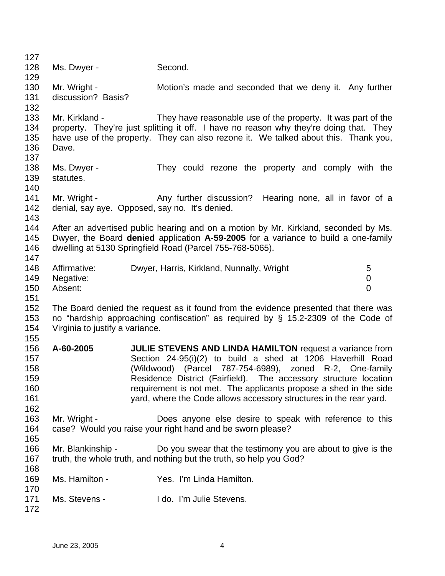127 128 Ms. Dwyer - Second. 129 130 Mr. Wright - Motion's made and seconded that we deny it. Any further 131 discussion? Basis? 132 133 Mr. Kirkland - They have reasonable use of the property. It was part of the 134 property. They're just splitting it off. I have no reason why they're doing that. They 135 have use of the property. They can also rezone it. We talked about this. Thank you, 136 Dave. 137 138 Ms. Dwyer - They could rezone the property and comply with the 139 statutes. 140 141 Mr. Wright - Any further discussion? Hearing none, all in favor of a 142 denial, say aye. Opposed, say no. It's denied. 143 144 After an advertised public hearing and on a motion by Mr. Kirkland, seconded by Ms. 145 Dwyer, the Board **denied** application **A-59-2005** for a variance to build a one-family 146 dwelling at 5130 Springfield Road (Parcel 755-768-5065). 147 148 Affirmative: Dwyer, Harris, Kirkland, Nunnally, Wright 5 149 Negative: 0 150 Absent: 0 151 152 The Board denied the request as it found from the evidence presented that there was 153 no "hardship approaching confiscation" as required by § 15.2-2309 of the Code of 154 Virginia to justify a variance. 155 156 **A-60-2005 JULIE STEVENS AND LINDA HAMILTON** request a variance from 157 Section 24-95(i)(2) to build a shed at 1206 Haverhill Road 158 (Wildwood) (Parcel 787-754-6989), zoned R-2, One-family 159 Residence District (Fairfield). The accessory structure location 160 requirement is not met. The applicants propose a shed in the side 161 yard, where the Code allows accessory structures in the rear yard. 162 163 Mr. Wright - Does anyone else desire to speak with reference to this 164 case? Would you raise your right hand and be sworn please? 165 166 Mr. Blankinship - Do you swear that the testimony you are about to give is the 167 truth, the whole truth, and nothing but the truth, so help you God? 168 169 Ms. Hamilton - Yes. I'm Linda Hamilton. 170 171 Ms. Stevens - I do. I'm Julie Stevens. 172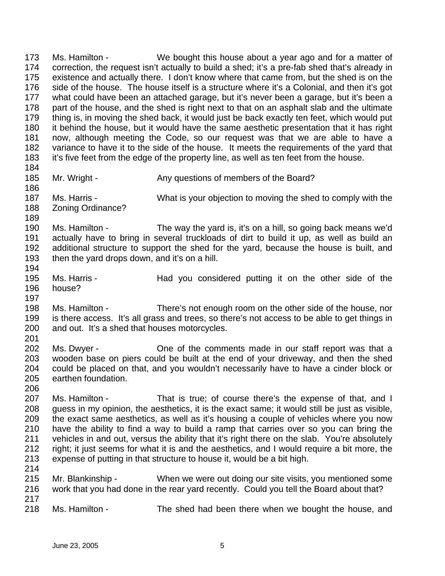173 Ms. Hamilton - We bought this house about a year ago and for a matter of 174 correction, the request isn't actually to build a shed; it's a pre-fab shed that's already in 175 existence and actually there. I don't know where that came from, but the shed is on the 176 side of the house. The house itself is a structure where it's a Colonial, and then it's got 177 what could have been an attached garage, but it's never been a garage, but it's been a 178 part of the house, and the shed is right next to that on an asphalt slab and the ultimate 179 thing is, in moving the shed back, it would just be back exactly ten feet, which would put 180 it behind the house, but it would have the same aesthetic presentation that it has right 181 now, although meeting the Code, so our request was that we are able to have a 182 variance to have it to the side of the house. It meets the requirements of the yard that 183 it's five feet from the edge of the property line, as well as ten feet from the house. 184 185 Mr. Wright - Any questions of members of the Board? 186 187 Ms. Harris - What is your objection to moving the shed to comply with the 188 Zoning Ordinance? 189 190 Ms. Hamilton - The way the yard is, it's on a hill, so going back means we'd 191 actually have to bring in several truckloads of dirt to build it up, as well as build an 192 additional structure to support the shed for the yard, because the house is built, and 193 then the yard drops down, and it's on a hill. 194 195 Ms. Harris - Thad you considered putting it on the other side of the 196 house? 197 198 Ms. Hamilton - There's not enough room on the other side of the house, nor 199 is there access. It's all grass and trees, so there's not access to be able to get things in 200 and out. It's a shed that houses motorcycles. 201 202 Ms. Dwyer - One of the comments made in our staff report was that a 203 wooden base on piers could be built at the end of your driveway, and then the shed 204 could be placed on that, and you wouldn't necessarily have to have a cinder block or 205 earthen foundation. 206 207 Ms. Hamilton - That is true; of course there's the expense of that, and I 208 guess in my opinion, the aesthetics, it is the exact same; it would still be just as visible, 209 the exact same aesthetics, as well as it's housing a couple of vehicles where you now 210 have the ability to find a way to build a ramp that carries over so you can bring the 211 vehicles in and out, versus the ability that it's right there on the slab. You're absolutely 212 right; it just seems for what it is and the aesthetics, and I would require a bit more, the 213 expense of putting in that structure to house it, would be a bit high. 214 215 Mr. Blankinship - When we were out doing our site visits, you mentioned some 216 work that you had done in the rear yard recently. Could you tell the Board about that? 217 218 Ms. Hamilton - The shed had been there when we bought the house, and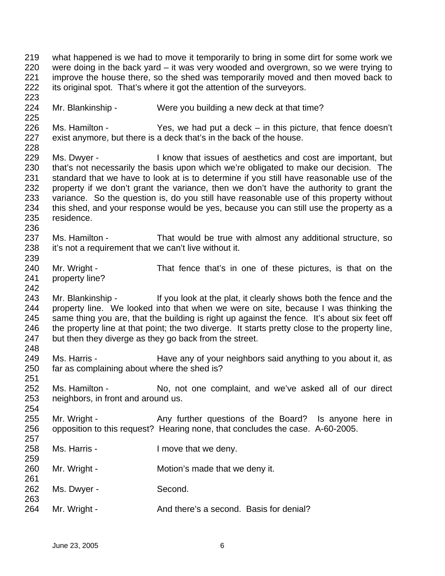219 what happened is we had to move it temporarily to bring in some dirt for some work we 220 were doing in the back yard – it was very wooded and overgrown, so we were trying to 221 improve the house there, so the shed was temporarily moved and then moved back to 222 its original spot. That's where it got the attention of the surveyors. 223 224 Mr. Blankinship - Were you building a new deck at that time? 225 226 Ms. Hamilton - Yes, we had put a deck – in this picture, that fence doesn't 227 exist anymore, but there is a deck that's in the back of the house. 228 229 Ms. Dwyer - I know that issues of aesthetics and cost are important, but 230 that's not necessarily the basis upon which we're obligated to make our decision. The 231 standard that we have to look at is to determine if you still have reasonable use of the 232 property if we don't grant the variance, then we don't have the authority to grant the 233 variance. So the question is, do you still have reasonable use of this property without 234 this shed, and your response would be yes, because you can still use the property as a 235 residence. 236 237 Ms. Hamilton - That would be true with almost any additional structure, so 238 it's not a requirement that we can't live without it. 239 240 Mr. Wright - That fence that's in one of these pictures, is that on the 241 property line? 242 243 Mr. Blankinship - If you look at the plat, it clearly shows both the fence and the 244 property line. We looked into that when we were on site, because I was thinking the 245 same thing you are, that the building is right up against the fence. It's about six feet off 246 the property line at that point; the two diverge. It starts pretty close to the property line, 247 but then they diverge as they go back from the street. 248 249 Ms. Harris - Have any of your neighbors said anything to you about it, as 250 far as complaining about where the shed is? 251 252 Ms. Hamilton - No, not one complaint, and we've asked all of our direct 253 neighbors, in front and around us. 254 255 Mr. Wright - Any further questions of the Board? Is anyone here in 256 opposition to this request? Hearing none, that concludes the case. A-60-2005. 257 258 Ms. Harris - I move that we deny. 259 260 Mr. Wright - Motion's made that we deny it. 261 262 Ms. Dwyer - Second. 263 264 Mr. Wright - And there's a second. Basis for denial?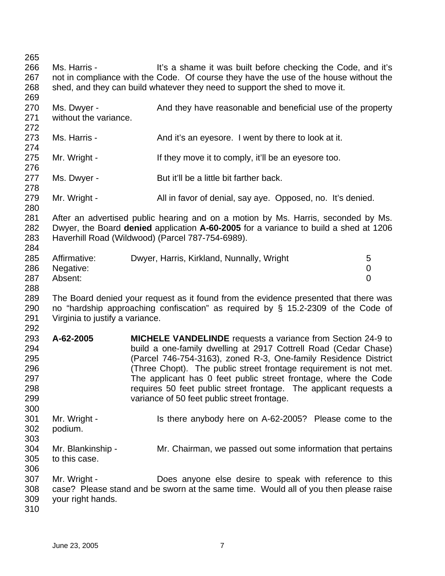| 265 |                                                                             |  |                                                                                       |                |
|-----|-----------------------------------------------------------------------------|--|---------------------------------------------------------------------------------------|----------------|
| 266 | Ms. Harris -                                                                |  | It's a shame it was built before checking the Code, and it's                          |                |
| 267 |                                                                             |  | not in compliance with the Code. Of course they have the use of the house without the |                |
| 268 | shed, and they can build whatever they need to support the shed to move it. |  |                                                                                       |                |
| 269 |                                                                             |  |                                                                                       |                |
| 270 | Ms. Dwyer -                                                                 |  | And they have reasonable and beneficial use of the property                           |                |
| 271 | without the variance.                                                       |  |                                                                                       |                |
| 272 |                                                                             |  |                                                                                       |                |
| 273 | Ms. Harris -                                                                |  | And it's an eyesore. I went by there to look at it.                                   |                |
| 274 |                                                                             |  |                                                                                       |                |
| 275 | Mr. Wright -                                                                |  | If they move it to comply, it'll be an eyesore too.                                   |                |
| 276 |                                                                             |  |                                                                                       |                |
| 277 | Ms. Dwyer -                                                                 |  | But it'll be a little bit farther back.                                               |                |
| 278 |                                                                             |  |                                                                                       |                |
| 279 | Mr. Wright -                                                                |  | All in favor of denial, say aye. Opposed, no. It's denied.                            |                |
| 280 |                                                                             |  |                                                                                       |                |
| 281 |                                                                             |  | After an advertised public hearing and on a motion by Ms. Harris, seconded by Ms.     |                |
| 282 |                                                                             |  | Dwyer, the Board denied application A-60-2005 for a variance to build a shed at 1206  |                |
| 283 |                                                                             |  | Haverhill Road (Wildwood) (Parcel 787-754-6989).                                      |                |
| 284 |                                                                             |  |                                                                                       |                |
| 285 | Affirmative:                                                                |  | Dwyer, Harris, Kirkland, Nunnally, Wright                                             | 5              |
| 286 | Negative:                                                                   |  |                                                                                       | 0              |
| 287 | Absent:                                                                     |  |                                                                                       | $\overline{0}$ |
| 288 |                                                                             |  |                                                                                       |                |
| 289 |                                                                             |  | The Board denied your request as it found from the evidence presented that there was  |                |
| 290 |                                                                             |  | no "hardship approaching confiscation" as required by $\S$ 15.2-2309 of the Code of   |                |
| 291 | Virginia to justify a variance.                                             |  |                                                                                       |                |
| 292 |                                                                             |  |                                                                                       |                |
| 293 | A-62-2005                                                                   |  | MICHELE VANDELINDE requests a variance from Section 24-9 to                           |                |
| 294 |                                                                             |  | build a one-family dwelling at 2917 Cottrell Road (Cedar Chase)                       |                |
| 295 |                                                                             |  | (Parcel 746-754-3163), zoned R-3, One-family Residence District                       |                |
| 296 |                                                                             |  | (Three Chopt). The public street frontage requirement is not met.                     |                |
| 297 |                                                                             |  | The applicant has 0 feet public street frontage, where the Code                       |                |
| 298 |                                                                             |  | requires 50 feet public street frontage. The applicant requests a                     |                |
| 299 |                                                                             |  |                                                                                       |                |
|     |                                                                             |  | variance of 50 feet public street frontage.                                           |                |
| 300 |                                                                             |  |                                                                                       |                |
| 301 | Mr. Wright -                                                                |  | Is there anybody here on A-62-2005? Please come to the                                |                |
| 302 | podium.                                                                     |  |                                                                                       |                |
| 303 |                                                                             |  |                                                                                       |                |
| 304 | Mr. Blankinship -                                                           |  | Mr. Chairman, we passed out some information that pertains                            |                |
| 305 | to this case.                                                               |  |                                                                                       |                |
| 306 |                                                                             |  |                                                                                       |                |
| 307 | Mr. Wright -                                                                |  | Does anyone else desire to speak with reference to this                               |                |
| 308 |                                                                             |  | case? Please stand and be sworn at the same time. Would all of you then please raise  |                |
| 309 | your right hands.                                                           |  |                                                                                       |                |
| 310 |                                                                             |  |                                                                                       |                |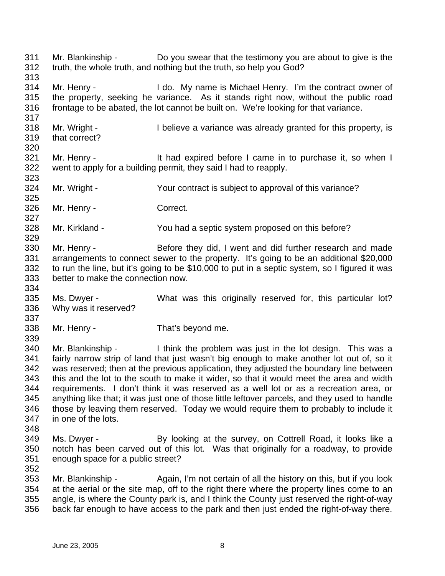311 Mr. Blankinship - Do you swear that the testimony you are about to give is the 312 truth, the whole truth, and nothing but the truth, so help you God? 313 314 Mr. Henry - I do. My name is Michael Henry. I'm the contract owner of 315 the property, seeking he variance. As it stands right now, without the public road 316 frontage to be abated, the lot cannot be built on. We're looking for that variance. 317 318 Mr. Wright - I believe a variance was already granted for this property, is 319 that correct? 320 321 Mr. Henry - It had expired before I came in to purchase it, so when I 322 went to apply for a building permit, they said I had to reapply. 323 324 Mr. Wright - Your contract is subject to approval of this variance? 325 326 Mr. Henry - Correct. 327 328 Mr. Kirkland - You had a septic system proposed on this before? 329 330 Mr. Henry - Before they did, I went and did further research and made 331 arrangements to connect sewer to the property. It's going to be an additional \$20,000 332 to run the line, but it's going to be \$10,000 to put in a septic system, so I figured it was 333 better to make the connection now. 334 335 Ms. Dwyer - What was this originally reserved for, this particular lot? 336 Why was it reserved? 337 338 Mr. Henry - That's beyond me. 339 340 Mr. Blankinship - I think the problem was just in the lot design. This was a 341 fairly narrow strip of land that just wasn't big enough to make another lot out of, so it 342 was reserved; then at the previous application, they adjusted the boundary line between 343 this and the lot to the south to make it wider, so that it would meet the area and width 344 requirements. I don't think it was reserved as a well lot or as a recreation area, or 345 anything like that; it was just one of those little leftover parcels, and they used to handle 346 those by leaving them reserved. Today we would require them to probably to include it 347 in one of the lots. 348 349 Ms. Dwyer - By looking at the survey, on Cottrell Road, it looks like a 350 notch has been carved out of this lot. Was that originally for a roadway, to provide 351 enough space for a public street? 352 353 Mr. Blankinship - Again, I'm not certain of all the history on this, but if you look 354 at the aerial or the site map, off to the right there where the property lines come to an 355 angle, is where the County park is, and I think the County just reserved the right-of-way 356 back far enough to have access to the park and then just ended the right-of-way there.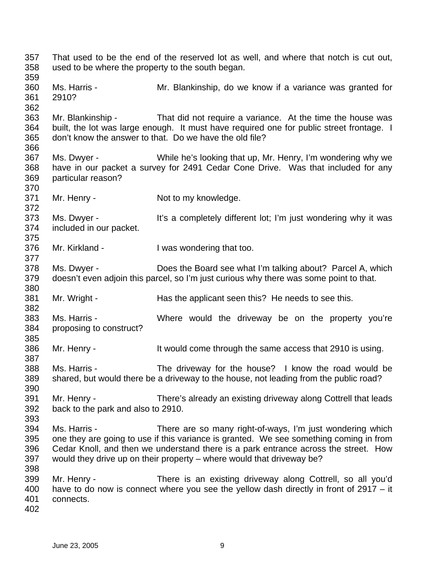357 That used to be the end of the reserved lot as well, and where that notch is cut out, 358 used to be where the property to the south began. 359 360 Ms. Harris - Mr. Blankinship, do we know if a variance was granted for 361 2910? 362 363 Mr. Blankinship - That did not require a variance. At the time the house was 364 built, the lot was large enough. It must have required one for public street frontage. I 365 don't know the answer to that. Do we have the old file? 366 367 Ms. Dwyer - While he's looking that up, Mr. Henry, I'm wondering why we 368 have in our packet a survey for 2491 Cedar Cone Drive. Was that included for any 369 particular reason? 370 371 Mr. Henry - Not to my knowledge. 372 373 Ms. Dwyer - It's a completely different lot; I'm just wondering why it was 374 included in our packet. 375 376 Mr. Kirkland - I was wondering that too. 377 378 Ms. Dwyer - Does the Board see what I'm talking about? Parcel A, which 379 doesn't even adjoin this parcel, so I'm just curious why there was some point to that. 380 381 Mr. Wright - Has the applicant seen this? He needs to see this. 382 383 Ms. Harris - Where would the driveway be on the property you're 384 proposing to construct? 385 386 Mr. Henry - It would come through the same access that 2910 is using. 387 388 Ms. Harris - The driveway for the house? I know the road would be 389 shared, but would there be a driveway to the house, not leading from the public road? 390 391 Mr. Henry - There's already an existing driveway along Cottrell that leads 392 back to the park and also to 2910. 393 394 Ms. Harris - There are so many right-of-ways, I'm just wondering which 395 one they are going to use if this variance is granted. We see something coming in from 396 Cedar Knoll, and then we understand there is a park entrance across the street. How 397 would they drive up on their property – where would that driveway be? 398 399 Mr. Henry - There is an existing driveway along Cottrell, so all you'd 400 have to do now is connect where you see the yellow dash directly in front of 2917 – it 401 connects. 402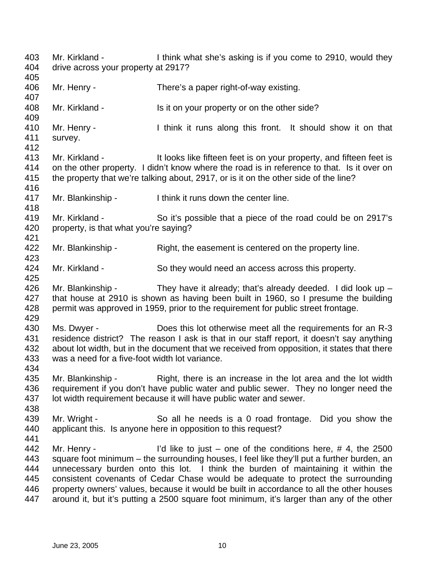403 Mr. Kirkland - I think what she's asking is if you come to 2910, would they 404 drive across your property at 2917? 405 406 Mr. Henry - There's a paper right-of-way existing. 407 408 Mr. Kirkland - Is it on your property or on the other side? 409 410 Mr. Henry - I think it runs along this front. It should show it on that 411 survey. 412 413 Mr. Kirkland - It looks like fifteen feet is on your property, and fifteen feet is 414 on the other property. I didn't know where the road is in reference to that. Is it over on 415 the property that we're talking about, 2917, or is it on the other side of the line? 416 417 Mr. Blankinship - I think it runs down the center line. 418 419 Mr. Kirkland - So it's possible that a piece of the road could be on 2917's 420 property, is that what you're saying? 421 422 Mr. Blankinship - Right, the easement is centered on the property line. 423 424 Mr. Kirkland - So they would need an access across this property. 425 426 Mr. Blankinship - They have it already; that's already deeded. I did look up – 427 that house at 2910 is shown as having been built in 1960, so I presume the building 428 permit was approved in 1959, prior to the requirement for public street frontage. 429 430 Ms. Dwyer - Does this lot otherwise meet all the requirements for an R-3 431 residence district? The reason I ask is that in our staff report, it doesn't say anything 432 about lot width, but in the document that we received from opposition, it states that there 433 was a need for a five-foot width lot variance. 434 435 Mr. Blankinship - Right, there is an increase in the lot area and the lot width 436 requirement if you don't have public water and public sewer. They no longer need the 437 lot width requirement because it will have public water and sewer. 438 439 Mr. Wright - So all he needs is a 0 road frontage. Did you show the 440 applicant this. Is anyone here in opposition to this request? 441 442 Mr. Henry - I'd like to just – one of the conditions here, # 4, the 2500 443 square foot minimum – the surrounding houses, I feel like they'll put a further burden, an 444 unnecessary burden onto this lot. I think the burden of maintaining it within the 445 consistent covenants of Cedar Chase would be adequate to protect the surrounding 446 property owners' values, because it would be built in accordance to all the other houses 447 around it, but it's putting a 2500 square foot minimum, it's larger than any of the other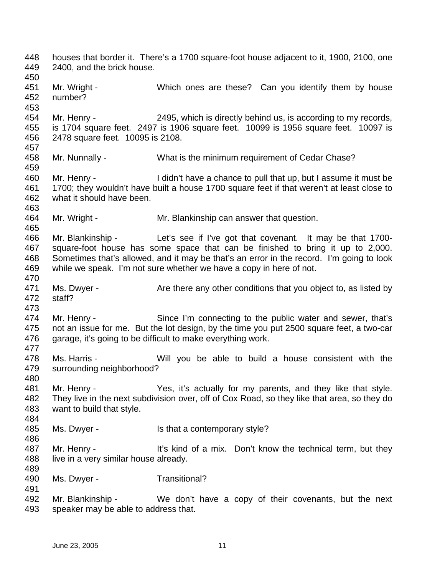448 houses that border it. There's a 1700 square-foot house adjacent to it, 1900, 2100, one 449 2400, and the brick house. 450 451 Mr. Wright - Which ones are these? Can you identify them by house 452 number? 453 454 Mr. Henry - 2495, which is directly behind us, is according to my records, 455 is 1704 square feet. 2497 is 1906 square feet. 10099 is 1956 square feet. 10097 is 456 2478 square feet. 10095 is 2108. 457 458 Mr. Nunnally - What is the minimum requirement of Cedar Chase? 459 460 Mr. Henry - I didn't have a chance to pull that up, but I assume it must be 461 1700; they wouldn't have built a house 1700 square feet if that weren't at least close to 462 what it should have been. 463 464 Mr. Wright - Mr. Blankinship can answer that question. 465 466 Mr. Blankinship - Let's see if I've got that covenant. It may be that 1700- 467 square-foot house has some space that can be finished to bring it up to 2,000. 468 Sometimes that's allowed, and it may be that's an error in the record. I'm going to look 469 while we speak. I'm not sure whether we have a copy in here of not. 470 471 Ms. Dwyer - Are there any other conditions that you object to, as listed by 472 staff? 473 474 Mr. Henry - Since I'm connecting to the public water and sewer, that's 475 not an issue for me. But the lot design, by the time you put 2500 square feet, a two-car 476 garage, it's going to be difficult to make everything work. 477 478 Ms. Harris - Will you be able to build a house consistent with the 479 surrounding neighborhood? 480 481 Mr. Henry - Yes, it's actually for my parents, and they like that style. 482 They live in the next subdivision over, off of Cox Road, so they like that area, so they do 483 want to build that style. 484 485 Ms. Dwyer - Is that a contemporary style? 486 487 Mr. Henry - It's kind of a mix. Don't know the technical term, but they 488 live in a very similar house already. 489 490 Ms. Dwyer - Transitional? 491 492 Mr. Blankinship - We don't have a copy of their covenants, but the next 493 speaker may be able to address that.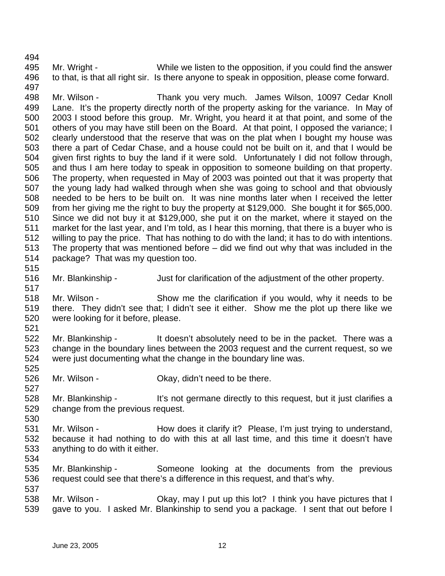495 Mr. Wright - While we listen to the opposition, if you could find the answer 496 to that, is that all right sir. Is there anyone to speak in opposition, please come forward.

497 498 Mr. Wilson - Thank you very much. James Wilson, 10097 Cedar Knoll 499 Lane. It's the property directly north of the property asking for the variance. In May of 500 2003 I stood before this group. Mr. Wright, you heard it at that point, and some of the 501 others of you may have still been on the Board. At that point, I opposed the variance; I 502 clearly understood that the reserve that was on the plat when I bought my house was 503 there a part of Cedar Chase, and a house could not be built on it, and that I would be 504 given first rights to buy the land if it were sold. Unfortunately I did not follow through, 505 and thus I am here today to speak in opposition to someone building on that property. 506 The property, when requested in May of 2003 was pointed out that it was property that 507 the young lady had walked through when she was going to school and that obviously 508 needed to be hers to be built on. It was nine months later when I received the letter 509 from her giving me the right to buy the property at \$129,000. She bought it for \$65,000. 510 Since we did not buy it at \$129,000, she put it on the market, where it stayed on the 511 market for the last year, and I'm told, as I hear this morning, that there is a buyer who is 512 willing to pay the price. That has nothing to do with the land; it has to do with intentions. 513 The property that was mentioned before – did we find out why that was included in the 514 package? That was my question too. 515

516 Mr. Blankinship - Just for clarification of the adjustment of the other property.

518 Mr. Wilson - Show me the clarification if you would, why it needs to be 519 there. They didn't see that; I didn't see it either. Show me the plot up there like we 520 were looking for it before, please. 521

522 Mr. Blankinship - It doesn't absolutely need to be in the packet. There was a 523 change in the boundary lines between the 2003 request and the current request, so we 524 were just documenting what the change in the boundary line was. 525

526 Mr. Wilson - Okay, didn't need to be there.

528 Mr. Blankinship - It's not germane directly to this request, but it just clarifies a 529 change from the previous request.

531 Mr. Wilson - How does it clarify it? Please, I'm just trying to understand, 532 because it had nothing to do with this at all last time, and this time it doesn't have 533 anything to do with it either.

535 Mr. Blankinship - Someone looking at the documents from the previous 536 request could see that there's a difference in this request, and that's why. 537

538 Mr. Wilson - Ckay, may I put up this lot? I think you have pictures that I 539 gave to you. I asked Mr. Blankinship to send you a package. I sent that out before I

494

517

527

530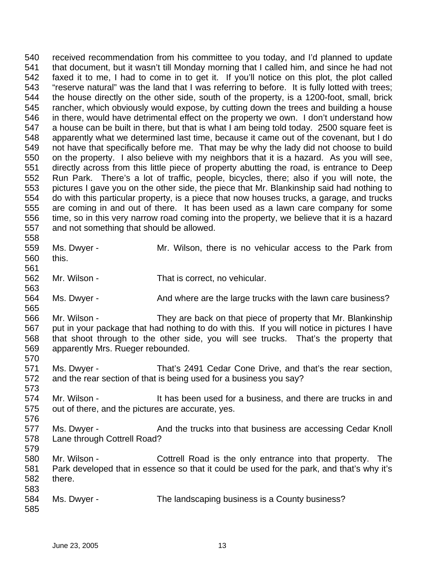540 received recommendation from his committee to you today, and I'd planned to update 541 that document, but it wasn't till Monday morning that I called him, and since he had not 542 faxed it to me, I had to come in to get it. If you'll notice on this plot, the plot called 543 "reserve natural" was the land that I was referring to before. It is fully lotted with trees; 544 the house directly on the other side, south of the property, is a 1200-foot, small, brick 545 rancher, which obviously would expose, by cutting down the trees and building a house 546 in there, would have detrimental effect on the property we own. I don't understand how 547 a house can be built in there, but that is what I am being told today. 2500 square feet is 548 apparently what we determined last time, because it came out of the covenant, but I do 549 not have that specifically before me. That may be why the lady did not choose to build 550 on the property. I also believe with my neighbors that it is a hazard. As you will see, 551 directly across from this little piece of property abutting the road, is entrance to Deep 552 Run Park. There's a lot of traffic, people, bicycles, there; also if you will note, the 553 pictures I gave you on the other side, the piece that Mr. Blankinship said had nothing to 554 do with this particular property, is a piece that now houses trucks, a garage, and trucks 555 are coming in and out of there. It has been used as a lawn care company for some 556 time, so in this very narrow road coming into the property, we believe that it is a hazard 557 and not something that should be allowed. 558

559 Ms. Dwyer - Mr. Wilson, there is no vehicular access to the Park from 560 this. 561

562 Mr. Wilson - That is correct, no vehicular.

564 Ms. Dwyer - And where are the large trucks with the lawn care business?

566 Mr. Wilson - They are back on that piece of property that Mr. Blankinship 567 put in your package that had nothing to do with this. If you will notice in pictures I have 568 that shoot through to the other side, you will see trucks. That's the property that 569 apparently Mrs. Rueger rebounded.

- 571 Ms. Dwyer That's 2491 Cedar Cone Drive, and that's the rear section, 572 and the rear section of that is being used for a business you say? 573
- 574 Mr. Wilson It has been used for a business, and there are trucks in and 575 out of there, and the pictures are accurate, yes.
- 577 Ms. Dwyer And the trucks into that business are accessing Cedar Knoll 578 Lane through Cottrell Road? 579
- 580 Mr. Wilson Cottrell Road is the only entrance into that property. The 581 Park developed that in essence so that it could be used for the park, and that's why it's 582 there. 583

| 584 | Ms. Dwyer - | The landscaping business is a County business? |
|-----|-------------|------------------------------------------------|
| 585 |             |                                                |

563

565

570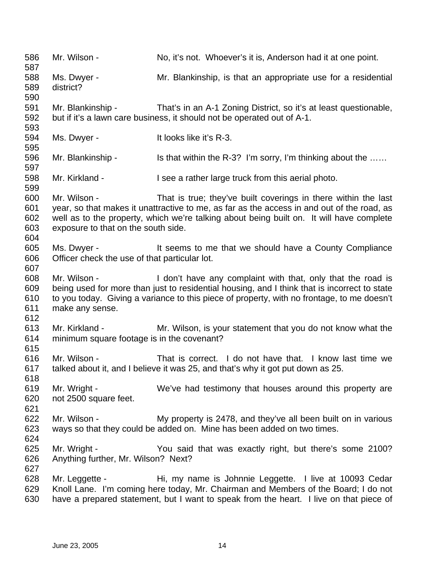586 Mr. Wilson - No, it's not. Whoever's it is, Anderson had it at one point. 587 588 Ms. Dwyer - Mr. Blankinship, is that an appropriate use for a residential 589 district? 590 591 Mr. Blankinship - That's in an A-1 Zoning District, so it's at least questionable, 592 but if it's a lawn care business, it should not be operated out of A-1. 593 594 Ms. Dwyer - It looks like it's R-3. 595 596 Mr. Blankinship - Is that within the R-3? I'm sorry, I'm thinking about the …… 597 598 Mr. Kirkland - I see a rather large truck from this aerial photo. 599 600 Mr. Wilson - That is true; they've built coverings in there within the last 601 year, so that makes it unattractive to me, as far as the access in and out of the road, as 602 well as to the property, which we're talking about being built on. It will have complete 603 exposure to that on the south side. 604 605 Ms. Dwyer - It seems to me that we should have a County Compliance 606 Officer check the use of that particular lot. 607 608 Mr. Wilson - I don't have any complaint with that, only that the road is 609 being used for more than just to residential housing, and I think that is incorrect to state 610 to you today. Giving a variance to this piece of property, with no frontage, to me doesn't 611 make any sense. 612 613 Mr. Kirkland - Mr. Wilson, is your statement that you do not know what the 614 minimum square footage is in the covenant? 615 616 Mr. Wilson - That is correct. I do not have that. I know last time we 617 talked about it, and I believe it was 25, and that's why it got put down as 25. 618 619 Mr. Wright - We've had testimony that houses around this property are 620 not 2500 square feet. 621 622 Mr. Wilson - My property is 2478, and they've all been built on in various 623 ways so that they could be added on. Mine has been added on two times. 624 625 Mr. Wright - You said that was exactly right, but there's some 2100? 626 Anything further, Mr. Wilson? Next? 627 628 Mr. Leggette - Hi, my name is Johnnie Leggette. I live at 10093 Cedar 629 Knoll Lane. I'm coming here today, Mr. Chairman and Members of the Board; I do not 630 have a prepared statement, but I want to speak from the heart. I live on that piece of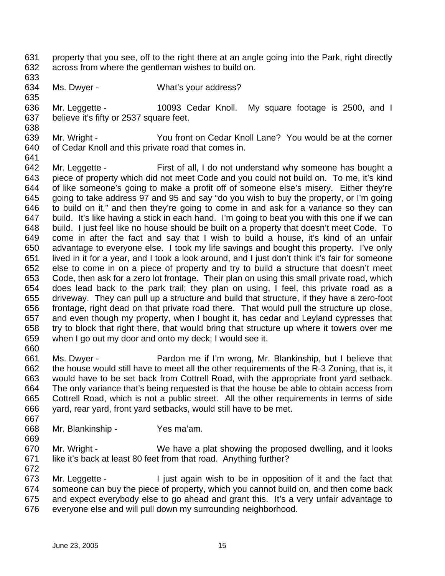- 631 property that you see, off to the right there at an angle going into the Park, right directly 632 across from where the gentleman wishes to build on.
- 633

- 634 Ms. Dwyer What's your address?
- 636 Mr. Leggette 10093 Cedar Knoll. My square footage is 2500, and I 637 believe it's fifty or 2537 square feet.
- 638 639 Mr. Wright - You front on Cedar Knoll Lane? You would be at the corner 640 of Cedar Knoll and this private road that comes in.
- 641
- 642 Mr. Leggette First of all, I do not understand why someone has bought a 643 piece of property which did not meet Code and you could not build on. To me, it's kind 644 of like someone's going to make a profit off of someone else's misery. Either they're 645 going to take address 97 and 95 and say "do you wish to buy the property, or I'm going 646 to build on it," and then they're going to come in and ask for a variance so they can 647 build. It's like having a stick in each hand. I'm going to beat you with this one if we can 648 build. I just feel like no house should be built on a property that doesn't meet Code. To 649 come in after the fact and say that I wish to build a house, it's kind of an unfair 650 advantage to everyone else. I took my life savings and bought this property. I've only 651 lived in it for a year, and I took a look around, and I just don't think it's fair for someone 652 else to come in on a piece of property and try to build a structure that doesn't meet 653 Code, then ask for a zero lot frontage. Their plan on using this small private road, which 654 does lead back to the park trail; they plan on using, I feel, this private road as a 655 driveway. They can pull up a structure and build that structure, if they have a zero-foot 656 frontage, right dead on that private road there. That would pull the structure up close, 657 and even though my property, when I bought it, has cedar and Leyland cypresses that 658 try to block that right there, that would bring that structure up where it towers over me 659 when I go out my door and onto my deck; I would see it. 660
- 661 Ms. Dwyer Pardon me if I'm wrong, Mr. Blankinship, but I believe that 662 the house would still have to meet all the other requirements of the R-3 Zoning, that is, it 663 would have to be set back from Cottrell Road, with the appropriate front yard setback. 664 The only variance that's being requested is that the house be able to obtain access from 665 Cottrell Road, which is not a public street. All the other requirements in terms of side 666 yard, rear yard, front yard setbacks, would still have to be met. 667
- 668 Mr. Blankinship Yes ma'am.
- 669
- 
- 670 Mr. Wright We have a plat showing the proposed dwelling, and it looks 671 like it's back at least 80 feet from that road. Anything further? 672
- 673 Mr. Leggette I just again wish to be in opposition of it and the fact that 674 someone can buy the piece of property, which you cannot build on, and then come back 675 and expect everybody else to go ahead and grant this. It's a very unfair advantage to 676 everyone else and will pull down my surrounding neighborhood.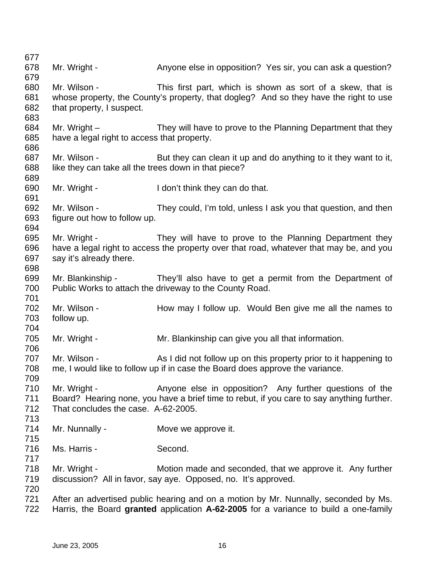677 678 Mr. Wright - Anyone else in opposition? Yes sir, you can ask a question? 679 680 Mr. Wilson - This first part, which is shown as sort of a skew, that is 681 whose property, the County's property, that dogleg? And so they have the right to use 682 that property, I suspect. 683 684 Mr. Wright – They will have to prove to the Planning Department that they 685 have a legal right to access that property. 686 687 Mr. Wilson - But they can clean it up and do anything to it they want to it, 688 like they can take all the trees down in that piece? 689 690 Mr. Wright - I don't think they can do that. 691 692 Mr. Wilson - They could, I'm told, unless I ask you that question, and then 693 figure out how to follow up. 694 695 Mr. Wright - They will have to prove to the Planning Department they 696 have a legal right to access the property over that road, whatever that may be, and you 697 say it's already there. 698 699 Mr. Blankinship - They'll also have to get a permit from the Department of 700 Public Works to attach the driveway to the County Road. 701 702 Mr. Wilson - How may I follow up. Would Ben give me all the names to 703 follow up. 704 705 Mr. Wright - Mr. Blankinship can give you all that information. 706 707 Mr. Wilson - As I did not follow up on this property prior to it happening to 708 me, I would like to follow up if in case the Board does approve the variance. 709 710 Mr. Wright - Anyone else in opposition? Any further questions of the 711 Board? Hearing none, you have a brief time to rebut, if you care to say anything further. 712 That concludes the case. A-62-2005. 713 714 Mr. Nunnally - Move we approve it. 715 716 Ms. Harris - Second. 717 718 Mr. Wright - Motion made and seconded, that we approve it. Any further 719 discussion? All in favor, say aye. Opposed, no. It's approved. 720 721 After an advertised public hearing and on a motion by Mr. Nunnally, seconded by Ms. 722 Harris, the Board **granted** application **A-62-2005** for a variance to build a one-family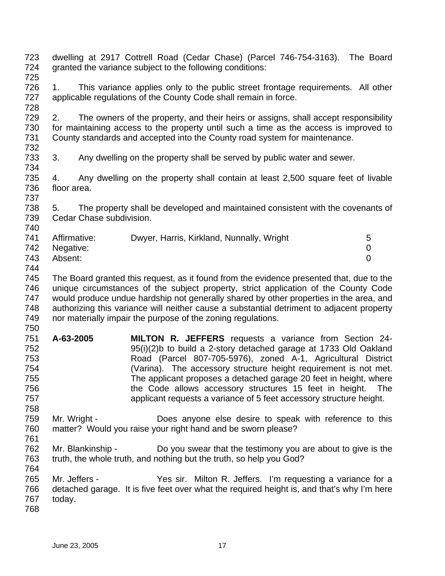- 723 dwelling at 2917 Cottrell Road (Cedar Chase) (Parcel 746-754-3163). The Board 724 granted the variance subject to the following conditions: 725
- 726 1. This variance applies only to the public street frontage requirements. All other 727 applicable regulations of the County Code shall remain in force.
- 729 2. The owners of the property, and their heirs or assigns, shall accept responsibility 730 for maintaining access to the property until such a time as the access is improved to 731 County standards and accepted into the County road system for maintenance. 732
- 733 3. Any dwelling on the property shall be served by public water and sewer.
- 735 4. Any dwelling on the property shall contain at least 2,500 square feet of livable 736 floor area.
- 738 5. The property shall be developed and maintained consistent with the covenants of 739 Cedar Chase subdivision.

| 741 | Affirmative:  | Dwyer, Harris, Kirkland, Nunnally, Wright |  |
|-----|---------------|-------------------------------------------|--|
|     | 742 Negative: |                                           |  |
| 743 | Absent:       |                                           |  |

- 744 745 The Board granted this request, as it found from the evidence presented that, due to the 746 unique circumstances of the subject property, strict application of the County Code
	- 747 would produce undue hardship not generally shared by other properties in the area, and 748 authorizing this variance will neither cause a substantial detriment to adjacent property 749 nor materially impair the purpose of the zoning regulations. 750
	- 751 **A-63-2005 MILTON R. JEFFERS** requests a variance from Section 24- 752 95(i)(2)b to build a 2-story detached garage at 1733 Old Oakland 753 Road (Parcel 807-705-5976), zoned A-1, Agricultural District 754 (Varina). The accessory structure height requirement is not met. 755 The applicant proposes a detached garage 20 feet in height, where 756 the Code allows accessory structures 15 feet in height. The 757 applicant requests a variance of 5 feet accessory structure height.
	- 758 759 Mr. Wright - Does anyone else desire to speak with reference to this 760 matter? Would you raise your right hand and be sworn please?
	- 761

728

734

737

- 762 Mr. Blankinship Do you swear that the testimony you are about to give is the 763 truth, the whole truth, and nothing but the truth, so help you God? 764
- 765 Mr. Jeffers Yes sir. Milton R. Jeffers. I'm requesting a variance for a 766 detached garage. It is five feet over what the required height is, and that's why I'm here 767 today.
- 768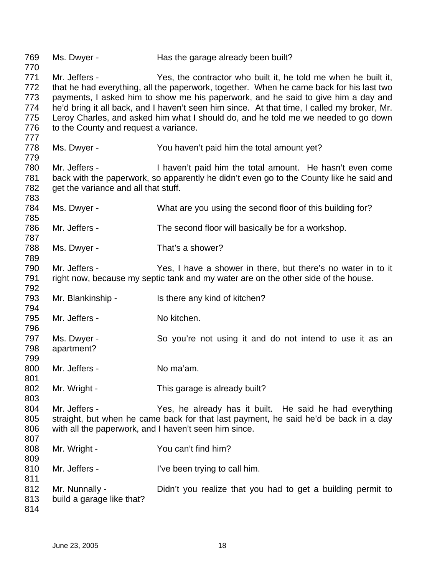769 Ms. Dwyer - Has the garage already been built? 770 771 Mr. Jeffers - Yes, the contractor who built it, he told me when he built it, 772 that he had everything, all the paperwork, together. When he came back for his last two 773 payments, I asked him to show me his paperwork, and he said to give him a day and 774 he'd bring it all back, and I haven't seen him since. At that time, I called my broker, Mr. 775 Leroy Charles, and asked him what I should do, and he told me we needed to go down 776 to the County and request a variance. 777 778 Ms. Dwyer - You haven't paid him the total amount yet? 779 780 Mr. Jeffers - I haven't paid him the total amount. He hasn't even come 781 back with the paperwork, so apparently he didn't even go to the County like he said and 782 get the variance and all that stuff. 783 784 Ms. Dwyer - What are you using the second floor of this building for? 785 786 Mr. Jeffers - The second floor will basically be for a workshop. 787 788 Ms. Dwyer - That's a shower? 789 790 Mr. Jeffers - Yes, I have a shower in there, but there's no water in to it 791 right now, because my septic tank and my water are on the other side of the house. 792 793 Mr. Blankinship - Is there any kind of kitchen? 794 795 Mr. Jeffers - No kitchen. 796 797 Ms. Dwyer - So you're not using it and do not intend to use it as an 798 apartment? 799 800 Mr. Jeffers - No ma'am. 801 802 Mr. Wright - This garage is already built? 803 804 Mr. Jeffers - Yes, he already has it built. He said he had everything 805 straight, but when he came back for that last payment, he said he'd be back in a day 806 with all the paperwork, and I haven't seen him since. 807 808 Mr. Wright - You can't find him? 809 810 Mr. Jeffers - I've been trying to call him. 811 812 Mr. Nunnally - Didn't you realize that you had to get a building permit to 813 build a garage like that? 814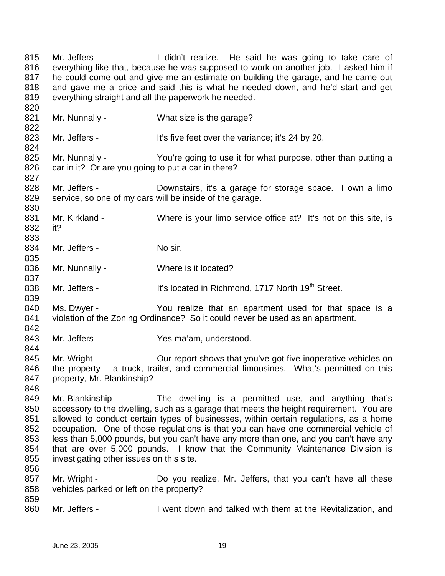815 Mr. Jeffers - I didn't realize. He said he was going to take care of 816 everything like that, because he was supposed to work on another job. I asked him if 817 he could come out and give me an estimate on building the garage, and he came out 818 and gave me a price and said this is what he needed down, and he'd start and get 819 everything straight and all the paperwork he needed. 820 821 Mr. Nunnally - What size is the garage? 822 823 Mr. Jeffers - It's five feet over the variance; it's 24 by 20. 824 825 Mr. Nunnally - You're going to use it for what purpose, other than putting a 826 car in it? Or are you going to put a car in there? 827 828 Mr. Jeffers - Downstairs, it's a garage for storage space. I own a limo 829 service, so one of my cars will be inside of the garage. 830 831 Mr. Kirkland - Where is your limo service office at? It's not on this site, is 832 it? 833 834 Mr. Jeffers - No sir. 835 836 Mr. Nunnally - Where is it located? 837 838 Mr. Jeffers - It's located in Richmond, 1717 North 19<sup>th</sup> Street. 839 840 Ms. Dwyer - You realize that an apartment used for that space is a 841 violation of the Zoning Ordinance? So it could never be used as an apartment. 842 843 Mr. Jeffers - Yes ma'am, understood. 844 845 Mr. Wright - Cur report shows that you've got five inoperative vehicles on 846 the property – a truck, trailer, and commercial limousines. What's permitted on this 847 property, Mr. Blankinship? 848 849 Mr. Blankinship - The dwelling is a permitted use, and anything that's 850 accessory to the dwelling, such as a garage that meets the height requirement. You are 851 allowed to conduct certain types of businesses, within certain regulations, as a home 852 occupation. One of those regulations is that you can have one commercial vehicle of 853 less than 5,000 pounds, but you can't have any more than one, and you can't have any 854 that are over 5,000 pounds. I know that the Community Maintenance Division is 855 investigating other issues on this site. 856 857 Mr. Wright - Do you realize, Mr. Jeffers, that you can't have all these 858 vehicles parked or left on the property? 859 860 Mr. Jeffers - I went down and talked with them at the Revitalization, and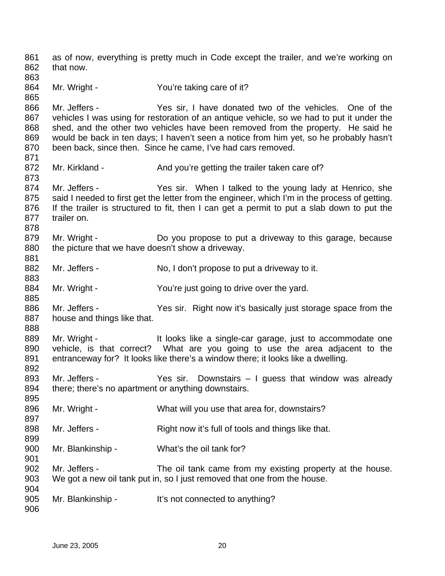861 as of now, everything is pretty much in Code except the trailer, and we're working on 862 that now. 863 864 Mr. Wright - You're taking care of it? 865 866 Mr. Jeffers - Yes sir, I have donated two of the vehicles. One of the 867 vehicles I was using for restoration of an antique vehicle, so we had to put it under the 868 shed, and the other two vehicles have been removed from the property. He said he 869 would be back in ten days; I haven't seen a notice from him yet, so he probably hasn't 870 been back, since then. Since he came, I've had cars removed. 871 872 Mr. Kirkland - And you're getting the trailer taken care of? 873 874 Mr. Jeffers - Yes sir. When I talked to the young lady at Henrico, she 875 said I needed to first get the letter from the engineer, which I'm in the process of getting. 876 If the trailer is structured to fit, then I can get a permit to put a slab down to put the 877 trailer on. 878 879 Mr. Wright - Do you propose to put a driveway to this garage, because 880 the picture that we have doesn't show a driveway. 881 882 Mr. Jeffers - No, I don't propose to put a driveway to it. 883 884 Mr. Wright - You're just going to drive over the yard. 885 886 Mr. Jeffers - Yes sir. Right now it's basically just storage space from the 887 house and things like that. 888 889 Mr. Wright - It looks like a single-car garage, just to accommodate one 890 vehicle, is that correct? What are you going to use the area adjacent to the 891 entranceway for? It looks like there's a window there; it looks like a dwelling. 892 893 Mr. Jeffers - Yes sir. Downstairs – I guess that window was already 894 there; there's no apartment or anything downstairs. 895 896 Mr. Wright - What will you use that area for, downstairs? 897 898 Mr. Jeffers - Right now it's full of tools and things like that. 899 900 Mr. Blankinship - What's the oil tank for? 901 902 Mr. Jeffers - The oil tank came from my existing property at the house. 903 We got a new oil tank put in, so I just removed that one from the house. 904 905 Mr. Blankinship - It's not connected to anything? 906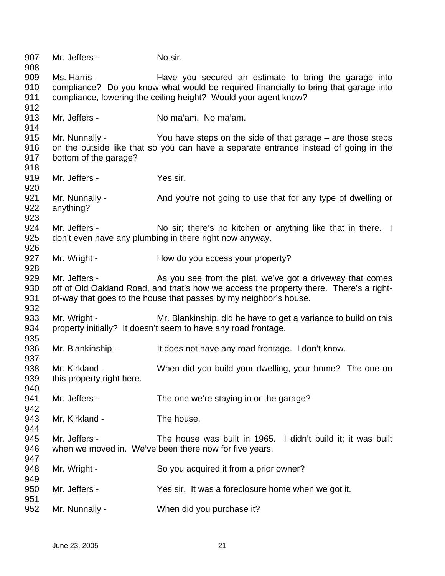| 909<br>Ms. Harris -<br>Have you secured an estimate to bring the garage into<br>910<br>compliance? Do you know what would be required financially to bring that garage into<br>911<br>compliance, lowering the ceiling height? Would your agent know?<br>912<br>913<br>Mr. Jeffers -<br>No ma'am. No ma'am.<br>914<br>915<br>Mr. Nunnally -<br>You have steps on the side of that garage $-$ are those steps<br>916<br>on the outside like that so you can have a separate entrance instead of going in the<br>917<br>bottom of the garage?<br>918<br>919<br>Mr. Jeffers -<br>Yes sir.<br>920<br>921<br>Mr. Nunnally -<br>And you're not going to use that for any type of dwelling or<br>922<br>anything?<br>923<br>924<br>Mr. Jeffers -<br>No sir; there's no kitchen or anything like that in there. I<br>925<br>don't even have any plumbing in there right now anyway.<br>926<br>927<br>Mr. Wright -<br>How do you access your property?<br>928<br>929<br>Mr. Jeffers -<br>As you see from the plat, we've got a driveway that comes<br>930<br>off of Old Oakland Road, and that's how we access the property there. There's a right-<br>931<br>of-way that goes to the house that passes by my neighbor's house.<br>932<br>933<br>Mr. Wright -<br>Mr. Blankinship, did he have to get a variance to build on this<br>934<br>property initially? It doesn't seem to have any road frontage.<br>935<br>936<br>Mr. Blankinship -<br>It does not have any road frontage. I don't know.<br>937<br>938<br>Mr. Kirkland -<br>When did you build your dwelling, your home? The one on<br>939<br>this property right here.<br>940<br>941<br>Mr. Jeffers -<br>The one we're staying in or the garage?<br>942<br>943<br>The house.<br>Mr. Kirkland - | 907<br>908 | Mr. Jeffers - | No sir. |
|-------------------------------------------------------------------------------------------------------------------------------------------------------------------------------------------------------------------------------------------------------------------------------------------------------------------------------------------------------------------------------------------------------------------------------------------------------------------------------------------------------------------------------------------------------------------------------------------------------------------------------------------------------------------------------------------------------------------------------------------------------------------------------------------------------------------------------------------------------------------------------------------------------------------------------------------------------------------------------------------------------------------------------------------------------------------------------------------------------------------------------------------------------------------------------------------------------------------------------------------------------------------------------------------------------------------------------------------------------------------------------------------------------------------------------------------------------------------------------------------------------------------------------------------------------------------------------------------------------------------------------------------------------------------------------------------------------------------------------------------------|------------|---------------|---------|
|                                                                                                                                                                                                                                                                                                                                                                                                                                                                                                                                                                                                                                                                                                                                                                                                                                                                                                                                                                                                                                                                                                                                                                                                                                                                                                                                                                                                                                                                                                                                                                                                                                                                                                                                                 |            |               |         |
|                                                                                                                                                                                                                                                                                                                                                                                                                                                                                                                                                                                                                                                                                                                                                                                                                                                                                                                                                                                                                                                                                                                                                                                                                                                                                                                                                                                                                                                                                                                                                                                                                                                                                                                                                 |            |               |         |
|                                                                                                                                                                                                                                                                                                                                                                                                                                                                                                                                                                                                                                                                                                                                                                                                                                                                                                                                                                                                                                                                                                                                                                                                                                                                                                                                                                                                                                                                                                                                                                                                                                                                                                                                                 |            |               |         |
|                                                                                                                                                                                                                                                                                                                                                                                                                                                                                                                                                                                                                                                                                                                                                                                                                                                                                                                                                                                                                                                                                                                                                                                                                                                                                                                                                                                                                                                                                                                                                                                                                                                                                                                                                 |            |               |         |
|                                                                                                                                                                                                                                                                                                                                                                                                                                                                                                                                                                                                                                                                                                                                                                                                                                                                                                                                                                                                                                                                                                                                                                                                                                                                                                                                                                                                                                                                                                                                                                                                                                                                                                                                                 |            |               |         |
|                                                                                                                                                                                                                                                                                                                                                                                                                                                                                                                                                                                                                                                                                                                                                                                                                                                                                                                                                                                                                                                                                                                                                                                                                                                                                                                                                                                                                                                                                                                                                                                                                                                                                                                                                 |            |               |         |
|                                                                                                                                                                                                                                                                                                                                                                                                                                                                                                                                                                                                                                                                                                                                                                                                                                                                                                                                                                                                                                                                                                                                                                                                                                                                                                                                                                                                                                                                                                                                                                                                                                                                                                                                                 |            |               |         |
|                                                                                                                                                                                                                                                                                                                                                                                                                                                                                                                                                                                                                                                                                                                                                                                                                                                                                                                                                                                                                                                                                                                                                                                                                                                                                                                                                                                                                                                                                                                                                                                                                                                                                                                                                 |            |               |         |
|                                                                                                                                                                                                                                                                                                                                                                                                                                                                                                                                                                                                                                                                                                                                                                                                                                                                                                                                                                                                                                                                                                                                                                                                                                                                                                                                                                                                                                                                                                                                                                                                                                                                                                                                                 |            |               |         |
|                                                                                                                                                                                                                                                                                                                                                                                                                                                                                                                                                                                                                                                                                                                                                                                                                                                                                                                                                                                                                                                                                                                                                                                                                                                                                                                                                                                                                                                                                                                                                                                                                                                                                                                                                 |            |               |         |
|                                                                                                                                                                                                                                                                                                                                                                                                                                                                                                                                                                                                                                                                                                                                                                                                                                                                                                                                                                                                                                                                                                                                                                                                                                                                                                                                                                                                                                                                                                                                                                                                                                                                                                                                                 |            |               |         |
|                                                                                                                                                                                                                                                                                                                                                                                                                                                                                                                                                                                                                                                                                                                                                                                                                                                                                                                                                                                                                                                                                                                                                                                                                                                                                                                                                                                                                                                                                                                                                                                                                                                                                                                                                 |            |               |         |
|                                                                                                                                                                                                                                                                                                                                                                                                                                                                                                                                                                                                                                                                                                                                                                                                                                                                                                                                                                                                                                                                                                                                                                                                                                                                                                                                                                                                                                                                                                                                                                                                                                                                                                                                                 |            |               |         |
|                                                                                                                                                                                                                                                                                                                                                                                                                                                                                                                                                                                                                                                                                                                                                                                                                                                                                                                                                                                                                                                                                                                                                                                                                                                                                                                                                                                                                                                                                                                                                                                                                                                                                                                                                 |            |               |         |
|                                                                                                                                                                                                                                                                                                                                                                                                                                                                                                                                                                                                                                                                                                                                                                                                                                                                                                                                                                                                                                                                                                                                                                                                                                                                                                                                                                                                                                                                                                                                                                                                                                                                                                                                                 |            |               |         |
|                                                                                                                                                                                                                                                                                                                                                                                                                                                                                                                                                                                                                                                                                                                                                                                                                                                                                                                                                                                                                                                                                                                                                                                                                                                                                                                                                                                                                                                                                                                                                                                                                                                                                                                                                 |            |               |         |
|                                                                                                                                                                                                                                                                                                                                                                                                                                                                                                                                                                                                                                                                                                                                                                                                                                                                                                                                                                                                                                                                                                                                                                                                                                                                                                                                                                                                                                                                                                                                                                                                                                                                                                                                                 |            |               |         |
|                                                                                                                                                                                                                                                                                                                                                                                                                                                                                                                                                                                                                                                                                                                                                                                                                                                                                                                                                                                                                                                                                                                                                                                                                                                                                                                                                                                                                                                                                                                                                                                                                                                                                                                                                 |            |               |         |
|                                                                                                                                                                                                                                                                                                                                                                                                                                                                                                                                                                                                                                                                                                                                                                                                                                                                                                                                                                                                                                                                                                                                                                                                                                                                                                                                                                                                                                                                                                                                                                                                                                                                                                                                                 |            |               |         |
|                                                                                                                                                                                                                                                                                                                                                                                                                                                                                                                                                                                                                                                                                                                                                                                                                                                                                                                                                                                                                                                                                                                                                                                                                                                                                                                                                                                                                                                                                                                                                                                                                                                                                                                                                 |            |               |         |
|                                                                                                                                                                                                                                                                                                                                                                                                                                                                                                                                                                                                                                                                                                                                                                                                                                                                                                                                                                                                                                                                                                                                                                                                                                                                                                                                                                                                                                                                                                                                                                                                                                                                                                                                                 |            |               |         |
|                                                                                                                                                                                                                                                                                                                                                                                                                                                                                                                                                                                                                                                                                                                                                                                                                                                                                                                                                                                                                                                                                                                                                                                                                                                                                                                                                                                                                                                                                                                                                                                                                                                                                                                                                 |            |               |         |
|                                                                                                                                                                                                                                                                                                                                                                                                                                                                                                                                                                                                                                                                                                                                                                                                                                                                                                                                                                                                                                                                                                                                                                                                                                                                                                                                                                                                                                                                                                                                                                                                                                                                                                                                                 |            |               |         |
|                                                                                                                                                                                                                                                                                                                                                                                                                                                                                                                                                                                                                                                                                                                                                                                                                                                                                                                                                                                                                                                                                                                                                                                                                                                                                                                                                                                                                                                                                                                                                                                                                                                                                                                                                 |            |               |         |
|                                                                                                                                                                                                                                                                                                                                                                                                                                                                                                                                                                                                                                                                                                                                                                                                                                                                                                                                                                                                                                                                                                                                                                                                                                                                                                                                                                                                                                                                                                                                                                                                                                                                                                                                                 |            |               |         |
|                                                                                                                                                                                                                                                                                                                                                                                                                                                                                                                                                                                                                                                                                                                                                                                                                                                                                                                                                                                                                                                                                                                                                                                                                                                                                                                                                                                                                                                                                                                                                                                                                                                                                                                                                 |            |               |         |
|                                                                                                                                                                                                                                                                                                                                                                                                                                                                                                                                                                                                                                                                                                                                                                                                                                                                                                                                                                                                                                                                                                                                                                                                                                                                                                                                                                                                                                                                                                                                                                                                                                                                                                                                                 |            |               |         |
|                                                                                                                                                                                                                                                                                                                                                                                                                                                                                                                                                                                                                                                                                                                                                                                                                                                                                                                                                                                                                                                                                                                                                                                                                                                                                                                                                                                                                                                                                                                                                                                                                                                                                                                                                 |            |               |         |
|                                                                                                                                                                                                                                                                                                                                                                                                                                                                                                                                                                                                                                                                                                                                                                                                                                                                                                                                                                                                                                                                                                                                                                                                                                                                                                                                                                                                                                                                                                                                                                                                                                                                                                                                                 |            |               |         |
|                                                                                                                                                                                                                                                                                                                                                                                                                                                                                                                                                                                                                                                                                                                                                                                                                                                                                                                                                                                                                                                                                                                                                                                                                                                                                                                                                                                                                                                                                                                                                                                                                                                                                                                                                 |            |               |         |
|                                                                                                                                                                                                                                                                                                                                                                                                                                                                                                                                                                                                                                                                                                                                                                                                                                                                                                                                                                                                                                                                                                                                                                                                                                                                                                                                                                                                                                                                                                                                                                                                                                                                                                                                                 |            |               |         |
|                                                                                                                                                                                                                                                                                                                                                                                                                                                                                                                                                                                                                                                                                                                                                                                                                                                                                                                                                                                                                                                                                                                                                                                                                                                                                                                                                                                                                                                                                                                                                                                                                                                                                                                                                 |            |               |         |
|                                                                                                                                                                                                                                                                                                                                                                                                                                                                                                                                                                                                                                                                                                                                                                                                                                                                                                                                                                                                                                                                                                                                                                                                                                                                                                                                                                                                                                                                                                                                                                                                                                                                                                                                                 |            |               |         |
|                                                                                                                                                                                                                                                                                                                                                                                                                                                                                                                                                                                                                                                                                                                                                                                                                                                                                                                                                                                                                                                                                                                                                                                                                                                                                                                                                                                                                                                                                                                                                                                                                                                                                                                                                 |            |               |         |
|                                                                                                                                                                                                                                                                                                                                                                                                                                                                                                                                                                                                                                                                                                                                                                                                                                                                                                                                                                                                                                                                                                                                                                                                                                                                                                                                                                                                                                                                                                                                                                                                                                                                                                                                                 |            |               |         |
| 944<br>945<br>Mr. Jeffers -                                                                                                                                                                                                                                                                                                                                                                                                                                                                                                                                                                                                                                                                                                                                                                                                                                                                                                                                                                                                                                                                                                                                                                                                                                                                                                                                                                                                                                                                                                                                                                                                                                                                                                                     |            |               |         |
| The house was built in 1965. I didn't build it; it was built<br>946<br>when we moved in. We've been there now for five years.                                                                                                                                                                                                                                                                                                                                                                                                                                                                                                                                                                                                                                                                                                                                                                                                                                                                                                                                                                                                                                                                                                                                                                                                                                                                                                                                                                                                                                                                                                                                                                                                                   |            |               |         |
| 947                                                                                                                                                                                                                                                                                                                                                                                                                                                                                                                                                                                                                                                                                                                                                                                                                                                                                                                                                                                                                                                                                                                                                                                                                                                                                                                                                                                                                                                                                                                                                                                                                                                                                                                                             |            |               |         |
| 948<br>So you acquired it from a prior owner?<br>Mr. Wright -                                                                                                                                                                                                                                                                                                                                                                                                                                                                                                                                                                                                                                                                                                                                                                                                                                                                                                                                                                                                                                                                                                                                                                                                                                                                                                                                                                                                                                                                                                                                                                                                                                                                                   |            |               |         |
| 949                                                                                                                                                                                                                                                                                                                                                                                                                                                                                                                                                                                                                                                                                                                                                                                                                                                                                                                                                                                                                                                                                                                                                                                                                                                                                                                                                                                                                                                                                                                                                                                                                                                                                                                                             |            |               |         |
| Mr. Jeffers -<br>950<br>Yes sir. It was a foreclosure home when we got it.                                                                                                                                                                                                                                                                                                                                                                                                                                                                                                                                                                                                                                                                                                                                                                                                                                                                                                                                                                                                                                                                                                                                                                                                                                                                                                                                                                                                                                                                                                                                                                                                                                                                      |            |               |         |
| 951                                                                                                                                                                                                                                                                                                                                                                                                                                                                                                                                                                                                                                                                                                                                                                                                                                                                                                                                                                                                                                                                                                                                                                                                                                                                                                                                                                                                                                                                                                                                                                                                                                                                                                                                             |            |               |         |
| 952<br>Mr. Nunnally -<br>When did you purchase it?                                                                                                                                                                                                                                                                                                                                                                                                                                                                                                                                                                                                                                                                                                                                                                                                                                                                                                                                                                                                                                                                                                                                                                                                                                                                                                                                                                                                                                                                                                                                                                                                                                                                                              |            |               |         |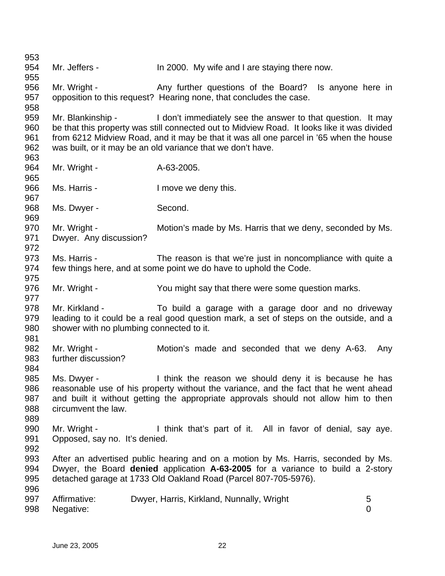953 954 Mr. Jeffers - In 2000. My wife and I are staying there now. 955 956 Mr. Wright - Any further questions of the Board? Is anyone here in 957 opposition to this request? Hearing none, that concludes the case. 958 959 Mr. Blankinship - I don't immediately see the answer to that question. It may 960 be that this property was still connected out to Midview Road. It looks like it was divided 961 from 6212 Midview Road, and it may be that it was all one parcel in '65 when the house 962 was built, or it may be an old variance that we don't have. 963 964 Mr. Wright - A-63-2005. 965 966 Ms. Harris - I move we deny this. 967 968 Ms. Dwyer - Second. 969 970 Mr. Wright - Motion's made by Ms. Harris that we deny, seconded by Ms. 971 Dwyer. Any discussion? 972 973 Ms. Harris - The reason is that we're just in noncompliance with quite a 974 few things here, and at some point we do have to uphold the Code. 975 976 Mr. Wright - You might say that there were some question marks. 977 978 Mr. Kirkland - To build a garage with a garage door and no driveway 979 leading to it could be a real good question mark, a set of steps on the outside, and a 980 shower with no plumbing connected to it. 981 982 Mr. Wright - **Motion's made and seconded that we deny A-63.** Any 983 further discussion? 984 985 Ms. Dwyer - I think the reason we should deny it is because he has 986 reasonable use of his property without the variance, and the fact that he went ahead 987 and built it without getting the appropriate approvals should not allow him to then 988 circumvent the law. 989 990 Mr. Wright - I think that's part of it. All in favor of denial, say aye. 991 Opposed, say no. It's denied. 992 993 After an advertised public hearing and on a motion by Ms. Harris, seconded by Ms. 994 Dwyer, the Board **denied** application **A-63-2005** for a variance to build a 2-story 995 detached garage at 1733 Old Oakland Road (Parcel 807-705-5976). 996 997 Affirmative: Dwyer, Harris, Kirkland, Nunnally, Wright 5 998 Negative: 0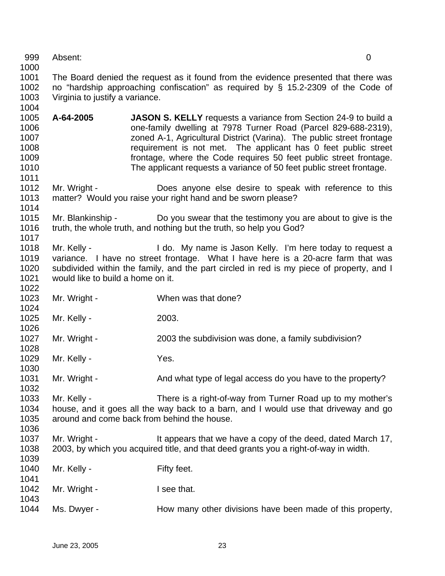999 Absent: 0

1000

1004

1011

1014

1024

1026

1030

1001 The Board denied the request as it found from the evidence presented that there was 1002 no "hardship approaching confiscation" as required by § 15.2-2309 of the Code of 1003 Virginia to justify a variance.

- 1005 **A-64-2005 JASON S. KELLY** requests a variance from Section 24-9 to build a 1006 one-family dwelling at 7978 Turner Road (Parcel 829-688-2319), 1007 zoned A-1, Agricultural District (Varina). The public street frontage 1008 requirement is not met. The applicant has 0 feet public street 1009 frontage, where the Code requires 50 feet public street frontage. 1010 The applicant requests a variance of 50 feet public street frontage.
- 1012 Mr. Wright Does anyone else desire to speak with reference to this 1013 matter? Would you raise your right hand and be sworn please?
- 1015 Mr. Blankinship Do you swear that the testimony you are about to give is the 1016 truth, the whole truth, and nothing but the truth, so help you God? 1017
- 1018 Mr. Kelly I do. My name is Jason Kelly. I'm here today to request a 1019 variance. I have no street frontage. What I have here is a 20-acre farm that was 1020 subdivided within the family, and the part circled in red is my piece of property, and I 1021 would like to build a home on it. 1022
- 1023 Mr. Wright When was that done?
- 1025 Mr. Kelly 2003.
- 1027 Mr. Wright 2003 the subdivision was done, a family subdivision? 1028
- 1029 Mr. Kelly Yes.
- 1031 Mr. Wright And what type of legal access do you have to the property? 1032
- 1033 Mr. Kelly There is a right-of-way from Turner Road up to my mother's 1034 house, and it goes all the way back to a barn, and I would use that driveway and go 1035 around and come back from behind the house. 1036
- 1037 Mr. Wright It appears that we have a copy of the deed, dated March 17, 1038 2003, by which you acquired title, and that deed grants you a right-of-way in width. 1039
- 1040 Mr. Kelly Fifty feet. 1041 1042 Mr. Wright - I see that.
	- 1043 1044 Ms. Dwyer - How many other divisions have been made of this property,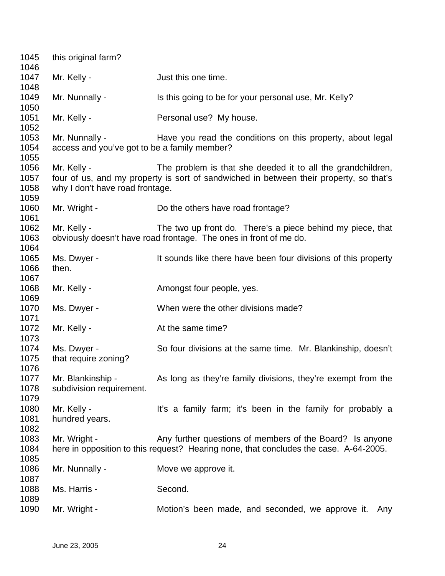| 1045 | this original farm?                          |                                                                                        |
|------|----------------------------------------------|----------------------------------------------------------------------------------------|
| 1046 |                                              |                                                                                        |
| 1047 | Mr. Kelly -                                  | Just this one time.                                                                    |
| 1048 |                                              |                                                                                        |
| 1049 | Mr. Nunnally -                               | Is this going to be for your personal use, Mr. Kelly?                                  |
| 1050 |                                              |                                                                                        |
| 1051 | Mr. Kelly -                                  | Personal use? My house.                                                                |
| 1052 |                                              |                                                                                        |
| 1053 | Mr. Nunnally -                               | Have you read the conditions on this property, about legal                             |
| 1054 | access and you've got to be a family member? |                                                                                        |
| 1055 |                                              |                                                                                        |
| 1056 | Mr. Kelly -                                  | The problem is that she deeded it to all the grandchildren,                            |
| 1057 |                                              | four of us, and my property is sort of sandwiched in between their property, so that's |
| 1058 | why I don't have road frontage.              |                                                                                        |
| 1059 |                                              |                                                                                        |
| 1060 | Mr. Wright -                                 | Do the others have road frontage?                                                      |
| 1061 |                                              |                                                                                        |
| 1062 | Mr. Kelly -                                  | The two up front do. There's a piece behind my piece, that                             |
| 1063 |                                              |                                                                                        |
|      |                                              | obviously doesn't have road frontage. The ones in front of me do.                      |
| 1064 |                                              |                                                                                        |
| 1065 | Ms. Dwyer -                                  | It sounds like there have been four divisions of this property                         |
| 1066 | then.                                        |                                                                                        |
| 1067 |                                              |                                                                                        |
| 1068 | Mr. Kelly -                                  | Amongst four people, yes.                                                              |
| 1069 |                                              |                                                                                        |
| 1070 | Ms. Dwyer -                                  | When were the other divisions made?                                                    |
| 1071 |                                              |                                                                                        |
| 1072 | Mr. Kelly -                                  | At the same time?                                                                      |
| 1073 |                                              |                                                                                        |
| 1074 | Ms. Dwyer -                                  | So four divisions at the same time. Mr. Blankinship, doesn't                           |
| 1075 | that require zoning?                         |                                                                                        |
| 1076 |                                              |                                                                                        |
| 1077 | Mr. Blankinship -                            | As long as they're family divisions, they're exempt from the                           |
|      |                                              |                                                                                        |
| 1078 | subdivision requirement.                     |                                                                                        |
| 1079 |                                              |                                                                                        |
| 1080 | Mr. Kelly -                                  | It's a family farm; it's been in the family for probably a                             |
| 1081 | hundred years.                               |                                                                                        |
| 1082 |                                              |                                                                                        |
| 1083 | Mr. Wright -                                 | Any further questions of members of the Board? Is anyone                               |
| 1084 |                                              | here in opposition to this request? Hearing none, that concludes the case. A-64-2005.  |
| 1085 |                                              |                                                                                        |
| 1086 | Mr. Nunnally -                               | Move we approve it.                                                                    |
| 1087 |                                              |                                                                                        |
| 1088 | Ms. Harris -                                 | Second.                                                                                |
| 1089 |                                              |                                                                                        |
| 1090 | Mr. Wright -                                 | Motion's been made, and seconded, we approve it.<br>Any                                |
|      |                                              |                                                                                        |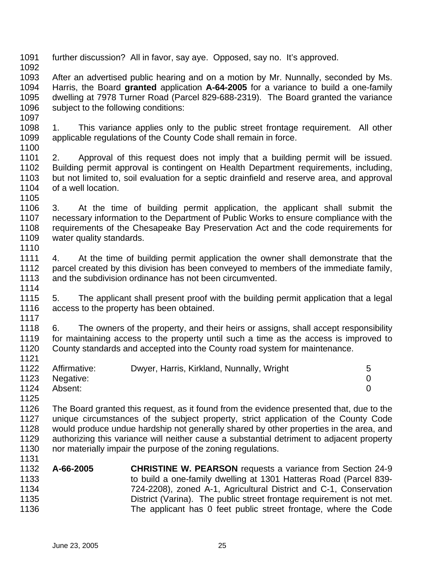1091 further discussion? All in favor, say aye. Opposed, say no. It's approved. 1092 1093 After an advertised public hearing and on a motion by Mr. Nunnally, seconded by Ms. 1094 Harris, the Board **granted** application **A-64-2005** for a variance to build a one-family 1095 dwelling at 7978 Turner Road (Parcel 829-688-2319). The Board granted the variance 1096 subject to the following conditions: 1097 1098 1. This variance applies only to the public street frontage requirement. All other 1099 applicable regulations of the County Code shall remain in force. 1100 1101 2. Approval of this request does not imply that a building permit will be issued. 1102 Building permit approval is contingent on Health Department requirements, including, 1103 but not limited to, soil evaluation for a septic drainfield and reserve area, and approval 1104 of a well location. 1105 1106 3. At the time of building permit application, the applicant shall submit the 1107 necessary information to the Department of Public Works to ensure compliance with the 1108 requirements of the Chesapeake Bay Preservation Act and the code requirements for 1109 water quality standards. 1110 1111 4. At the time of building permit application the owner shall demonstrate that the 1112 parcel created by this division has been conveyed to members of the immediate family, 1113 and the subdivision ordinance has not been circumvented. 1114 1115 5. The applicant shall present proof with the building permit application that a legal 1116 access to the property has been obtained. 1117 1118 6. The owners of the property, and their heirs or assigns, shall accept responsibility 1119 for maintaining access to the property until such a time as the access is improved to 1120 County standards and accepted into the County road system for maintenance. 1121 1122 Affirmative: Dwyer, Harris, Kirkland, Nunnally, Wright 5 1123 Negative: 0 1124 Absent: 0 1125 1126 The Board granted this request, as it found from the evidence presented that, due to the 1127 unique circumstances of the subject property, strict application of the County Code 1128 would produce undue hardship not generally shared by other properties in the area, and 1129 authorizing this variance will neither cause a substantial detriment to adjacent property 1130 nor materially impair the purpose of the zoning regulations. 1131 1132 **A-66-2005 CHRISTINE W. PEARSON** requests a variance from Section 24-9 1133 to build a one-family dwelling at 1301 Hatteras Road (Parcel 839- 1134 724-2208), zoned A-1, Agricultural District and C-1, Conservation 1135 District (Varina). The public street frontage requirement is not met. 1136 The applicant has 0 feet public street frontage, where the Code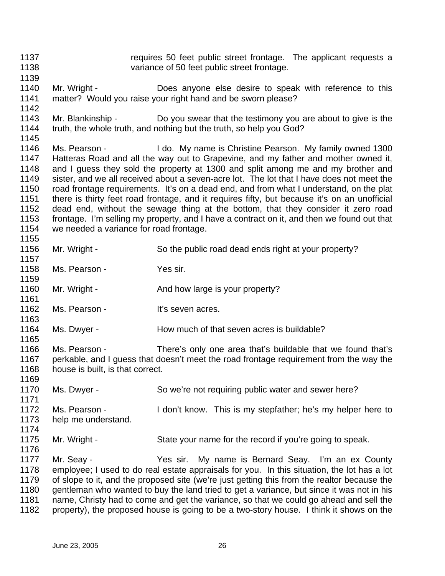1137 **1137** requires 50 feet public street frontage. The applicant requests a 1138 variance of 50 feet public street frontage. 1139 1140 Mr. Wright - Does anyone else desire to speak with reference to this 1141 matter? Would you raise your right hand and be sworn please? 1142 1143 Mr. Blankinship - Do you swear that the testimony you are about to give is the 1144 truth, the whole truth, and nothing but the truth, so help you God? 1145 1146 Ms. Pearson - I do. My name is Christine Pearson. My family owned 1300 1147 Hatteras Road and all the way out to Grapevine, and my father and mother owned it, 1148 and I guess they sold the property at 1300 and split among me and my brother and 1149 sister, and we all received about a seven-acre lot. The lot that I have does not meet the 1150 road frontage requirements. It's on a dead end, and from what I understand, on the plat 1151 there is thirty feet road frontage, and it requires fifty, but because it's on an unofficial 1152 dead end, without the sewage thing at the bottom, that they consider it zero road 1153 frontage. I'm selling my property, and I have a contract on it, and then we found out that 1154 we needed a variance for road frontage. 1155 1156 Mr. Wright - So the public road dead ends right at your property? 1157 1158 Ms. Pearson - Yes sir. 1159 1160 Mr. Wright - And how large is your property? 1161 1162 Ms. Pearson - It's seven acres. 1163 1164 Ms. Dwyer - How much of that seven acres is buildable? 1165 1166 Ms. Pearson - There's only one area that's buildable that we found that's 1167 perkable, and I guess that doesn't meet the road frontage requirement from the way the 1168 house is built, is that correct. 1169 1170 Ms. Dwyer - So we're not requiring public water and sewer here? 1171 1172 Ms. Pearson - I don't know. This is my stepfather; he's my helper here to 1173 help me understand. 1174 1175 Mr. Wright - State your name for the record if you're going to speak. 1176 1177 Mr. Seay - Yes sir. My name is Bernard Seay. I'm an ex County 1178 employee; I used to do real estate appraisals for you. In this situation, the lot has a lot 1179 of slope to it, and the proposed site (we're just getting this from the realtor because the 1180 gentleman who wanted to buy the land tried to get a variance, but since it was not in his 1181 name, Christy had to come and get the variance, so that we could go ahead and sell the 1182 property), the proposed house is going to be a two-story house. I think it shows on the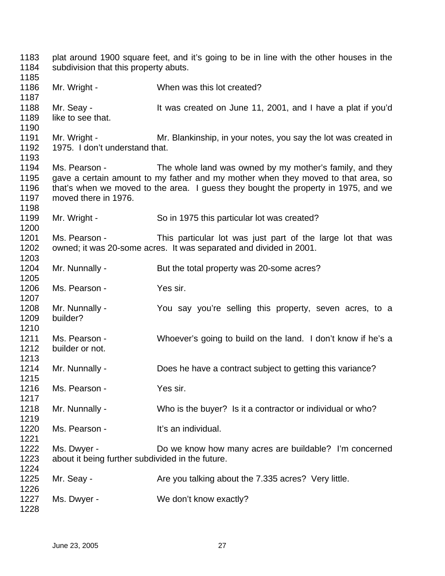| 1183<br>1184<br>1185                 | subdivision that this property abuts.                           | plat around 1900 square feet, and it's going to be in line with the other houses in the                                                                                                                                             |
|--------------------------------------|-----------------------------------------------------------------|-------------------------------------------------------------------------------------------------------------------------------------------------------------------------------------------------------------------------------------|
| 1186<br>1187                         | Mr. Wright -                                                    | When was this lot created?                                                                                                                                                                                                          |
| 1188<br>1189<br>1190                 | Mr. Seay -<br>like to see that.                                 | It was created on June 11, 2001, and I have a plat if you'd                                                                                                                                                                         |
| 1191<br>1192<br>1193                 | Mr. Wright -<br>1975. I don't understand that.                  | Mr. Blankinship, in your notes, you say the lot was created in                                                                                                                                                                      |
| 1194<br>1195<br>1196<br>1197<br>1198 | Ms. Pearson -<br>moved there in 1976.                           | The whole land was owned by my mother's family, and they<br>gave a certain amount to my father and my mother when they moved to that area, so<br>that's when we moved to the area. I guess they bought the property in 1975, and we |
| 1199<br>1200                         | Mr. Wright -                                                    | So in 1975 this particular lot was created?                                                                                                                                                                                         |
| 1201<br>1202<br>1203                 | Ms. Pearson -                                                   | This particular lot was just part of the large lot that was<br>owned; it was 20-some acres. It was separated and divided in 2001.                                                                                                   |
| 1204<br>1205                         | Mr. Nunnally -                                                  | But the total property was 20-some acres?                                                                                                                                                                                           |
| 1206<br>1207                         | Ms. Pearson -                                                   | Yes sir.                                                                                                                                                                                                                            |
| 1208<br>1209<br>1210                 | Mr. Nunnally -<br>builder?                                      | You say you're selling this property, seven acres, to a                                                                                                                                                                             |
| 1211<br>1212<br>1213                 | Ms. Pearson -<br>builder or not.                                | Whoever's going to build on the land. I don't know if he's a                                                                                                                                                                        |
| 1214<br>1215                         | Mr. Nunnally -                                                  | Does he have a contract subject to getting this variance?                                                                                                                                                                           |
| 1216<br>1217                         | Ms. Pearson -                                                   | Yes sir.                                                                                                                                                                                                                            |
| 1218<br>1219                         | Mr. Nunnally -                                                  | Who is the buyer? Is it a contractor or individual or who?                                                                                                                                                                          |
| 1220<br>1221                         | Ms. Pearson -                                                   | It's an individual.                                                                                                                                                                                                                 |
| 1222<br>1223<br>1224                 | Ms. Dwyer -<br>about it being further subdivided in the future. | Do we know how many acres are buildable? I'm concerned                                                                                                                                                                              |
| 1225<br>1226                         | Mr. Seay -                                                      | Are you talking about the 7.335 acres? Very little.                                                                                                                                                                                 |
| 1227<br>1228                         | Ms. Dwyer -                                                     | We don't know exactly?                                                                                                                                                                                                              |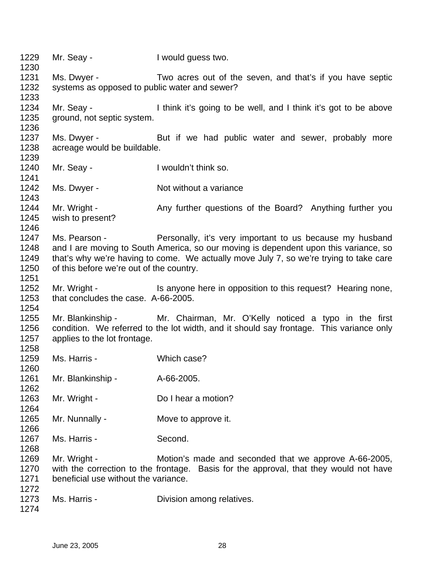| 1229<br>1230 | Mr. Seay -                                    | I would guess two.                                                                      |
|--------------|-----------------------------------------------|-----------------------------------------------------------------------------------------|
| 1231         | Ms. Dwyer -                                   | Two acres out of the seven, and that's if you have septic                               |
| 1232         | systems as opposed to public water and sewer? |                                                                                         |
|              |                                               |                                                                                         |
| 1233         |                                               |                                                                                         |
| 1234         | Mr. Seay -                                    | I think it's going to be well, and I think it's got to be above                         |
| 1235         | ground, not septic system.                    |                                                                                         |
| 1236         |                                               |                                                                                         |
| 1237         | Ms. Dwyer -                                   | But if we had public water and sewer, probably more                                     |
| 1238         | acreage would be buildable.                   |                                                                                         |
| 1239         |                                               |                                                                                         |
| 1240         | Mr. Seay -                                    | I wouldn't think so.                                                                    |
| 1241         |                                               |                                                                                         |
| 1242         | Ms. Dwyer -                                   | Not without a variance                                                                  |
| 1243         |                                               |                                                                                         |
|              |                                               |                                                                                         |
| 1244         | Mr. Wright -                                  | Any further questions of the Board? Anything further you                                |
| 1245         | wish to present?                              |                                                                                         |
| 1246         |                                               |                                                                                         |
| 1247         | Ms. Pearson -                                 | Personally, it's very important to us because my husband                                |
| 1248         |                                               | and I are moving to South America, so our moving is dependent upon this variance, so    |
| 1249         |                                               | that's why we're having to come. We actually move July 7, so we're trying to take care  |
| 1250         | of this before we're out of the country.      |                                                                                         |
| 1251         |                                               |                                                                                         |
| 1252         |                                               | Mr. Wright - Is anyone here in opposition to this request? Hearing none,                |
| 1253         | that concludes the case. A-66-2005.           |                                                                                         |
| 1254         |                                               |                                                                                         |
| 1255         | Mr. Blankinship -                             | Mr. Chairman, Mr. O'Kelly noticed a typo in the first                                   |
|              |                                               |                                                                                         |
| 1256         |                                               | condition. We referred to the lot width, and it should say frontage. This variance only |
| 1257         | applies to the lot frontage.                  |                                                                                         |
| 1258         |                                               |                                                                                         |
| 1259         | Ms. Harris -                                  | Which case?                                                                             |
| 1260         |                                               |                                                                                         |
| 1261         | Mr. Blankinship -                             | A-66-2005.                                                                              |
| 1262         |                                               |                                                                                         |
| 1263         | Mr. Wright -                                  | Do I hear a motion?                                                                     |
| 1264         |                                               |                                                                                         |
| 1265         | Mr. Nunnally -                                | Move to approve it.                                                                     |
| 1266         |                                               |                                                                                         |
| 1267         | Ms. Harris -                                  | Second.                                                                                 |
|              |                                               |                                                                                         |
| 1268         |                                               |                                                                                         |
| 1269         | Mr. Wright -                                  | Motion's made and seconded that we approve A-66-2005,                                   |
| 1270         |                                               | with the correction to the frontage. Basis for the approval, that they would not have   |
| 1271         | beneficial use without the variance.          |                                                                                         |
| 1272         |                                               |                                                                                         |
| 1273         | Ms. Harris -                                  | Division among relatives.                                                               |
| 1274         |                                               |                                                                                         |
|              |                                               |                                                                                         |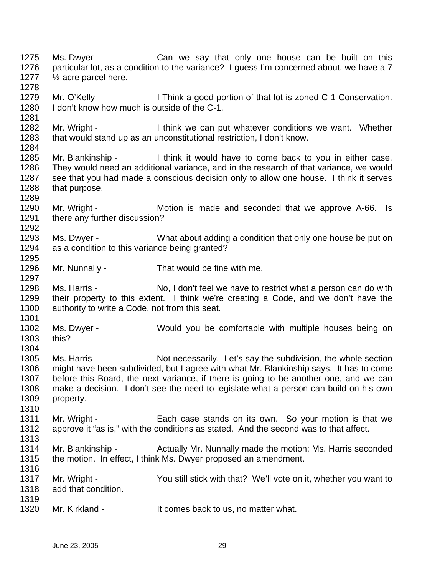1279 Mr. O'Kelly - I Think a good portion of that lot is zoned C-1 Conservation. 1280 I don't know how much is outside of the C-1. 1281 1282 Mr. Wright - I think we can put whatever conditions we want. Whether 1283 that would stand up as an unconstitutional restriction, I don't know. 1284 1285 Mr. Blankinship - I think it would have to come back to you in either case. 1286 They would need an additional variance, and in the research of that variance, we would 1287 see that you had made a conscious decision only to allow one house. I think it serves 1288 that purpose. 1289 1290 Mr. Wright - Motion is made and seconded that we approve A-66. Is 1291 there any further discussion? 1292 1293 Ms. Dwyer - What about adding a condition that only one house be put on 1294 as a condition to this variance being granted? 1295 1296 Mr. Nunnally - That would be fine with me. 1297 1298 Ms. Harris - No, I don't feel we have to restrict what a person can do with 1299 their property to this extent. I think we're creating a Code, and we don't have the 1300 authority to write a Code, not from this seat. 1301 1302 Ms. Dwyer - Would you be comfortable with multiple houses being on 1303 this? 1304 1305 Ms. Harris - Not necessarily. Let's say the subdivision, the whole section 1306 might have been subdivided, but I agree with what Mr. Blankinship says. It has to come 1307 before this Board, the next variance, if there is going to be another one, and we can 1308 make a decision. I don't see the need to legislate what a person can build on his own 1309 property. 1310 1311 Mr. Wright - Each case stands on its own. So your motion is that we 1312 approve it "as is," with the conditions as stated. And the second was to that affect. 1313 1314 Mr. Blankinship - Actually Mr. Nunnally made the motion; Ms. Harris seconded 1315 the motion. In effect, I think Ms. Dwyer proposed an amendment. 1316 1317 Mr. Wright - You still stick with that? We'll vote on it, whether you want to 1318 add that condition. 1319 1320 Mr. Kirkland - It comes back to us, no matter what.

1275 Ms. Dwyer - Can we say that only one house can be built on this 1276 particular lot, as a condition to the variance? I guess I'm concerned about, we have a 7

1277 ½-acre parcel here.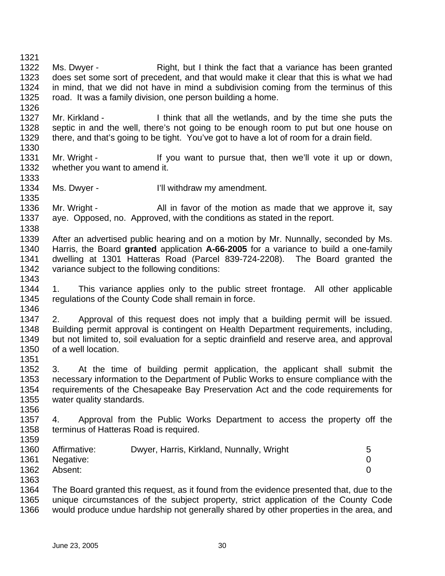1321 1322 Ms. Dwyer - Right, but I think the fact that a variance has been granted 1323 does set some sort of precedent, and that would make it clear that this is what we had 1324 in mind, that we did not have in mind a subdivision coming from the terminus of this 1325 road. It was a family division, one person building a home. 1326 1327 Mr. Kirkland - I think that all the wetlands, and by the time she puts the 1328 septic in and the well, there's not going to be enough room to put but one house on 1329 there, and that's going to be tight. You've got to have a lot of room for a drain field. 1330 1331 Mr. Wright - If you want to pursue that, then we'll vote it up or down, 1332 whether you want to amend it. 1333 1334 Ms. Dwyer - I'll withdraw my amendment. 1335 1336 Mr. Wright - All in favor of the motion as made that we approve it, say 1337 aye. Opposed, no. Approved, with the conditions as stated in the report. 1338 1339 After an advertised public hearing and on a motion by Mr. Nunnally, seconded by Ms. 1340 Harris, the Board **granted** application **A-66-2005** for a variance to build a one-family 1341 dwelling at 1301 Hatteras Road (Parcel 839-724-2208). The Board granted the 1342 variance subject to the following conditions: 1343 1344 1. This variance applies only to the public street frontage. All other applicable 1345 regulations of the County Code shall remain in force. 1346 1347 2. Approval of this request does not imply that a building permit will be issued. 1348 Building permit approval is contingent on Health Department requirements, including, 1349 but not limited to, soil evaluation for a septic drainfield and reserve area, and approval 1350 of a well location. 1351 1352 3. At the time of building permit application, the applicant shall submit the 1353 necessary information to the Department of Public Works to ensure compliance with the 1354 requirements of the Chesapeake Bay Preservation Act and the code requirements for 1355 water quality standards. 1356 1357 4. Approval from the Public Works Department to access the property off the 1358 terminus of Hatteras Road is required. 1359 1360 Affirmative: Dwyer, Harris, Kirkland, Nunnally, Wright 5 1361 Negative: 0 1362 Absent: 0 1363 1364 The Board granted this request, as it found from the evidence presented that, due to the 1365 unique circumstances of the subject property, strict application of the County Code 1366 would produce undue hardship not generally shared by other properties in the area, and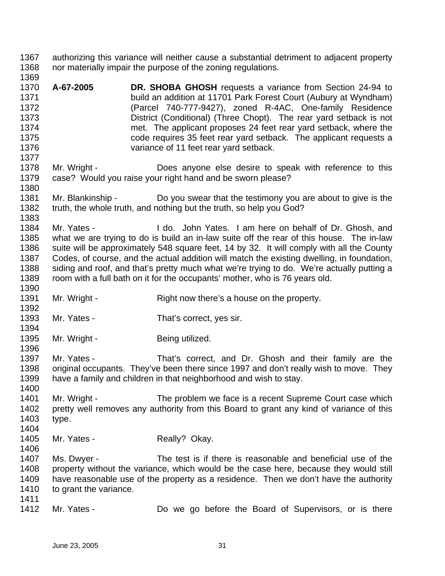- 1367 authorizing this variance will neither cause a substantial detriment to adjacent property 1368 nor materially impair the purpose of the zoning regulations.
- 1370 **A-67-2005 DR. SHOBA GHOSH** requests a variance from Section 24-94 to 1371 build an addition at 11701 Park Forest Court (Aubury at Wyndham) 1372 (Parcel 740-777-9427), zoned R-4AC, One-family Residence 1373 District (Conditional) (Three Chopt). The rear yard setback is not 1374 met. The applicant proposes 24 feet rear yard setback, where the 1375 code requires 35 feet rear yard setback. The applicant requests a 1376 variance of 11 feet rear yard setback.
- 1378 Mr. Wright Does anyone else desire to speak with reference to this 1379 case? Would you raise your right hand and be sworn please? 1380
- 1381 Mr. Blankinship Do you swear that the testimony you are about to give is the 1382 truth, the whole truth, and nothing but the truth, so help you God?
- 1384 Mr. Yates I do. John Yates. I am here on behalf of Dr. Ghosh, and 1385 what we are trying to do is build an in-law suite off the rear of this house. The in-law 1386 suite will be approximately 548 square feet, 14 by 32. It will comply with all the County 1387 Codes, of course, and the actual addition will match the existing dwelling, in foundation, 1388 siding and roof, and that's pretty much what we're trying to do. We're actually putting a 1389 room with a full bath on it for the occupants' mother, who is 76 years old. 1390
- 1391 Mr. Wright Right now there's a house on the property.
- 1393 Mr. Yates That's correct, yes sir.
- 1394 1395 Mr. Wright - Being utilized.

1369

1377

1383

1392

1396

- 1397 Mr. Yates That's correct, and Dr. Ghosh and their family are the 1398 original occupants. They've been there since 1997 and don't really wish to move. They 1399 have a family and children in that neighborhood and wish to stay.
- 1401 Mr. Wright The problem we face is a recent Supreme Court case which 1402 pretty well removes any authority from this Board to grant any kind of variance of this 1403 type. 1404
- 1405 Mr. Yates Really? Okay.
- 1406 1407 Ms. Dwyer - The test is if there is reasonable and beneficial use of the 1408 property without the variance, which would be the case here, because they would still 1409 have reasonable use of the property as a residence. Then we don't have the authority 1410 to grant the variance. 1411
	- 1412 Mr. Yates Do we go before the Board of Supervisors, or is there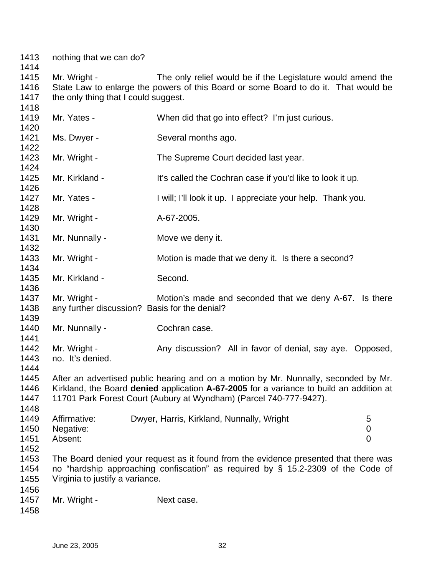1413 nothing that we can do?

1414

1418

1415 Mr. Wright - The only relief would be if the Legislature would amend the 1416 State Law to enlarge the powers of this Board or some Board to do it. That would be 1417 the only thing that I could suggest.

1419 Mr. Yates - When did that go into effect? I'm just curious. 1420 1421 Ms. Dwyer - Several months ago. 1422 1423 Mr. Wright - The Supreme Court decided last year. 1424 1425 Mr. Kirkland - It's called the Cochran case if you'd like to look it up. 1426 1427 Mr. Yates - I will; I'll look it up. I appreciate your help. Thank you. 1428 1429 Mr. Wright - A-67-2005. 1430 1431 Mr. Nunnally - Move we deny it. 1432 1433 Mr. Wright - Motion is made that we deny it. Is there a second? 1434 1435 Mr. Kirkland - Second. 1436 1437 Mr. Wright - Motion's made and seconded that we deny A-67. Is there 1438 any further discussion? Basis for the denial? 1439 1440 Mr. Nunnally - Cochran case. 1441 1442 Mr. Wright - Any discussion? All in favor of denial, say aye. Opposed, 1443 no. It's denied. 1444 1445 After an advertised public hearing and on a motion by Mr. Nunnally, seconded by Mr. 1446 Kirkland, the Board **denied** application **A-67-2005** for a variance to build an addition at 1447 11701 Park Forest Court (Aubury at Wyndham) (Parcel 740-777-9427). 1448 1449 Affirmative: Dwyer, Harris, Kirkland, Nunnally, Wright 5 1450 Negative: 0 1451 Absent: 0 1452 1453 The Board denied your request as it found from the evidence presented that there was

1454 no "hardship approaching confiscation" as required by § 15.2-2309 of the Code of 1455 Virginia to justify a variance. 1456

1457 Mr. Wright - Next case.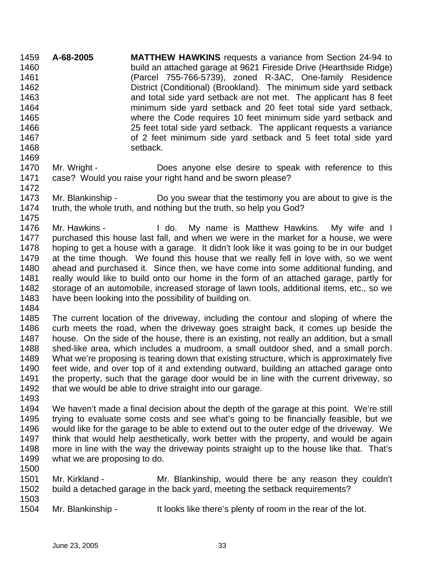1459 **A-68-2005 MATTHEW HAWKINS** requests a variance from Section 24-94 to 1460 build an attached garage at 9621 Fireside Drive (Hearthside Ridge) 1461 (Parcel 755-766-5739), zoned R-3AC, One-family Residence 1462 District (Conditional) (Brookland). The minimum side yard setback 1463 and total side yard setback are not met. The applicant has 8 feet 1464 minimum side yard setback and 20 feet total side yard setback, 1465 where the Code requires 10 feet minimum side yard setback and 1466 25 feet total side yard setback. The applicant requests a variance 1467 of 2 feet minimum side yard setback and 5 feet total side yard 1468 setback. 1469

- 1470 Mr. Wright Does anyone else desire to speak with reference to this 1471 case? Would you raise your right hand and be sworn please? 1472
- 1473 Mr. Blankinship Do you swear that the testimony you are about to give is the 1474 truth, the whole truth, and nothing but the truth, so help you God? 1475
- 1476 Mr. Hawkins I do. My name is Matthew Hawkins. My wife and I 1477 purchased this house last fall, and when we were in the market for a house, we were 1478 hoping to get a house with a garage. It didn't look like it was going to be in our budget 1479 at the time though. We found this house that we really fell in love with, so we went 1480 ahead and purchased it. Since then, we have come into some additional funding, and 1481 really would like to build onto our home in the form of an attached garage, partly for 1482 storage of an automobile, increased storage of lawn tools, additional items, etc., so we 1483 have been looking into the possibility of building on.
- 1484

1485 The current location of the driveway, including the contour and sloping of where the 1486 curb meets the road, when the driveway goes straight back, it comes up beside the 1487 house. On the side of the house, there is an existing, not really an addition, but a small 1488 shed-like area, which includes a mudroom, a small outdoor shed, and a small porch. 1489 What we're proposing is tearing down that existing structure, which is approximately five 1490 feet wide, and over top of it and extending outward, building an attached garage onto 1491 the property, such that the garage door would be in line with the current driveway, so 1492 that we would be able to drive straight into our garage.

1493

1494 We haven't made a final decision about the depth of the garage at this point. We're still 1495 trying to evaluate some costs and see what's going to be financially feasible, but we 1496 would like for the garage to be able to extend out to the outer edge of the driveway. We 1497 think that would help aesthetically, work better with the property, and would be again 1498 more in line with the way the driveway points straight up to the house like that. That's 1499 what we are proposing to do.

1500

1501 Mr. Kirkland - Mr. Blankinship, would there be any reason they couldn't 1502 build a detached garage in the back yard, meeting the setback requirements? 1503

1504 Mr. Blankinship - It looks like there's plenty of room in the rear of the lot.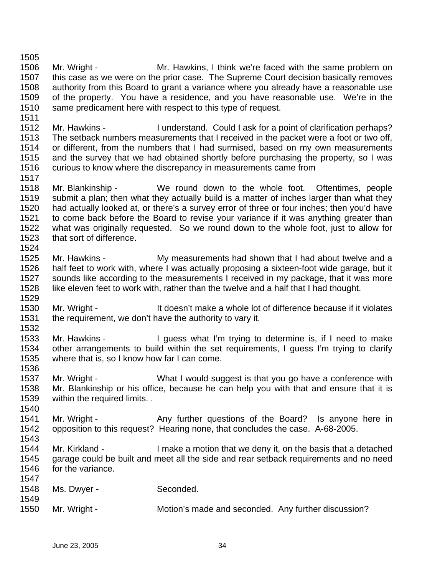1505 1506 Mr. Wright - Mr. Hawkins, I think we're faced with the same problem on 1507 this case as we were on the prior case. The Supreme Court decision basically removes 1508 authority from this Board to grant a variance where you already have a reasonable use 1509 of the property. You have a residence, and you have reasonable use. We're in the 1510 same predicament here with respect to this type of request. 1511

1512 Mr. Hawkins - I understand. Could I ask for a point of clarification perhaps? 1513 The setback numbers measurements that I received in the packet were a foot or two off, 1514 or different, from the numbers that I had surmised, based on my own measurements 1515 and the survey that we had obtained shortly before purchasing the property, so I was 1516 curious to know where the discrepancy in measurements came from

1518 Mr. Blankinship - We round down to the whole foot. Oftentimes, people 1519 submit a plan; then what they actually build is a matter of inches larger than what they 1520 had actually looked at, or there's a survey error of three or four inches; then you'd have 1521 to come back before the Board to revise your variance if it was anything greater than 1522 what was originally requested. So we round down to the whole foot, just to allow for 1523 that sort of difference. 1524

1525 Mr. Hawkins - My measurements had shown that I had about twelve and a 1526 half feet to work with, where I was actually proposing a sixteen-foot wide garage, but it 1527 sounds like according to the measurements I received in my package, that it was more 1528 like eleven feet to work with, rather than the twelve and a half that I had thought.

1530 Mr. Wright - It doesn't make a whole lot of difference because if it violates 1531 the requirement, we don't have the authority to vary it. 1532

1533 Mr. Hawkins - I guess what I'm trying to determine is, if I need to make 1534 other arrangements to build within the set requirements, I guess I'm trying to clarify 1535 where that is, so I know how far I can come. 1536

1537 Mr. Wright - What I would suggest is that you go have a conference with 1538 Mr. Blankinship or his office, because he can help you with that and ensure that it is 1539 within the required limits. .

1541 Mr. Wright - Any further questions of the Board? Is anyone here in 1542 opposition to this request? Hearing none, that concludes the case. A-68-2005.

1544 Mr. Kirkland - I make a motion that we deny it, on the basis that a detached 1545 garage could be built and meet all the side and rear setback requirements and no need 1546 for the variance.

| 1548 | Ms. Dwyer -  | Seconded.                                           |  |
|------|--------------|-----------------------------------------------------|--|
| 1549 |              |                                                     |  |
| 1550 | Mr. Wright - | Motion's made and seconded. Any further discussion? |  |

1517

1529

1540

1543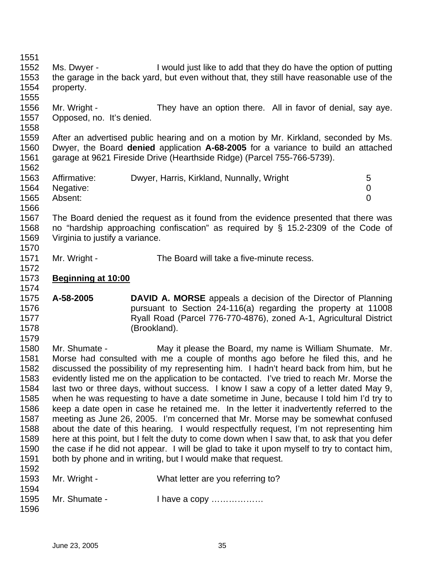1551 1552 Ms. Dwyer - I would just like to add that they do have the option of putting 1553 the garage in the back yard, but even without that, they still have reasonable use of the 1554 property. 1555 1556 Mr. Wright - They have an option there. All in favor of denial, say aye. 1557 Opposed, no. It's denied. 1558 1559 After an advertised public hearing and on a motion by Mr. Kirkland, seconded by Ms. 1560 Dwyer, the Board **denied** application **A-68-2005** for a variance to build an attached 1561 garage at 9621 Fireside Drive (Hearthside Ridge) (Parcel 755-766-5739). 1562 1563 Affirmative: Dwyer, Harris, Kirkland, Nunnally, Wright 5 1564 Negative: 0 1565 Absent: 0 1566 1567 The Board denied the request as it found from the evidence presented that there was 1568 no "hardship approaching confiscation" as required by § 15.2-2309 of the Code of 1569 Virginia to justify a variance. 1570 1571 Mr. Wright - The Board will take a five-minute recess. 1572 1573 **Beginning at 10:00** 1574 1575 **A-58-2005 DAVID A. MORSE** appeals a decision of the Director of Planning 1576 pursuant to Section 24-116(a) regarding the property at 11008 1577 Ryall Road (Parcel 776-770-4876), zoned A-1, Agricultural District 1578 (Brookland). 1579 1580 Mr. Shumate - May it please the Board, my name is William Shumate. Mr. 1581 Morse had consulted with me a couple of months ago before he filed this, and he 1582 discussed the possibility of my representing him. I hadn't heard back from him, but he 1583 evidently listed me on the application to be contacted. I've tried to reach Mr. Morse the 1584 last two or three days, without success. I know I saw a copy of a letter dated May 9, 1585 when he was requesting to have a date sometime in June, because I told him I'd try to 1586 keep a date open in case he retained me. In the letter it inadvertently referred to the 1587 meeting as June 26, 2005. I'm concerned that Mr. Morse may be somewhat confused 1588 about the date of this hearing. I would respectfully request, I'm not representing him 1589 here at this point, but I felt the duty to come down when I saw that, to ask that you defer 1590 the case if he did not appear. I will be glad to take it upon myself to try to contact him, 1591 both by phone and in writing, but I would make that request. 1592 1593 Mr. Wright - What letter are you referring to? 1594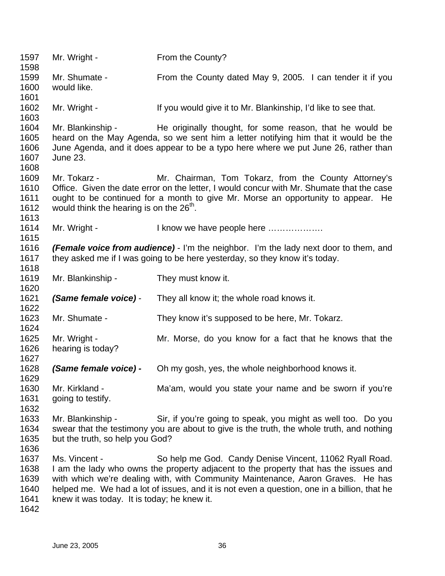1597 Mr. Wright - From the County? 1598 1599 Mr. Shumate - From the County dated May 9, 2005. I can tender it if you 1600 would like. 1601 1602 Mr. Wright - If you would give it to Mr. Blankinship, I'd like to see that. 1603 1604 Mr. Blankinship - He originally thought, for some reason, that he would be 1605 heard on the May Agenda, so we sent him a letter notifying him that it would be the 1606 June Agenda, and it does appear to be a typo here where we put June 26, rather than 1607 June 23. 1608 1609 Mr. Tokarz - Mr. Chairman, Tom Tokarz, from the County Attorney's 1610 Office. Given the date error on the letter, I would concur with Mr. Shumate that the case 1611 ought to be continued for a month to give Mr. Morse an opportunity to appear. He 1612 would think the hearing is on the  $26<sup>th</sup>$ . 1613 1614 Mr. Wright - I know we have people here .................. 1615 1616 *(Female voice from audience)* - I'm the neighbor. I'm the lady next door to them, and 1617 they asked me if I was going to be here yesterday, so they know it's today. 1618 1619 Mr. Blankinship - They must know it. 1620 1621 *(Same female voice)* - They all know it; the whole road knows it. 1622 1623 Mr. Shumate - They know it's supposed to be here, Mr. Tokarz. 1624 1625 Mr. Wright - Mr. Morse, do you know for a fact that he knows that the 1626 hearing is today? 1627 1628 *(Same female voice) -* Oh my gosh, yes, the whole neighborhood knows it. 1629 1630 Mr. Kirkland - Ma'am, would you state your name and be sworn if you're 1631 going to testify. 1632 1633 Mr. Blankinship - Sir, if you're going to speak, you might as well too. Do you 1634 swear that the testimony you are about to give is the truth, the whole truth, and nothing 1635 but the truth, so help you God? 1636 1637 Ms. Vincent - So help me God. Candy Denise Vincent, 11062 Ryall Road. 1638 I am the lady who owns the property adjacent to the property that has the issues and 1639 with which we're dealing with, with Community Maintenance, Aaron Graves. He has 1640 helped me. We had a lot of issues, and it is not even a question, one in a billion, that he 1641 knew it was today. It is today; he knew it. 1642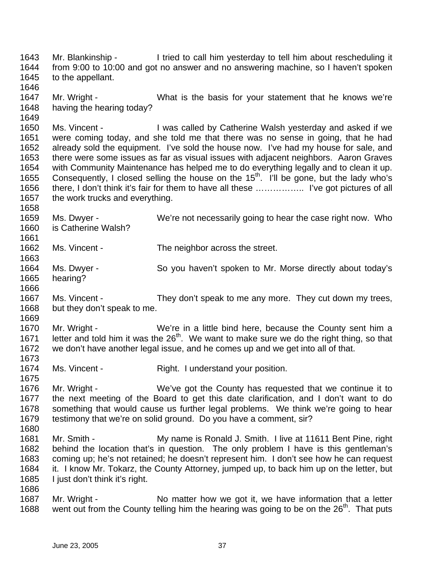1643 Mr. Blankinship - I tried to call him yesterday to tell him about rescheduling it 1644 from 9:00 to 10:00 and got no answer and no answering machine, so I haven't spoken 1645 to the appellant. 1646 1647 Mr. Wright - What is the basis for your statement that he knows we're 1648 having the hearing today? 1649 1650 Ms. Vincent - I was called by Catherine Walsh yesterday and asked if we 1651 were coming today, and she told me that there was no sense in going, that he had 1652 already sold the equipment. I've sold the house now. I've had my house for sale, and 1653 there were some issues as far as visual issues with adjacent neighbors. Aaron Graves 1654 with Community Maintenance has helped me to do everything legally and to clean it up. 1655 Consequently, I closed selling the house on the  $15<sup>th</sup>$ . I'll be gone, but the lady who's 1656 there, I don't think it's fair for them to have all these …………….. I've got pictures of all 1657 the work trucks and everything. 1658 1659 Ms. Dwyer - We're not necessarily going to hear the case right now. Who 1660 is Catherine Walsh? 1661 1662 Ms. Vincent - The neighbor across the street. 1663 1664 Ms. Dwyer - So you haven't spoken to Mr. Morse directly about today's 1665 hearing? 1666 1667 Ms. Vincent - They don't speak to me any more. They cut down my trees, 1668 but they don't speak to me. 1669 1670 Mr. Wright - We're in a little bind here, because the County sent him a 1671 letter and told him it was the  $26<sup>th</sup>$ . We want to make sure we do the right thing, so that 1672 we don't have another legal issue, and he comes up and we get into all of that. 1673<br>1674 Ms. Vincent - Right. I understand your position. 1675 1676 Mr. Wright - We've got the County has requested that we continue it to 1677 the next meeting of the Board to get this date clarification, and I don't want to do 1678 something that would cause us further legal problems. We think we're going to hear 1679 testimony that we're on solid ground. Do you have a comment, sir? 1680 1681 Mr. Smith - My name is Ronald J. Smith. I live at 11611 Bent Pine, right 1682 behind the location that's in question. The only problem I have is this gentleman's 1683 coming up; he's not retained; he doesn't represent him. I don't see how he can request 1684 it. I know Mr. Tokarz, the County Attorney, jumped up, to back him up on the letter, but 1685 I just don't think it's right. 1686 1687 Mr. Wright - No matter how we got it, we have information that a letter 1688 went out from the County telling him the hearing was going to be on the  $26<sup>th</sup>$ . That puts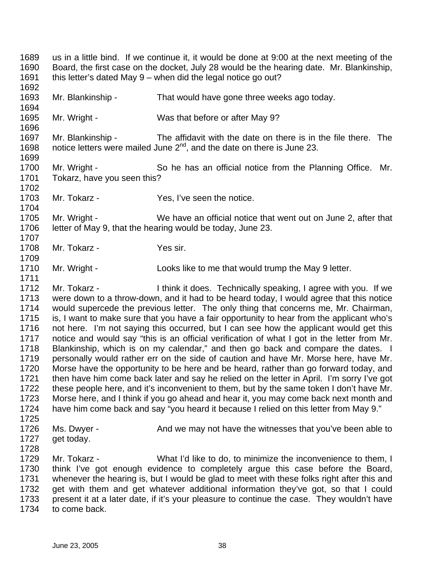1689 us in a little bind. If we continue it, it would be done at 9:00 at the next meeting of the 1690 Board, the first case on the docket, July 28 would be the hearing date. Mr. Blankinship, 1691 this letter's dated May 9 – when did the legal notice go out? 1692 1693 Mr. Blankinship - That would have gone three weeks ago today. 1694 1695 Mr. Wright - Was that before or after May 9? 1696 1697 Mr. Blankinship - The affidavit with the date on there is in the file there. The 1698 notice letters were mailed June  $2^{nd}$ , and the date on there is June 23. 1699 1700 Mr. Wright - So he has an official notice from the Planning Office. Mr. 1701 Tokarz, have you seen this? 1702 1703 Mr. Tokarz - Yes, I've seen the notice. 1704 1705 Mr. Wright - We have an official notice that went out on June 2, after that 1706 letter of May 9, that the hearing would be today, June 23. 1707 1708 Mr. Tokarz - Yes sir. 1709 1710 Mr. Wright - Looks like to me that would trump the May 9 letter. 1711 1712 Mr. Tokarz - Ithink it does. Technically speaking, I agree with you. If we 1713 were down to a throw-down, and it had to be heard today, I would agree that this notice 1714 would supercede the previous letter. The only thing that concerns me, Mr. Chairman, 1715 is, I want to make sure that you have a fair opportunity to hear from the applicant who's 1716 not here. I'm not saying this occurred, but I can see how the applicant would get this 1717 notice and would say "this is an official verification of what I got in the letter from Mr. 1718 Blankinship, which is on my calendar," and then go back and compare the dates. I 1719 personally would rather err on the side of caution and have Mr. Morse here, have Mr. 1720 Morse have the opportunity to be here and be heard, rather than go forward today, and 1721 then have him come back later and say he relied on the letter in April. I'm sorry I've got 1722 these people here, and it's inconvenient to them, but by the same token I don't have Mr. 1723 Morse here, and I think if you go ahead and hear it, you may come back next month and 1724 have him come back and say "you heard it because I relied on this letter from May 9." 1725 1726 Ms. Dwyer - And we may not have the witnesses that you've been able to 1727 get today. 1728 1729 Mr. Tokarz - What I'd like to do, to minimize the inconvenience to them, I 1730 think I've got enough evidence to completely argue this case before the Board, 1731 whenever the hearing is, but I would be glad to meet with these folks right after this and 1732 get with them and get whatever additional information they've got, so that I could 1733 present it at a later date, if it's your pleasure to continue the case. They wouldn't have 1734 to come back.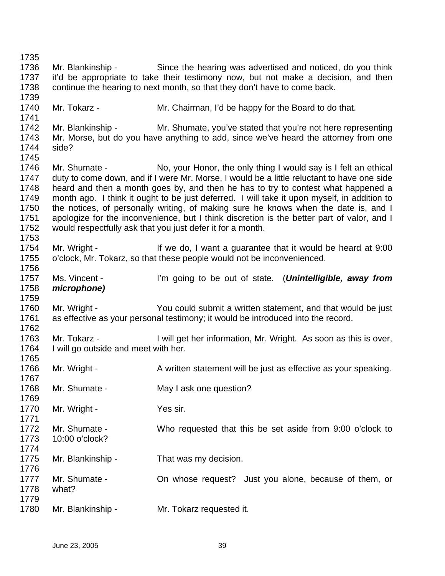| 1735         |                                                                           |                                                                                             |  |  |
|--------------|---------------------------------------------------------------------------|---------------------------------------------------------------------------------------------|--|--|
| 1736         |                                                                           | Mr. Blankinship - Since the hearing was advertised and noticed, do you think                |  |  |
| 1737         |                                                                           | it'd be appropriate to take their testimony now, but not make a decision, and then          |  |  |
| 1738         | continue the hearing to next month, so that they don't have to come back. |                                                                                             |  |  |
| 1739         |                                                                           |                                                                                             |  |  |
| 1740         | Mr. Tokarz -                                                              | Mr. Chairman, I'd be happy for the Board to do that.                                        |  |  |
| 1741         |                                                                           |                                                                                             |  |  |
| 1742         | Mr. Blankinship -                                                         | Mr. Shumate, you've stated that you're not here representing                                |  |  |
| 1743         |                                                                           | Mr. Morse, but do you have anything to add, since we've heard the attorney from one         |  |  |
| 1744         | side?                                                                     |                                                                                             |  |  |
| 1745         |                                                                           |                                                                                             |  |  |
| 1746         | Mr. Shumate -                                                             | No, your Honor, the only thing I would say is I felt an ethical                             |  |  |
| 1747         |                                                                           | duty to come down, and if I were Mr. Morse, I would be a little reluctant to have one side  |  |  |
| 1748         |                                                                           | heard and then a month goes by, and then he has to try to contest what happened a           |  |  |
| 1749         |                                                                           | month ago. I think it ought to be just deferred. I will take it upon myself, in addition to |  |  |
| 1750         |                                                                           | the notices, of personally writing, of making sure he knows when the date is, and I         |  |  |
| 1751         |                                                                           | apologize for the inconvenience, but I think discretion is the better part of valor, and I  |  |  |
| 1752         |                                                                           | would respectfully ask that you just defer it for a month.                                  |  |  |
| 1753         |                                                                           |                                                                                             |  |  |
| 1754         | Mr. Wright -                                                              | If we do, I want a guarantee that it would be heard at 9:00                                 |  |  |
| 1755         |                                                                           | o'clock, Mr. Tokarz, so that these people would not be inconvenienced.                      |  |  |
|              |                                                                           |                                                                                             |  |  |
| 1756         |                                                                           |                                                                                             |  |  |
| 1757         | Ms. Vincent -                                                             | I'm going to be out of state. (Unintelligible, away from                                    |  |  |
|              |                                                                           |                                                                                             |  |  |
| 1758         | microphone)                                                               |                                                                                             |  |  |
| 1759         |                                                                           |                                                                                             |  |  |
| 1760         | Mr. Wright -                                                              | You could submit a written statement, and that would be just                                |  |  |
| 1761         |                                                                           | as effective as your personal testimony; it would be introduced into the record.            |  |  |
| 1762         |                                                                           |                                                                                             |  |  |
| 1763         | Mr. Tokarz -                                                              | I will get her information, Mr. Wright. As soon as this is over,                            |  |  |
| 1764         | I will go outside and meet with her.                                      |                                                                                             |  |  |
| 1765         |                                                                           |                                                                                             |  |  |
| 1766         | Mr. Wright -                                                              | A written statement will be just as effective as your speaking.                             |  |  |
| 1767         |                                                                           |                                                                                             |  |  |
|              |                                                                           |                                                                                             |  |  |
| 1768         | Mr. Shumate -                                                             | May I ask one question?                                                                     |  |  |
| 1769         |                                                                           |                                                                                             |  |  |
| 1770         | Mr. Wright -                                                              | Yes sir.                                                                                    |  |  |
| 1771         |                                                                           |                                                                                             |  |  |
| 1772         | Mr. Shumate -                                                             | Who requested that this be set aside from 9:00 o'clock to                                   |  |  |
| 1773         | 10:00 o'clock?                                                            |                                                                                             |  |  |
| 1774         |                                                                           |                                                                                             |  |  |
| 1775         | Mr. Blankinship -                                                         | That was my decision.                                                                       |  |  |
| 1776         |                                                                           |                                                                                             |  |  |
| 1777         | Mr. Shumate -                                                             | On whose request? Just you alone, because of them, or                                       |  |  |
| 1778         | what?                                                                     |                                                                                             |  |  |
| 1779<br>1780 | Mr. Blankinship -                                                         | Mr. Tokarz requested it.                                                                    |  |  |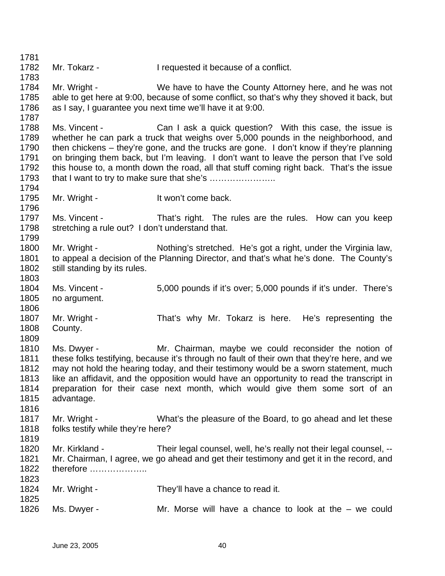1781 1782 Mr. Tokarz - I requested it because of a conflict. 1783 1784 Mr. Wright - We have to have the County Attorney here, and he was not 1785 able to get here at 9:00, because of some conflict, so that's why they shoved it back, but 1786 as I say, I guarantee you next time we'll have it at 9:00. 1787 1788 Ms. Vincent - Can I ask a quick question? With this case, the issue is 1789 whether he can park a truck that weighs over 5,000 pounds in the neighborhood, and 1790 then chickens – they're gone, and the trucks are gone. I don't know if they're planning 1791 on bringing them back, but I'm leaving. I don't want to leave the person that I've sold 1792 this house to, a month down the road, all that stuff coming right back. That's the issue 1793 that I want to try to make sure that she's ................................ 1794 1795 Mr. Wright - It won't come back. 1796 1797 Ms. Vincent - That's right. The rules are the rules. How can you keep 1798 stretching a rule out? I don't understand that. 1799 1800 Mr. Wright - Nothing's stretched. He's got a right, under the Virginia law, 1801 to appeal a decision of the Planning Director, and that's what he's done. The County's 1802 still standing by its rules. 1803 1804 Ms. Vincent - 5,000 pounds if it's over; 5,000 pounds if it's under. There's 1805 no argument. 1806 1807 Mr. Wright - That's why Mr. Tokarz is here. He's representing the 1808 County. 1809 1810 Ms. Dwyer - Mr. Chairman, maybe we could reconsider the notion of 1811 these folks testifying, because it's through no fault of their own that they're here, and we 1812 may not hold the hearing today, and their testimony would be a sworn statement, much 1813 like an affidavit, and the opposition would have an opportunity to read the transcript in 1814 preparation for their case next month, which would give them some sort of an 1815 advantage. 1816 1817 Mr. Wright - What's the pleasure of the Board, to go ahead and let these 1818 folks testify while they're here? 1819 1820 Mr. Kirkland - Their legal counsel, well, he's really not their legal counsel, -- 1821 Mr. Chairman, I agree, we go ahead and get their testimony and get it in the record, and 1822 therefore ……………….. 1823 1824 Mr. Wright - They'll have a chance to read it. 1825 1826 Ms. Dwyer - Mr. Morse will have a chance to look at the – we could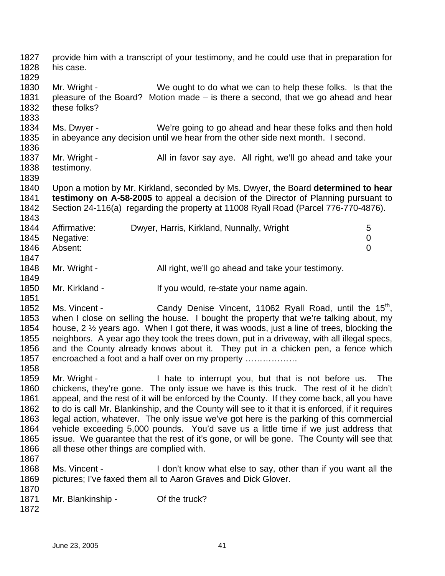1827 provide him with a transcript of your testimony, and he could use that in preparation for 1828 his case. 1829 1830 Mr. Wright - We ought to do what we can to help these folks. Is that the 1831 pleasure of the Board? Motion made – is there a second, that we go ahead and hear 1832 these folks? 1833 1834 Ms. Dwyer - We're going to go ahead and hear these folks and then hold 1835 in abeyance any decision until we hear from the other side next month. I second. 1836 1837 Mr. Wright - All in favor say aye. All right, we'll go ahead and take your 1838 testimony. 1839 1840 Upon a motion by Mr. Kirkland, seconded by Ms. Dwyer, the Board **determined to hear**  1841 **testimony on A-58-2005** to appeal a decision of the Director of Planning pursuant to 1842 Section 24-116(a) regarding the property at 11008 Ryall Road (Parcel 776-770-4876). 1843 1844 Affirmative: Dwyer, Harris, Kirkland, Nunnally, Wright 5 1845 Negative: 0 1846 Absent: 0 1847 1848 Mr. Wright - All right, we'll go ahead and take your testimony. 1849 1850 Mr. Kirkland - If you would, re-state your name again. 1851 1852 Ms. Vincent - Candy Denise Vincent, 11062 Ryall Road, until the 15<sup>th</sup>, 1853 when I close on selling the house. I bought the property that we're talking about, my 1854 house, 2 ½ years ago. When I got there, it was woods, just a line of trees, blocking the 1855 neighbors. A year ago they took the trees down, put in a driveway, with all illegal specs, 1856 and the County already knows about it. They put in a chicken pen, a fence which 1857 encroached a foot and a half over on my property ……………… 1858 1859 Mr. Wright - I hate to interrupt you, but that is not before us. The 1860 chickens, they're gone. The only issue we have is this truck. The rest of it he didn't 1861 appeal, and the rest of it will be enforced by the County. If they come back, all you have 1862 to do is call Mr. Blankinship, and the County will see to it that it is enforced, if it requires 1863 legal action, whatever. The only issue we've got here is the parking of this commercial 1864 vehicle exceeding 5,000 pounds. You'd save us a little time if we just address that 1865 issue. We guarantee that the rest of it's gone, or will be gone. The County will see that 1866 all these other things are complied with. 1867<br>1868 Ms. Vincent - I don't know what else to say, other than if you want all the 1869 pictures; I've faxed them all to Aaron Graves and Dick Glover. 1870 1871 Mr. Blankinship - Of the truck? 1872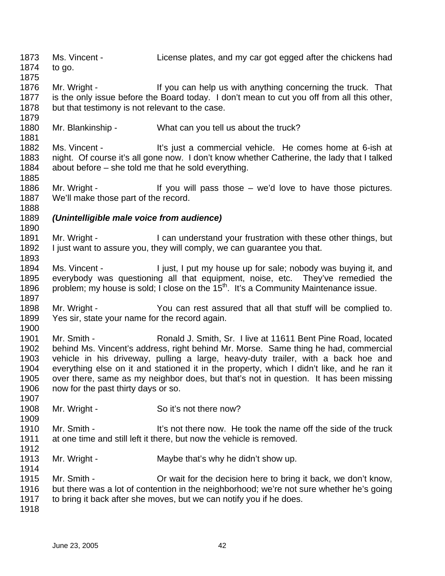1873 Ms. Vincent - License plates, and my car got egged after the chickens had 1874 to go. 1875 1876 Mr. Wright - If you can help us with anything concerning the truck. That 1877 is the only issue before the Board today. I don't mean to cut you off from all this other, 1878 but that testimony is not relevant to the case. 1879 1880 Mr. Blankinship - What can you tell us about the truck? 1881 1882 Ms. Vincent - It's just a commercial vehicle. He comes home at 6-ish at 1883 night. Of course it's all gone now. I don't know whether Catherine, the lady that I talked 1884 about before – she told me that he sold everything. 1885 1886 Mr. Wright - If you will pass those – we'd love to have those pictures. 1887 We'll make those part of the record. 1888 1889 *(Unintelligible male voice from audience)* 1890 1891 Mr. Wright - I can understand your frustration with these other things, but 1892 I just want to assure you, they will comply, we can guarantee you that. 1893 1894 Ms. Vincent - I just, I put my house up for sale; nobody was buying it, and 1895 everybody was questioning all that equipment, noise, etc. They've remedied the 1896 problem; my house is sold; I close on the  $15<sup>th</sup>$ . It's a Community Maintenance issue. 1897 1898 Mr. Wright - You can rest assured that all that stuff will be complied to. 1899 Yes sir, state your name for the record again. 1900 1901 Mr. Smith - Ronald J. Smith, Sr. I live at 11611 Bent Pine Road, located 1902 behind Ms. Vincent's address, right behind Mr. Morse. Same thing he had, commercial 1903 vehicle in his driveway, pulling a large, heavy-duty trailer, with a back hoe and 1904 everything else on it and stationed it in the property, which I didn't like, and he ran it 1905 over there, same as my neighbor does, but that's not in question. It has been missing 1906 now for the past thirty days or so. 1907 1908 Mr. Wright - So it's not there now? 1909 1910 Mr. Smith - It's not there now. He took the name off the side of the truck 1911 at one time and still left it there, but now the vehicle is removed. 1912 1913 Mr. Wright - Maybe that's why he didn't show up. 1914 1915 Mr. Smith - Or wait for the decision here to bring it back, we don't know, 1916 but there was a lot of contention in the neighborhood; we're not sure whether he's going 1917 to bring it back after she moves, but we can notify you if he does. 1918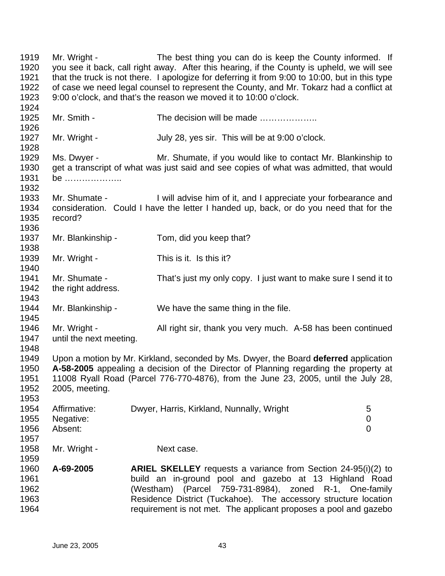1919 Mr. Wright - The best thing you can do is keep the County informed. If 1920 you see it back, call right away. After this hearing, if the County is upheld, we will see 1921 that the truck is not there. I apologize for deferring it from 9:00 to 10:00, but in this type 1922 of case we need legal counsel to represent the County, and Mr. Tokarz had a conflict at 1923 9:00 o'clock, and that's the reason we moved it to 10:00 o'clock. 1924 1925 Mr. Smith - The decision will be made ……………… 1926 1927 Mr. Wright - July 28, yes sir. This will be at 9:00 o'clock. 1928 1929 Ms. Dwyer - Mr. Shumate, if you would like to contact Mr. Blankinship to 1930 get a transcript of what was just said and see copies of what was admitted, that would 1931 be ……………….. 1932 1933 Mr. Shumate - I will advise him of it, and I appreciate your forbearance and 1934 consideration. Could I have the letter I handed up, back, or do you need that for the 1935 record? 1936 1937 Mr. Blankinship - Tom, did you keep that? 1938 1939 Mr. Wright - This is it. Is this it? 1940 1941 Mr. Shumate - That's just my only copy. I just want to make sure I send it to 1942 the right address. 1943 1944 Mr. Blankinship - We have the same thing in the file. 1945 1946 Mr. Wright - All right sir, thank you very much. A-58 has been continued 1947 until the next meeting. 1948 1949 Upon a motion by Mr. Kirkland, seconded by Ms. Dwyer, the Board **deferred** application 1950 **A-58-2005** appealing a decision of the Director of Planning regarding the property at 1951 11008 Ryall Road (Parcel 776-770-4876), from the June 23, 2005, until the July 28, 1952 2005, meeting. 1953 1954 Affirmative: Dwyer, Harris, Kirkland, Nunnally, Wright 5 1955 Negative: 0 1956 Absent: 0 1957 1958 Mr. Wright - Next case. 1959 1960 **A-69-2005 ARIEL SKELLEY** requests a variance from Section 24-95(i)(2) to 1961 build an in-ground pool and gazebo at 13 Highland Road 1962 (Westham) (Parcel 759-731-8984), zoned R-1, One-family 1963 Residence District (Tuckahoe). The accessory structure location 1964 requirement is not met. The applicant proposes a pool and gazebo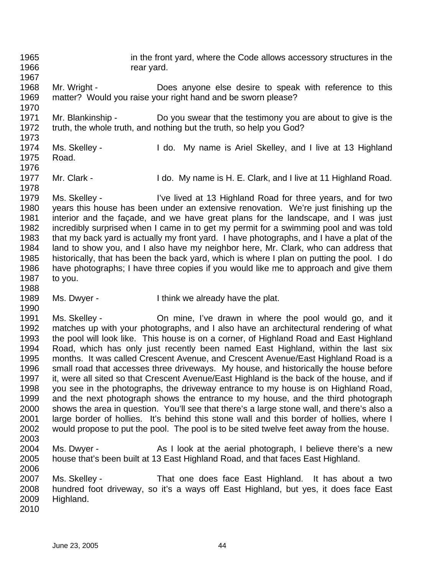1965 in the front yard, where the Code allows accessory structures in the 1966 **rear yard.** 

- 1967 1968 Mr. Wright - Does anyone else desire to speak with reference to this 1969 matter? Would you raise your right hand and be sworn please?
- 1971 Mr. Blankinship Do you swear that the testimony you are about to give is the 1972 truth, the whole truth, and nothing but the truth, so help you God?
- 1974 Ms. Skelley I do. My name is Ariel Skelley, and I live at 13 Highland 1975 Road.
- 1977 Mr. Clark I do. My name is H. E. Clark, and I live at 11 Highland Road.
- 1979 Ms. Skelley I've lived at 13 Highland Road for three years, and for two 1980 years this house has been under an extensive renovation. We're just finishing up the 1981 interior and the façade, and we have great plans for the landscape, and I was just 1982 incredibly surprised when I came in to get my permit for a swimming pool and was told 1983 that my back yard is actually my front yard. I have photographs, and I have a plat of the 1984 I and to show you. and I also have my neighbor here. Mr. Clark, who can address that land to show you, and I also have my neighbor here, Mr. Clark, who can address that 1985 historically, that has been the back yard, which is where I plan on putting the pool. I do 1986 have photographs; I have three copies if you would like me to approach and give them 1987 to you.
- 1989 Ms. Dwyer Ithink we already have the plat.
- 1991 Ms. Skelley On mine, I've drawn in where the pool would go, and it 1992 matches up with your photographs, and I also have an architectural rendering of what 1993 the pool will look like. This house is on a corner, of Highland Road and East Highland 1994 Road, which has only just recently been named East Highland, within the last six 1995 months. It was called Crescent Avenue, and Crescent Avenue/East Highland Road is a 1996 small road that accesses three driveways. My house, and historically the house before 1997 it, were all sited so that Crescent Avenue/East Highland is the back of the house, and if 1998 you see in the photographs, the driveway entrance to my house is on Highland Road, 1999 and the next photograph shows the entrance to my house, and the third photograph 2000 shows the area in question. You'll see that there's a large stone wall, and there's also a 2001 large border of hollies. It's behind this stone wall and this border of hollies, where I 2002 would propose to put the pool. The pool is to be sited twelve feet away from the house. 2003
- 2004 Ms. Dwyer As I look at the aerial photograph, I believe there's a new 2005 house that's been built at 13 East Highland Road, and that faces East Highland.
- 2007 Ms. Skelley That one does face East Highland. It has about a two 2008 hundred foot driveway, so it's a ways off East Highland, but yes, it does face East 2009 Highland.
- 2010

2006

1970

1973

1976

1978

1988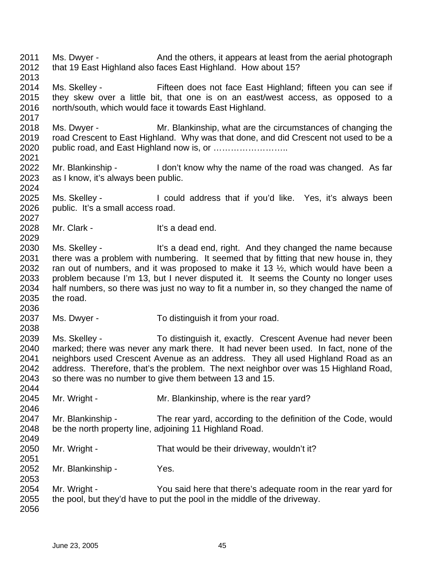2011 Ms. Dwyer - And the others, it appears at least from the aerial photograph 2012 that 19 East Highland also faces East Highland. How about 15? 2013 2014 Ms. Skelley - Fifteen does not face East Highland; fifteen you can see if 2015 they skew over a little bit, that one is on an east/west access, as opposed to a 2016 north/south, which would face it towards East Highland. 2017 2018 Ms. Dwyer - Mr. Blankinship, what are the circumstances of changing the 2019 road Crescent to East Highland. Why was that done, and did Crescent not used to be a 2020 public road, and East Highland now is, or …………………….. 2021 2022 Mr. Blankinship - I don't know why the name of the road was changed. As far 2023 as I know, it's always been public. 2024 2025 Ms. Skelley - I could address that if you'd like. Yes, it's always been 2026 public. It's a small access road. 2027 2028 Mr. Clark - It's a dead end. 2029 2030 Ms. Skelley - It's a dead end, right. And they changed the name because 2031 there was a problem with numbering. It seemed that by fitting that new house in, they 2032 ran out of numbers, and it was proposed to make it 13  $\frac{1}{2}$ , which would have been a 2033 problem because I'm 13, but I never disputed it. It seems the County no longer uses 2034 half numbers, so there was just no way to fit a number in, so they changed the name of 2035 the road. 2036 2037 Ms. Dwyer - To distinguish it from your road. 2038 2039 Ms. Skelley - To distinguish it, exactly. Crescent Avenue had never been 2040 marked; there was never any mark there. It had never been used. In fact, none of the 2041 neighbors used Crescent Avenue as an address. They all used Highland Road as an 2042 address. Therefore, that's the problem. The next neighbor over was 15 Highland Road, 2043 so there was no number to give them between 13 and 15. 2044 2045 Mr. Wright - Mr. Blankinship, where is the rear yard? 2046 2047 Mr. Blankinship - The rear yard, according to the definition of the Code, would 2048 be the north property line, adjoining 11 Highland Road. 2049 2050 Mr. Wright - That would be their driveway, wouldn't it? 2051 2052 Mr. Blankinship - Yes. 2053 2054 Mr. Wright - You said here that there's adequate room in the rear yard for 2055 the pool, but they'd have to put the pool in the middle of the driveway. 2056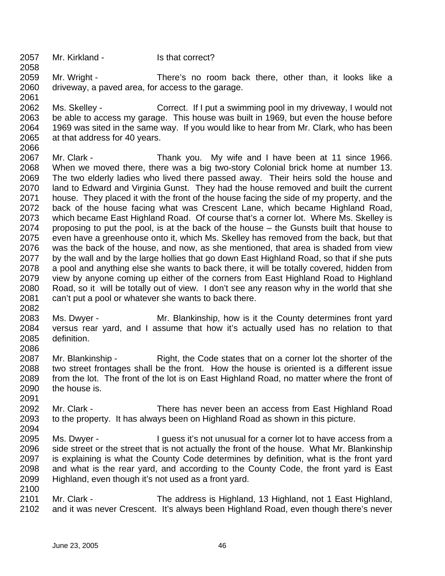2057 Mr. Kirkland - Is that correct?

2058

2082

2091

2100

2059 Mr. Wright - There's no room back there, other than, it looks like a 2060 driveway, a paved area, for access to the garage. 2061

2062 Ms. Skelley - Correct. If I put a swimming pool in my driveway, I would not 2063 be able to access my garage. This house was built in 1969, but even the house before 2064 1969 was sited in the same way. If you would like to hear from Mr. Clark, who has been 2065 at that address for 40 years. 2066

- 2067 Mr. Clark Thank you. My wife and I have been at 11 since 1966. 2068 When we moved there, there was a big two-story Colonial brick home at number 13. 2069 The two elderly ladies who lived there passed away. Their heirs sold the house and 2070 land to Edward and Virginia Gunst. They had the house removed and built the current 2071 house. They placed it with the front of the house facing the side of my property, and the 2072 back of the house facing what was Crescent Lane, which became Highland Road, 2073 which became East Highland Road. Of course that's a corner lot. Where Ms. Skelley is 2074 proposing to put the pool, is at the back of the house – the Gunsts built that house to 2075 even have a greenhouse onto it, which Ms. Skelley has removed from the back, but that 2076 was the back of the house, and now, as she mentioned, that area is shaded from view 2077 by the wall and by the large hollies that go down East Highland Road, so that if she puts 2078 a pool and anything else she wants to back there, it will be totally covered, hidden from 2079 view by anyone coming up either of the corners from East Highland Road to Highland 2080 Road, so it will be totally out of view. I don't see any reason why in the world that she 2081 can't put a pool or whatever she wants to back there.
- 2083 Ms. Dwyer Mr. Blankinship, how is it the County determines front yard 2084 versus rear yard, and I assume that how it's actually used has no relation to that 2085 definition. 2086
- 2087 Mr. Blankinship Right, the Code states that on a corner lot the shorter of the 2088 two street frontages shall be the front. How the house is oriented is a different issue 2089 from the lot. The front of the lot is on East Highland Road, no matter where the front of 2090 the house is.
- 2092 Mr. Clark There has never been an access from East Highland Road 2093 to the property. It has always been on Highland Road as shown in this picture. 2094
- 2095 Ms. Dwyer I guess it's not unusual for a corner lot to have access from a 2096 side street or the street that is not actually the front of the house. What Mr. Blankinship 2097 is explaining is what the County Code determines by definition, what is the front yard 2098 and what is the rear yard, and according to the County Code, the front yard is East 2099 Highland, even though it's not used as a front yard.
- 2101 Mr. Clark The address is Highland, 13 Highland, not 1 East Highland, 2102 and it was never Crescent. It's always been Highland Road, even though there's never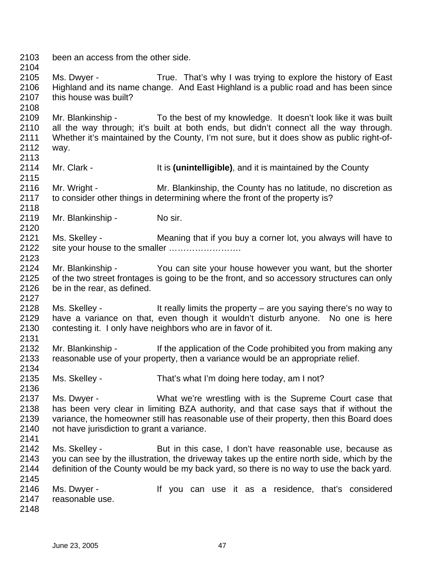2103 been an access from the other side.

2105 Ms. Dwyer - True. That's why I was trying to explore the history of East 2106 Highland and its name change. And East Highland is a public road and has been since 2107 this house was built?

2109 Mr. Blankinship - To the best of my knowledge. It doesn't look like it was built 2110 all the way through; it's built at both ends, but didn't connect all the way through. 2111 Whether it's maintained by the County, I'm not sure, but it does show as public right-of-2112 way. 2113

2114 Mr. Clark - It is **(unintelligible)**, and it is maintained by the County

2116 Mr. Wright - Mr. Blankinship, the County has no latitude, no discretion as<br>2117 to consider other things in determining where the front of the property is? to consider other things in determining where the front of the property is?

2119 Mr. Blankinship - No sir.

- 2121 Ms. Skelley Meaning that if you buy a corner lot, you always will have to 2122 site your house to the smaller ……………………. 2123
- 2124 Mr. Blankinship You can site your house however you want, but the shorter 2125 of the two street frontages is going to be the front, and so accessory structures can only 2126 be in the rear, as defined.
- 2128 Ms. Skelley It really limits the property are you saying there's no way to 2129 have a variance on that, even though it wouldn't disturb anyone. No one is here 2130 contesting it. I only have neighbors who are in favor of it.
- 2132 Mr. Blankinship If the application of the Code prohibited you from making any 2133 reasonable use of your property, then a variance would be an appropriate relief. 2134
- 2135 Ms. Skelley That's what I'm doing here today, am I not? 2136
- 2137 Ms. Dwyer What we're wrestling with is the Supreme Court case that 2138 has been very clear in limiting BZA authority, and that case says that if without the 2139 variance, the homeowner still has reasonable use of their property, then this Board does 2140 not have jurisdiction to grant a variance.
- 2141

2104

2108

2115

2118

2120

2127

- 2142 Ms. Skelley But in this case, I don't have reasonable use, because as 2143 you can see by the illustration, the driveway takes up the entire north side, which by the 2144 definition of the County would be my back yard, so there is no way to use the back yard. 2145
- 2146 Ms. Dwyer If you can use it as a residence, that's considered 2147 reasonable use.
- 2148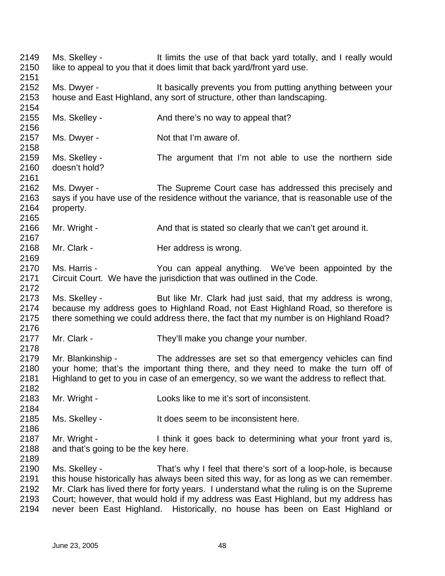2149 Ms. Skelley - It limits the use of that back yard totally, and I really would 2150 like to appeal to you that it does limit that back yard/front yard use. 2151 2152 Ms. Dwyer - It basically prevents you from putting anything between your 2153 house and East Highland, any sort of structure, other than landscaping. 2154 2155 Ms. Skelley - And there's no way to appeal that? 2156 2157 Ms. Dwyer - Not that I'm aware of. 2158 2159 Ms. Skelley - The argument that I'm not able to use the northern side 2160 doesn't hold? 2161 2162 Ms. Dwyer - The Supreme Court case has addressed this precisely and 2163 says if you have use of the residence without the variance, that is reasonable use of the 2164 property. 2165 2166 Mr. Wright - And that is stated so clearly that we can't get around it. 2167 2168 Mr. Clark - Her address is wrong. 2169 2170 Ms. Harris - You can appeal anything. We've been appointed by the 2171 Circuit Court. We have the jurisdiction that was outlined in the Code. 2172 2173 Ms. Skelley - But like Mr. Clark had just said, that my address is wrong, 2174 because my address goes to Highland Road, not East Highland Road, so therefore is 2175 there something we could address there, the fact that my number is on Highland Road? 2176 2177 Mr. Clark - They'll make you change your number. 2178 2179 Mr. Blankinship - The addresses are set so that emergency vehicles can find 2180 your home; that's the important thing there, and they need to make the turn off of 2181 Highland to get to you in case of an emergency, so we want the address to reflect that. 2182 2183 Mr. Wright - Looks like to me it's sort of inconsistent. 2184 2185 Ms. Skelley - It does seem to be inconsistent here. 2186 2187 Mr. Wright - I think it goes back to determining what your front yard is, 2188 and that's going to be the key here. 2189 2190 Ms. Skelley - That's why I feel that there's sort of a loop-hole, is because 2191 this house historically has always been sited this way, for as long as we can remember. 2192 Mr. Clark has lived there for forty years. I understand what the ruling is on the Supreme 2193 Court; however, that would hold if my address was East Highland, but my address has 2194 never been East Highland. Historically, no house has been on East Highland or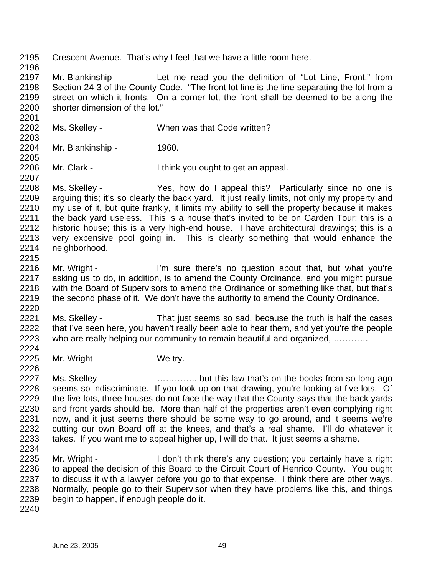2195 Crescent Avenue. That's why I feel that we have a little room here. 2196 2197 Mr. Blankinship - Let me read you the definition of "Lot Line, Front," from 2198 Section 24-3 of the County Code. "The front lot line is the line separating the lot from a 2199 street on which it fronts. On a corner lot, the front shall be deemed to be along the 2200 shorter dimension of the lot." 2201 2202 Ms. Skelley - When was that Code written? 2203 2204 Mr. Blankinship - 1960. 2205 2206 Mr. Clark - I think you ought to get an appeal. 2207 2208 Ms. Skelley - Yes, how do I appeal this? Particularly since no one is 2209 arguing this; it's so clearly the back yard. It just really limits, not only my property and 2210 my use of it, but quite frankly, it limits my ability to sell the property because it makes 2211 the back yard useless. This is a house that's invited to be on Garden Tour; this is a 2212 historic house; this is a very high-end house. I have architectural drawings; this is a 2213 very expensive pool going in. This is clearly something that would enhance the 2214 neighborhood. 2215 2216 Mr. Wright - I'm sure there's no question about that, but what you're 2217 asking us to do, in addition, is to amend the County Ordinance, and you might pursue 2218 with the Board of Supervisors to amend the Ordinance or something like that, but that's 2219 the second phase of it. We don't have the authority to amend the County Ordinance. 2220 2221 Ms. Skelley - That just seems so sad, because the truth is half the cases 2222 that I've seen here, you haven't really been able to hear them, and yet you're the people<br>2223 who are really helping our community to remain beautiful and organized. who are really helping our community to remain beautiful and organized, ………… 2224 2225 Mr. Wright - We try. 2226 2227 Ms. Skelley - **Exam a strateger and the set of the books** from so long ago 2228 seems so indiscriminate. If you look up on that drawing, you're looking at five lots. Of 2229 the five lots, three houses do not face the way that the County says that the back yards 2230 and front yards should be. More than half of the properties aren't even complying right 2231 now, and it just seems there should be some way to go around, and it seems we're 2232 cutting our own Board off at the knees, and that's a real shame. I'll do whatever it 2233 takes. If you want me to appeal higher up, I will do that. It just seems a shame. 2234 2235 Mr. Wright - I don't think there's any question; you certainly have a right 2236 to appeal the decision of this Board to the Circuit Court of Henrico County. You ought 2237 to discuss it with a lawyer before you go to that expense. I think there are other ways. 2238 Normally, people go to their Supervisor when they have problems like this, and things 2239 begin to happen, if enough people do it. 2240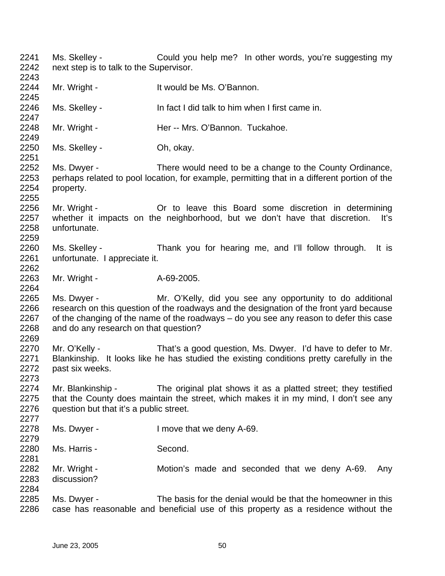2241 Ms. Skelley - Could you help me? In other words, you're suggesting my 2242 next step is to talk to the Supervisor. 2243 2244 Mr. Wright - It would be Ms. O'Bannon. 2245 2246 Ms. Skelley - In fact I did talk to him when I first came in. 2247 2248 Mr. Wright - The Her -- Mrs. O'Bannon. Tuckahoe. 2249 2250 Ms. Skelley - Oh, okay. 2251 2252 Ms. Dwyer - There would need to be a change to the County Ordinance, 2253 perhaps related to pool location, for example, permitting that in a different portion of the 2254 property. 2255 2256 Mr. Wright - Or to leave this Board some discretion in determining 2257 whether it impacts on the neighborhood, but we don't have that discretion. It's 2258 unfortunate. 2259 2260 Ms. Skelley - Thank you for hearing me, and I'll follow through. It is 2261 unfortunate. I appreciate it. 2262 2263 Mr. Wright - A-69-2005. 2264 2265 Ms. Dwyer - Mr. O'Kelly, did you see any opportunity to do additional 2266 research on this question of the roadways and the designation of the front yard because 2267 of the changing of the name of the roadways – do you see any reason to defer this case 2268 and do any research on that question? 2269 2270 Mr. O'Kelly - That's a good question, Ms. Dwyer. I'd have to defer to Mr. 2271 Blankinship. It looks like he has studied the existing conditions pretty carefully in the 2272 past six weeks. 2273 2274 Mr. Blankinship - The original plat shows it as a platted street; they testified 2275 that the County does maintain the street, which makes it in my mind, I don't see any 2276 guestion but that it's a public street. 2277 2278 Ms. Dwyer - I move that we deny A-69. 2279 2280 Ms. Harris - Second. 2281 2282 Mr. Wright - Motion's made and seconded that we deny A-69. Any 2283 discussion? 2284 2285 Ms. Dwyer - The basis for the denial would be that the homeowner in this 2286 case has reasonable and beneficial use of this property as a residence without the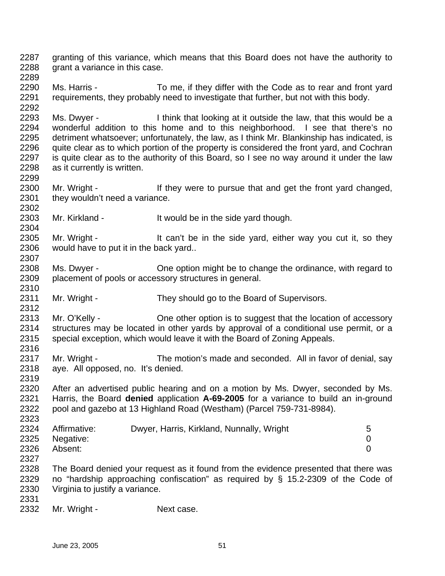2287 granting of this variance, which means that this Board does not have the authority to 2288 grant a variance in this case. 2289 2290 Ms. Harris - To me, if they differ with the Code as to rear and front yard 2291 requirements, they probably need to investigate that further, but not with this body. 2292 2293 Ms. Dwyer - I think that looking at it outside the law, that this would be a 2294 wonderful addition to this home and to this neighborhood. I see that there's no 2295 detriment whatsoever; unfortunately, the law, as I think Mr. Blankinship has indicated, is 2296 quite clear as to which portion of the property is considered the front yard, and Cochran 2297 is quite clear as to the authority of this Board, so I see no way around it under the law 2298 as it currently is written. 2299 2300 Mr. Wright - If they were to pursue that and get the front yard changed, 2301 they wouldn't need a variance. 2302 2303 Mr. Kirkland - It would be in the side yard though. 2304 2305 Mr. Wright - It can't be in the side yard, either way you cut it, so they 2306 would have to put it in the back yard.. 2307 2308 Ms. Dwyer - Che option might be to change the ordinance, with regard to 2309 placement of pools or accessory structures in general. 2310 2311 Mr. Wright - They should go to the Board of Supervisors. 2312 2313 Mr. O'Kelly - One other option is to suggest that the location of accessory 2314 structures may be located in other yards by approval of a conditional use permit, or a 2315 special exception, which would leave it with the Board of Zoning Appeals. 2316 2317 Mr. Wright - The motion's made and seconded. All in favor of denial, say 2318 aye. All opposed, no. It's denied. 2319 2320 After an advertised public hearing and on a motion by Ms. Dwyer, seconded by Ms. 2321 Harris, the Board **denied** application **A-69-2005** for a variance to build an in-ground 2322 pool and gazebo at 13 Highland Road (Westham) (Parcel 759-731-8984). 2323 2324 Affirmative: Dwyer, Harris, Kirkland, Nunnally, Wright 5 2325 Negative: 0 2326 Absent: 0 2327 2328 The Board denied your request as it found from the evidence presented that there was 2329 no "hardship approaching confiscation" as required by § 15.2-2309 of the Code of 2330 Virginia to justify a variance. 2331 2332 Mr. Wright - Next case.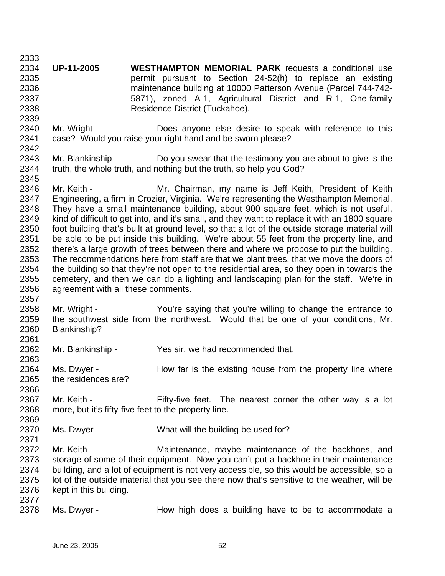2333 2334 **UP-11-2005 WESTHAMPTON MEMORIAL PARK** requests a conditional use 2335 permit pursuant to Section 24-52(h) to replace an existing 2336 maintenance building at 10000 Patterson Avenue (Parcel 744-742- 2337 5871), zoned A-1, Agricultural District and R-1, One-family 2338 Residence District (Tuckahoe).

- 2340 Mr. Wright Does anyone else desire to speak with reference to this 2341 case? Would you raise your right hand and be sworn please?
- 2343 Mr. Blankinship Do you swear that the testimony you are about to give is the 2344 truth, the whole truth, and nothing but the truth, so help you God?

2346 Mr. Keith - Mr. Chairman, my name is Jeff Keith, President of Keith 2347 Engineering, a firm in Crozier, Virginia. We're representing the Westhampton Memorial. 2348 They have a small maintenance building, about 900 square feet, which is not useful, 2349 kind of difficult to get into, and it's small, and they want to replace it with an 1800 square 2350 foot building that's built at ground level, so that a lot of the outside storage material will 2351 be able to be put inside this building. We're about 55 feet from the property line, and 2352 there's a large growth of trees between there and where we propose to put the building. 2353 The recommendations here from staff are that we plant trees, that we move the doors of 2354 the building so that they're not open to the residential area, so they open in towards the 2355 cemetery, and then we can do a lighting and landscaping plan for the staff. We're in 2356 agreement with all these comments.

- 2358 Mr. Wright You're saying that you're willing to change the entrance to 2359 the southwest side from the northwest. Would that be one of your conditions, Mr. 2360 Blankinship?
- 2362 Mr. Blankinship Yes sir, we had recommended that.
- 2364 Ms. Dwyer How far is the existing house from the property line where 2365 the residences are? 2366
- 2367 Mr. Keith Fifty-five feet. The nearest corner the other way is a lot 2368 more, but it's fifty-five feet to the property line.
- 2370 Ms. Dwyer What will the building be used for?
- 2372 Mr. Keith Maintenance, maybe maintenance of the backhoes, and 2373 storage of some of their equipment. Now you can't put a backhoe in their maintenance 2374 building, and a lot of equipment is not very accessible, so this would be accessible, so a 2375 lot of the outside material that you see there now that's sensitive to the weather, will be 2376 kept in this building.
- 2377

2339

2342

2345

2357

2361

2363

2369

2371

2378 Ms. Dwyer - How high does a building have to be to accommodate a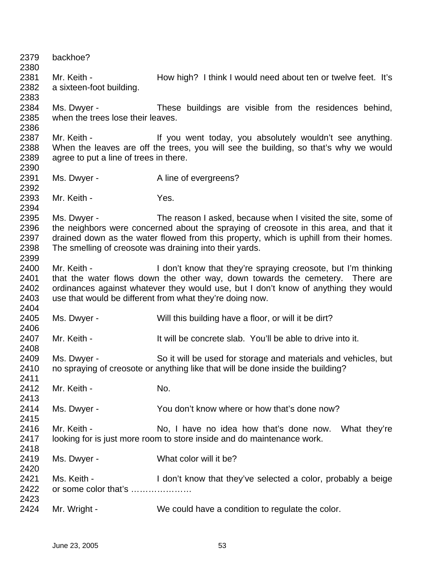2379 backhoe? 2380 2381 Mr. Keith - How high? I think I would need about ten or twelve feet. It's 2382 a sixteen-foot building. 2383 2384 Ms. Dwyer - These buildings are visible from the residences behind, 2385 when the trees lose their leaves. 2386 2387 Mr. Keith - If you went today, you absolutely wouldn't see anything. 2388 When the leaves are off the trees, you will see the building, so that's why we would 2389 agree to put a line of trees in there. 2390 2391 Ms. Dwyer - Aline of evergreens? 2392 2393 Mr. Keith - Yes. 2394 2395 Ms. Dwyer - The reason I asked, because when I visited the site, some of 2396 the neighbors were concerned about the spraying of creosote in this area, and that it 2397 drained down as the water flowed from this property, which is uphill from their homes. 2398 The smelling of creosote was draining into their yards. 2399 2400 Mr. Keith - I don't know that they're spraying creosote, but I'm thinking 2401 that the water flows down the other way, down towards the cemetery. There are 2402 ordinances against whatever they would use, but I don't know of anything they would 2403 use that would be different from what they're doing now. 2404 2405 Ms. Dwyer - Will this building have a floor, or will it be dirt? 2406 2407 Mr. Keith - It will be concrete slab. You'll be able to drive into it. 2408 2409 Ms. Dwyer - So it will be used for storage and materials and vehicles, but 2410 no spraying of creosote or anything like that will be done inside the building? 2411 2412 Mr. Keith - No. 2413 2414 Ms. Dwyer - You don't know where or how that's done now? 2415 2416 Mr. Keith - No, I have no idea how that's done now. What they're 2417 looking for is just more room to store inside and do maintenance work. 2418 2419 Ms. Dwyer - What color will it be? 2420 2421 Ms. Keith - I don't know that they've selected a color, probably a beige 2422 or some color that's ………………… 2423 2424 Mr. Wright - We could have a condition to regulate the color.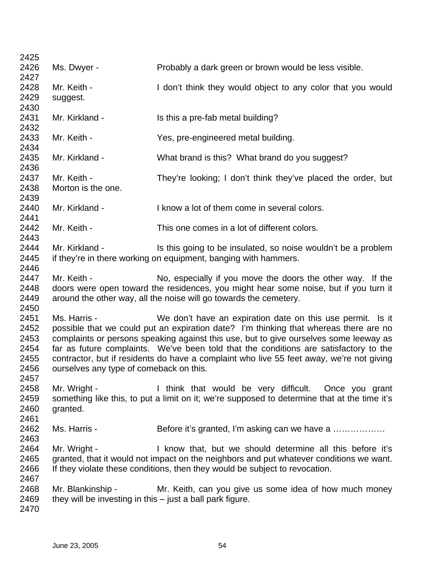| 2425 |                                                             |                                                                                              |
|------|-------------------------------------------------------------|----------------------------------------------------------------------------------------------|
| 2426 | Ms. Dwyer -                                                 | Probably a dark green or brown would be less visible.                                        |
| 2427 |                                                             |                                                                                              |
| 2428 | Mr. Keith -                                                 | I don't think they would object to any color that you would                                  |
| 2429 | suggest.                                                    |                                                                                              |
| 2430 |                                                             |                                                                                              |
| 2431 | Mr. Kirkland -                                              | Is this a pre-fab metal building?                                                            |
| 2432 |                                                             |                                                                                              |
| 2433 | Mr. Keith -                                                 | Yes, pre-engineered metal building.                                                          |
| 2434 |                                                             |                                                                                              |
| 2435 | Mr. Kirkland -                                              | What brand is this? What brand do you suggest?                                               |
| 2436 |                                                             |                                                                                              |
| 2437 | Mr. Keith -                                                 | They're looking; I don't think they've placed the order, but                                 |
| 2438 | Morton is the one.                                          |                                                                                              |
| 2439 |                                                             |                                                                                              |
| 2440 | Mr. Kirkland -                                              | I know a lot of them come in several colors.                                                 |
| 2441 |                                                             |                                                                                              |
| 2442 | Mr. Keith -                                                 | This one comes in a lot of different colors.                                                 |
| 2443 |                                                             |                                                                                              |
| 2444 | Mr. Kirkland -                                              | Is this going to be insulated, so noise wouldn't be a problem                                |
| 2445 |                                                             | if they're in there working on equipment, banging with hammers.                              |
| 2446 |                                                             |                                                                                              |
| 2447 | Mr. Keith -                                                 | No, especially if you move the doors the other way. If the                                   |
| 2448 |                                                             | doors were open toward the residences, you might hear some noise, but if you turn it         |
| 2449 |                                                             | around the other way, all the noise will go towards the cemetery.                            |
| 2450 |                                                             |                                                                                              |
| 2451 | Ms. Harris -                                                | We don't have an expiration date on this use permit. Is it                                   |
| 2452 |                                                             | possible that we could put an expiration date? I'm thinking that whereas there are no        |
| 2453 |                                                             | complaints or persons speaking against this use, but to give ourselves some leeway as        |
| 2454 |                                                             | far as future complaints. We've been told that the conditions are satisfactory to the        |
| 2455 |                                                             | contractor, but if residents do have a complaint who live 55 feet away, we're not giving     |
| 2456 | ourselves any type of comeback on this.                     |                                                                                              |
| 2457 |                                                             |                                                                                              |
| 2458 | Mr. Wright -                                                | I think that would be very difficult. Once you grant                                         |
| 2459 |                                                             | something like this, to put a limit on it; we're supposed to determine that at the time it's |
| 2460 | granted.                                                    |                                                                                              |
| 2461 |                                                             |                                                                                              |
| 2462 | Ms. Harris -                                                | Before it's granted, I'm asking can we have a                                                |
| 2463 |                                                             |                                                                                              |
| 2464 | Mr. Wright -                                                | I know that, but we should determine all this before it's                                    |
| 2465 |                                                             | granted, that it would not impact on the neighbors and put whatever conditions we want.      |
| 2466 |                                                             | If they violate these conditions, then they would be subject to revocation.                  |
| 2467 |                                                             |                                                                                              |
| 2468 | Mr. Blankinship -                                           | Mr. Keith, can you give us some idea of how much money                                       |
| 2469 | they will be investing in this $-$ just a ball park figure. |                                                                                              |
| 2470 |                                                             |                                                                                              |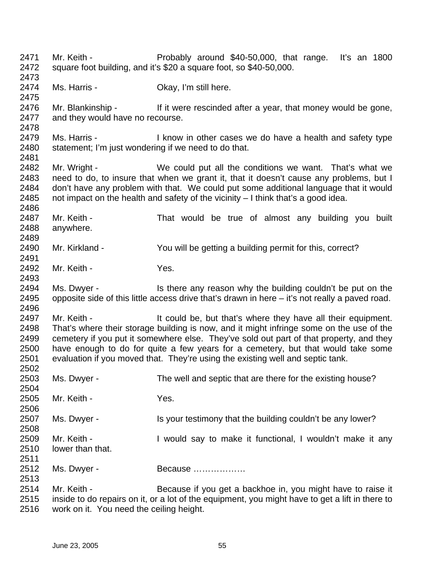2471 Mr. Keith - Probably around \$40-50,000, that range. It's an 1800 2472 square foot building, and it's \$20 a square foot, so \$40-50,000. 2473 2474 Ms. Harris - Okay, I'm still here. 2475 2476 Mr. Blankinship - If it were rescinded after a year, that money would be gone, 2477 and they would have no recourse. 2478 2479 Ms. Harris - I know in other cases we do have a health and safety type 2480 statement; I'm just wondering if we need to do that. 2481 2482 Mr. Wright - We could put all the conditions we want. That's what we 2483 need to do, to insure that when we grant it, that it doesn't cause any problems, but I 2484 don't have any problem with that. We could put some additional language that it would 2485 not impact on the health and safety of the vicinity – I think that's a good idea. 2486 2487 Mr. Keith - That would be true of almost any building you built 2488 anywhere. 2489 2490 Mr. Kirkland - You will be getting a building permit for this, correct? 2491 2492 Mr. Keith - Yes. 2493 2494 Ms. Dwyer - Is there any reason why the building couldn't be put on the 2495 opposite side of this little access drive that's drawn in here – it's not really a paved road. 2496 2497 Mr. Keith - It could be, but that's where they have all their equipment. 2498 That's where their storage building is now, and it might infringe some on the use of the 2499 cemetery if you put it somewhere else. They've sold out part of that property, and they 2500 have enough to do for quite a few years for a cemetery, but that would take some 2501 evaluation if you moved that. They're using the existing well and septic tank. 2502 2503 Ms. Dwyer - The well and septic that are there for the existing house? 2504 2505 Mr. Keith - Yes. 2506 2507 Ms. Dwyer - Is your testimony that the building couldn't be any lower? 2508 2509 Mr. Keith - I would say to make it functional, I wouldn't make it any 2510 lower than that. 2511 2512 Ms. Dwyer - Because ……………… 2513 2514 Mr. Keith - Because if you get a backhoe in, you might have to raise it 2515 inside to do repairs on it, or a lot of the equipment, you might have to get a lift in there to

2516 work on it. You need the ceiling height.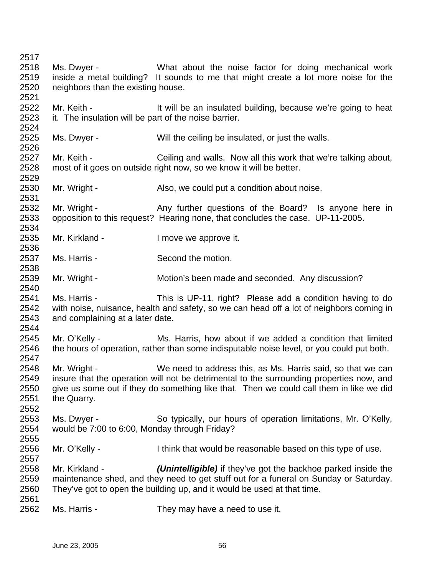2517 2518 Ms. Dwyer - What about the noise factor for doing mechanical work 2519 inside a metal building? It sounds to me that might create a lot more noise for the 2520 neighbors than the existing house. 2521 2522 Mr. Keith - It will be an insulated building, because we're going to heat 2523 it. The insulation will be part of the noise barrier. 2524 2525 Ms. Dwyer - Will the ceiling be insulated, or just the walls. 2526 2527 Mr. Keith - Ceiling and walls. Now all this work that we're talking about, 2528 most of it goes on outside right now, so we know it will be better. 2529 2530 Mr. Wright - Also, we could put a condition about noise. 2531 2532 Mr. Wright - Any further questions of the Board? Is anyone here in 2533 opposition to this request? Hearing none, that concludes the case. UP-11-2005. 2534 2535 Mr. Kirkland - I move we approve it. 2536 2537 Ms. Harris - Second the motion. 2538 2539 Mr. Wright - Motion's been made and seconded. Any discussion? 2540 2541 Ms. Harris - This is UP-11, right? Please add a condition having to do 2542 with noise, nuisance, health and safety, so we can head off a lot of neighbors coming in 2543 and complaining at a later date. 2544 2545 Mr. O'Kelly - Ms. Harris, how about if we added a condition that limited 2546 the hours of operation, rather than some indisputable noise level, or you could put both. 2547 2548 Mr. Wright - We need to address this, as Ms. Harris said, so that we can 2549 insure that the operation will not be detrimental to the surrounding properties now, and 2550 give us some out if they do something like that. Then we could call them in like we did 2551 the Quarry. 2552 2553 Ms. Dwyer - So typically, our hours of operation limitations, Mr. O'Kelly, 2554 would be 7:00 to 6:00, Monday through Friday? 2555 2556 Mr. O'Kelly - I think that would be reasonable based on this type of use. 2557 2558 Mr. Kirkland - *(Unintelligible)* if they've got the backhoe parked inside the 2559 maintenance shed, and they need to get stuff out for a funeral on Sunday or Saturday. 2560 They've got to open the building up, and it would be used at that time. 2561 2562 Ms. Harris - They may have a need to use it.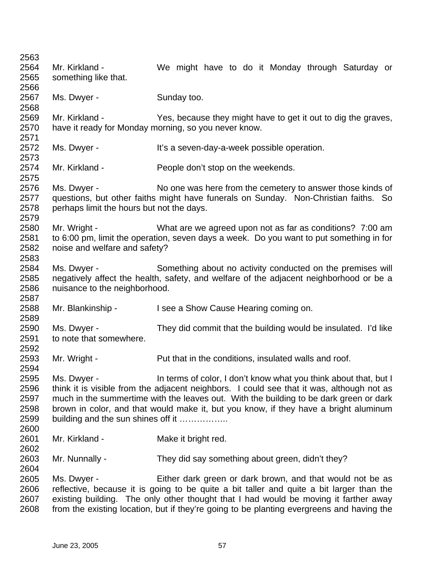| 2563<br>2564<br>2565                         | Mr. Kirkland -<br>something like that.                   | We might have to do it Monday through Saturday or                                                                                                                                                                                                                                                                                               |
|----------------------------------------------|----------------------------------------------------------|-------------------------------------------------------------------------------------------------------------------------------------------------------------------------------------------------------------------------------------------------------------------------------------------------------------------------------------------------|
| 2566<br>2567                                 | Ms. Dwyer -                                              | Sunday too.                                                                                                                                                                                                                                                                                                                                     |
| 2568<br>2569                                 | Mr. Kirkland -                                           | Yes, because they might have to get it out to dig the graves,                                                                                                                                                                                                                                                                                   |
| 2570<br>2571                                 |                                                          | have it ready for Monday morning, so you never know.                                                                                                                                                                                                                                                                                            |
| 2572<br>2573                                 | Ms. Dwyer -                                              | It's a seven-day-a-week possible operation.                                                                                                                                                                                                                                                                                                     |
| 2574<br>2575                                 | Mr. Kirkland -                                           | People don't stop on the weekends.                                                                                                                                                                                                                                                                                                              |
| 2576<br>2577<br>2578                         | Ms. Dwyer -<br>perhaps limit the hours but not the days. | No one was here from the cemetery to answer those kinds of<br>questions, but other faiths might have funerals on Sunday. Non-Christian faiths. So                                                                                                                                                                                               |
| 2579<br>2580<br>2581                         | Mr. Wright -                                             | What are we agreed upon not as far as conditions? 7:00 am<br>to 6:00 pm, limit the operation, seven days a week. Do you want to put something in for                                                                                                                                                                                            |
| 2582<br>2583                                 | noise and welfare and safety?                            |                                                                                                                                                                                                                                                                                                                                                 |
| 2584<br>2585<br>2586<br>2587                 | Ms. Dwyer -<br>nuisance to the neighborhood.             | Something about no activity conducted on the premises will<br>negatively affect the health, safety, and welfare of the adjacent neighborhood or be a                                                                                                                                                                                            |
| 2588<br>2589                                 | Mr. Blankinship -                                        | I see a Show Cause Hearing coming on.                                                                                                                                                                                                                                                                                                           |
| 2590<br>2591<br>2592                         | Ms. Dwyer -<br>to note that somewhere.                   | They did commit that the building would be insulated. I'd like                                                                                                                                                                                                                                                                                  |
| 2593<br>2594                                 | Mr. Wright -                                             | Put that in the conditions, insulated walls and roof.                                                                                                                                                                                                                                                                                           |
| 2595<br>2596<br>2597<br>2598<br>2599<br>2600 | Ms. Dwyer -<br>building and the sun shines off it        | In terms of color, I don't know what you think about that, but I<br>think it is visible from the adjacent neighbors. I could see that it was, although not as<br>much in the summertime with the leaves out. With the building to be dark green or dark<br>brown in color, and that would make it, but you know, if they have a bright aluminum |
| 2601<br>2602                                 | Mr. Kirkland -                                           | Make it bright red.                                                                                                                                                                                                                                                                                                                             |
| 2603<br>2604                                 | Mr. Nunnally -                                           | They did say something about green, didn't they?                                                                                                                                                                                                                                                                                                |
| 2605<br>2606<br>2607<br>2608                 | Ms. Dwyer -                                              | Either dark green or dark brown, and that would not be as<br>reflective, because it is going to be quite a bit taller and quite a bit larger than the<br>existing building. The only other thought that I had would be moving it farther away<br>from the existing location, but if they're going to be planting evergreens and having the      |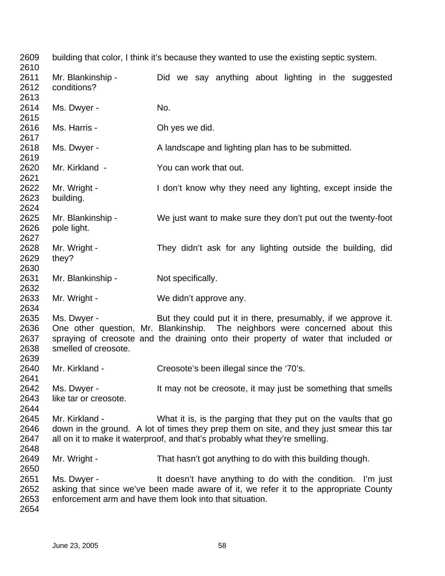| 2609<br>2610                         |                                      | building that color, I think it's because they wanted to use the existing septic system.                                                                                                                                                 |
|--------------------------------------|--------------------------------------|------------------------------------------------------------------------------------------------------------------------------------------------------------------------------------------------------------------------------------------|
| 2611<br>2612<br>2613                 | Mr. Blankinship -<br>conditions?     | Did we say anything about lighting in the suggested                                                                                                                                                                                      |
| 2614<br>2615                         | Ms. Dwyer -                          | No.                                                                                                                                                                                                                                      |
| 2616<br>2617                         | Ms. Harris -                         | Oh yes we did.                                                                                                                                                                                                                           |
| 2618<br>2619                         | Ms. Dwyer -                          | A landscape and lighting plan has to be submitted.                                                                                                                                                                                       |
| 2620<br>2621                         | Mr. Kirkland -                       | You can work that out.                                                                                                                                                                                                                   |
| 2622<br>2623<br>2624                 | Mr. Wright -<br>building.            | I don't know why they need any lighting, except inside the                                                                                                                                                                               |
| 2625<br>2626<br>2627                 | Mr. Blankinship -<br>pole light.     | We just want to make sure they don't put out the twenty-foot                                                                                                                                                                             |
| 2628<br>2629<br>2630                 | Mr. Wright -<br>they?                | They didn't ask for any lighting outside the building, did                                                                                                                                                                               |
| 2631<br>2632                         | Mr. Blankinship -                    | Not specifically.                                                                                                                                                                                                                        |
| 2633<br>2634                         | Mr. Wright -                         | We didn't approve any.                                                                                                                                                                                                                   |
| 2635<br>2636<br>2637<br>2638<br>2639 | Ms. Dwyer -<br>smelled of creosote.  | But they could put it in there, presumably, if we approve it.<br>One other question, Mr. Blankinship. The neighbors were concerned about this<br>spraying of creosote and the draining onto their property of water that included or     |
| 2640<br>2641                         | Mr. Kirkland -                       | Creosote's been illegal since the '70's.                                                                                                                                                                                                 |
| 2642<br>2643<br>2644                 | Ms. Dwyer -<br>like tar or creosote. | It may not be creosote, it may just be something that smells                                                                                                                                                                             |
| 2645<br>2646<br>2647<br>2648         | Mr. Kirkland -                       | What it is, is the parging that they put on the vaults that go<br>down in the ground. A lot of times they prep them on site, and they just smear this tar<br>all on it to make it waterproof, and that's probably what they're smelling. |
| 2649<br>2650                         | Mr. Wright -                         | That hasn't got anything to do with this building though.                                                                                                                                                                                |
| 2651<br>2652<br>2653<br>2654         | Ms. Dwyer -                          | It doesn't have anything to do with the condition. I'm just<br>asking that since we've been made aware of it, we refer it to the appropriate County<br>enforcement arm and have them look into that situation.                           |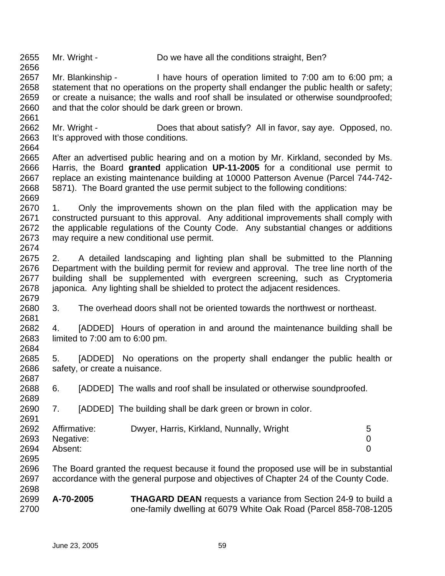2655 Mr. Wright - Do we have all the conditions straight, Ben?

2657 Mr. Blankinship - I have hours of operation limited to 7:00 am to 6:00 pm; a 2658 statement that no operations on the property shall endanger the public health or safety; 2659 or create a nuisance; the walls and roof shall be insulated or otherwise soundproofed; 2660 and that the color should be dark green or brown.

2662 Mr. Wright - Does that about satisfy? All in favor, say aye. Opposed, no. 2663 It's approved with those conditions. 2664

2665 After an advertised public hearing and on a motion by Mr. Kirkland, seconded by Ms. 2666 Harris, the Board **granted** application **UP-11-2005** for a conditional use permit to 2667 replace an existing maintenance building at 10000 Patterson Avenue (Parcel 744-742- 2668 5871). The Board granted the use permit subject to the following conditions: 2669

2670 1. Only the improvements shown on the plan filed with the application may be 2671 constructed pursuant to this approval. Any additional improvements shall comply with 2672 the applicable regulations of the County Code. Any substantial changes or additions 2673 may require a new conditional use permit. 2674

2675 2. A detailed landscaping and lighting plan shall be submitted to the Planning 2676 Department with the building permit for review and approval. The tree line north of the 2677 building shall be supplemented with evergreen screening, such as Cryptomeria 2678 japonica. Any lighting shall be shielded to protect the adjacent residences. 2679

2680 3. The overhead doors shall not be oriented towards the northwest or northeast.

2682 4. [ADDED] Hours of operation in and around the maintenance building shall be 2683 limited to 7:00 am to 6:00 pm. 2684

2685 5. [ADDED] No operations on the property shall endanger the public health or 2686 safety, or create a nuisance.

2688 6. [ADDED] The walls and roof shall be insulated or otherwise soundproofed.

2690 7. [ADDED] The building shall be dark green or brown in color.

|      | 2692 Affirmative: | Dwyer, Harris, Kirkland, Nunnally, Wright |  |
|------|-------------------|-------------------------------------------|--|
|      | 2693 Negative:    |                                           |  |
| 2694 | Absent:           |                                           |  |

2696 The Board granted the request because it found the proposed use will be in substantial 2697 accordance with the general purpose and objectives of Chapter 24 of the County Code. 2698

2699 **A-70-2005 THAGARD DEAN** requests a variance from Section 24-9 to build a 2700 one-family dwelling at 6079 White Oak Road (Parcel 858-708-1205

2656

2661

2681

2687

2689

2691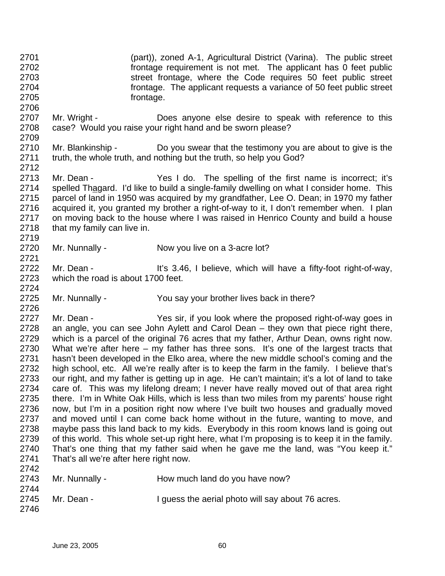- 2701 (part)), zoned A-1, Agricultural District (Varina). The public street 2702 frontage requirement is not met. The applicant has 0 feet public 2703 street frontage, where the Code requires 50 feet public street 2704 frontage. The applicant requests a variance of 50 feet public street 2705 **frontage.** 2706
- 2707 Mr. Wright Does anyone else desire to speak with reference to this 2708 case? Would you raise your right hand and be sworn please? 2709
- 2710 Mr. Blankinship Do you swear that the testimony you are about to give is the 2711 truth, the whole truth, and nothing but the truth, so help you God? 2712
- 2713 Mr. Dean Yes I do. The spelling of the first name is incorrect; it's 2714 spelled Thagard. I'd like to build a single-family dwelling on what I consider home. This 2715 parcel of land in 1950 was acquired by my grandfather, Lee O. Dean; in 1970 my father 2716 acquired it, you granted my brother a right-of-way to it, I don't remember when. I plan 2717 on moving back to the house where I was raised in Henrico County and build a house 2718 that my family can live in. 2719
- 2720 Mr. Nunnally Now you live on a 3-acre lot?
- 2722 Mr. Dean It's 3.46, I believe, which will have a fifty-foot right-of-way, 2723 which the road is about 1700 feet. 2724
- 2725 Mr. Nunnally You say your brother lives back in there?

2727 Mr. Dean - Yes sir, if you look where the proposed right-of-way goes in 2728 an angle, you can see John Aylett and Carol Dean – they own that piece right there, 2729 which is a parcel of the original 76 acres that my father, Arthur Dean, owns right now. 2730 What we're after here – my father has three sons. It's one of the largest tracts that 2731 hasn't been developed in the Elko area, where the new middle school's coming and the 2732 high school, etc. All we're really after is to keep the farm in the family. I believe that's 2733 our right, and my father is getting up in age. He can't maintain; it's a lot of land to take 2734 care of. This was my lifelong dream; I never have really moved out of that area right 2735 there. I'm in White Oak Hills, which is less than two miles from my parents' house right 2736 now, but I'm in a position right now where I've built two houses and gradually moved 2737 and moved until I can come back home without in the future, wanting to move, and 2738 maybe pass this land back to my kids. Everybody in this room knows land is going out 2739 of this world. This whole set-up right here, what I'm proposing is to keep it in the family. 2740 That's one thing that my father said when he gave me the land, was "You keep it." 2741 That's all we're after here right now. 2742

| _ _ _ _ |                |                                                   |
|---------|----------------|---------------------------------------------------|
| 2743    | Mr. Nunnally - | How much land do you have now?                    |
| 2744    |                |                                                   |
| 2745    | Mr. Dean -     | I guess the aerial photo will say about 76 acres. |
| 2746    |                |                                                   |

2721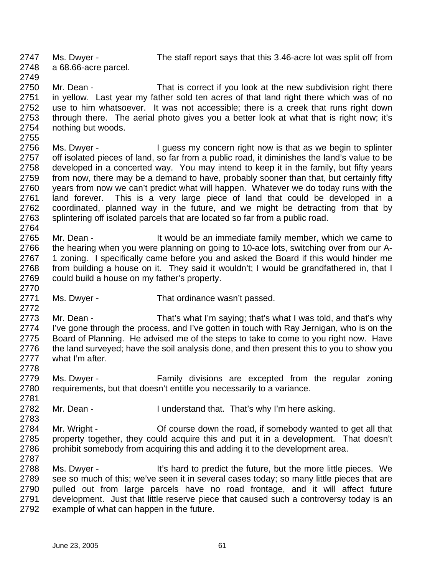2747 Ms. Dwyer - The staff report says that this 3.46-acre lot was split off from 2748 a 68.66-acre parcel.

2750 Mr. Dean - That is correct if you look at the new subdivision right there 2751 in yellow. Last year my father sold ten acres of that land right there which was of no 2752 use to him whatsoever. It was not accessible; there is a creek that runs right down 2753 through there. The aerial photo gives you a better look at what that is right now; it's 2754 nothing but woods. 2755

2756 Ms. Dwyer - I guess my concern right now is that as we begin to splinter 2757 off isolated pieces of land, so far from a public road, it diminishes the land's value to be 2758 developed in a concerted way. You may intend to keep it in the family, but fifty years 2759 from now, there may be a demand to have, probably sooner than that, but certainly fifty 2760 years from now we can't predict what will happen. Whatever we do today runs with the 2761 land forever. This is a very large piece of land that could be developed in a 2762 coordinated, planned way in the future, and we might be detracting from that by 2763 splintering off isolated parcels that are located so far from a public road. 2764

2765 Mr. Dean - It would be an immediate family member, which we came to 2766 the hearing when you were planning on going to 10-ace lots, switching over from our A-2767 1 zoning. I specifically came before you and asked the Board if this would hinder me 2768 from building a house on it. They said it wouldn't; I would be grandfathered in, that I 2769 could build a house on my father's property.

2771 Ms. Dwyer - That ordinance wasn't passed.

2773 Mr. Dean - That's what I'm saying; that's what I was told, and that's why 2774 I've gone through the process, and I've gotten in touch with Ray Jernigan, who is on the 2775 Board of Planning. He advised me of the steps to take to come to you right now. Have 2776 the land surveyed; have the soil analysis done, and then present this to you to show you 2777 what I'm after. 2778

2779 Ms. Dwyer - Family divisions are excepted from the regular zoning 2780 requirements, but that doesn't entitle you necessarily to a variance.

2782 Mr. Dean - I understand that. That's why I'm here asking.

2784 Mr. Wright - Of course down the road, if somebody wanted to get all that 2785 property together, they could acquire this and put it in a development. That doesn't 2786 prohibit somebody from acquiring this and adding it to the development area.

2788 Ms. Dwyer - It's hard to predict the future, but the more little pieces. We 2789 see so much of this; we've seen it in several cases today; so many little pieces that are 2790 pulled out from large parcels have no road frontage, and it will affect future 2791 development. Just that little reserve piece that caused such a controversy today is an 2792 example of what can happen in the future.

2749

2770

2772

2781

2783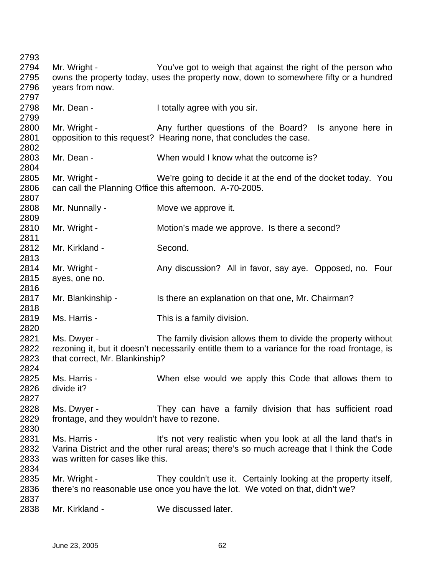| 2793 |                                             |                                                                                              |
|------|---------------------------------------------|----------------------------------------------------------------------------------------------|
| 2794 | Mr. Wright -                                | You've got to weigh that against the right of the person who                                 |
| 2795 |                                             | owns the property today, uses the property now, down to somewhere fifty or a hundred         |
| 2796 | years from now.                             |                                                                                              |
| 2797 |                                             |                                                                                              |
| 2798 | Mr. Dean -                                  |                                                                                              |
|      |                                             | I totally agree with you sir.                                                                |
| 2799 |                                             |                                                                                              |
| 2800 | Mr. Wright -                                | Any further questions of the Board? Is anyone here in                                        |
| 2801 |                                             | opposition to this request? Hearing none, that concludes the case.                           |
| 2802 |                                             |                                                                                              |
| 2803 | Mr. Dean -                                  | When would I know what the outcome is?                                                       |
| 2804 |                                             |                                                                                              |
| 2805 | Mr. Wright -                                | We're going to decide it at the end of the docket today. You                                 |
| 2806 |                                             | can call the Planning Office this afternoon. A-70-2005.                                      |
| 2807 |                                             |                                                                                              |
| 2808 | Mr. Nunnally -                              | Move we approve it.                                                                          |
| 2809 |                                             |                                                                                              |
| 2810 | Mr. Wright -                                | Motion's made we approve. Is there a second?                                                 |
| 2811 |                                             |                                                                                              |
| 2812 | Mr. Kirkland -                              | Second.                                                                                      |
| 2813 |                                             |                                                                                              |
| 2814 | Mr. Wright -                                | Any discussion? All in favor, say aye. Opposed, no. Four                                     |
| 2815 | ayes, one no.                               |                                                                                              |
| 2816 |                                             |                                                                                              |
| 2817 | Mr. Blankinship -                           | Is there an explanation on that one, Mr. Chairman?                                           |
| 2818 |                                             |                                                                                              |
| 2819 | Ms. Harris -                                | This is a family division.                                                                   |
| 2820 |                                             |                                                                                              |
| 2821 | Ms. Dwyer -                                 | The family division allows them to divide the property without                               |
| 2822 |                                             | rezoning it, but it doesn't necessarily entitle them to a variance for the road frontage, is |
| 2823 | that correct, Mr. Blankinship?              |                                                                                              |
| 2824 |                                             |                                                                                              |
| 2825 | Ms. Harris -                                | When else would we apply this Code that allows them to                                       |
| 2826 | divide it?                                  |                                                                                              |
| 2827 |                                             |                                                                                              |
| 2828 | Ms. Dwyer -                                 | They can have a family division that has sufficient road                                     |
| 2829 | frontage, and they wouldn't have to rezone. |                                                                                              |
|      |                                             |                                                                                              |
| 2830 |                                             |                                                                                              |
| 2831 | Ms. Harris -                                | It's not very realistic when you look at all the land that's in                              |
| 2832 |                                             | Varina District and the other rural areas; there's so much acreage that I think the Code     |
| 2833 | was written for cases like this.            |                                                                                              |
| 2834 |                                             |                                                                                              |
| 2835 | Mr. Wright -                                | They couldn't use it. Certainly looking at the property itself,                              |
| 2836 |                                             | there's no reasonable use once you have the lot. We voted on that, didn't we?                |
| 2837 |                                             |                                                                                              |
| 2838 | Mr. Kirkland -                              | We discussed later.                                                                          |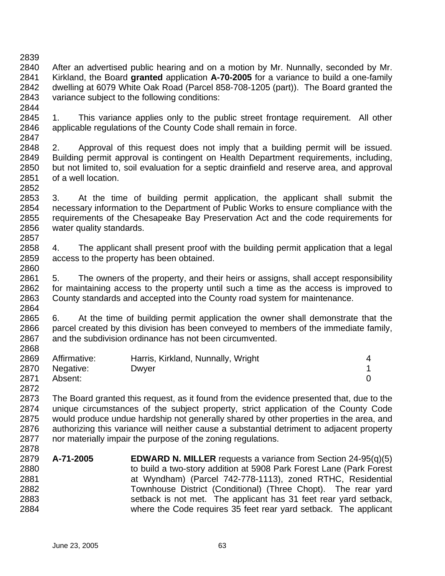2839

2840 After an advertised public hearing and on a motion by Mr. Nunnally, seconded by Mr. 2841 Kirkland, the Board **granted** application **A-70-2005** for a variance to build a one-family 2842 dwelling at 6079 White Oak Road (Parcel 858-708-1205 (part)). The Board granted the 2843 variance subject to the following conditions:

2845 1. This variance applies only to the public street frontage requirement. All other 2846 applicable regulations of the County Code shall remain in force.

2847

2844

2848 2. Approval of this request does not imply that a building permit will be issued. 2849 Building permit approval is contingent on Health Department requirements, including, 2850 but not limited to, soil evaluation for a septic drainfield and reserve area, and approval 2851 of a well location. 2852

2853 3. At the time of building permit application, the applicant shall submit the 2854 necessary information to the Department of Public Works to ensure compliance with the 2855 requirements of the Chesapeake Bay Preservation Act and the code requirements for 2856 water quality standards. 2857

2858 4. The applicant shall present proof with the building permit application that a legal 2859 access to the property has been obtained. 2860

2861 5. The owners of the property, and their heirs or assigns, shall accept responsibility 2862 for maintaining access to the property until such a time as the access is improved to 2863 County standards and accepted into the County road system for maintenance. 2864

2865 6. At the time of building permit application the owner shall demonstrate that the 2866 parcel created by this division has been conveyed to members of the immediate family, 2867 and the subdivision ordinance has not been circumvented. 2868

| 2869 | Affirmative:   | Harris, Kirkland, Nunnally, Wright |  |
|------|----------------|------------------------------------|--|
|      | 2870 Negative: | Dwyer                              |  |
| 2871 | Absent:        |                                    |  |

2872 2873 The Board granted this request, as it found from the evidence presented that, due to the 2874 unique circumstances of the subject property, strict application of the County Code 2875 would produce undue hardship not generally shared by other properties in the area, and 2876 authorizing this variance will neither cause a substantial detriment to adjacent property 2877 nor materially impair the purpose of the zoning regulations. 2878

2879 **A-71-2005 EDWARD N. MILLER** requests a variance from Section 24-95(q)(5) 2880 to build a two-story addition at 5908 Park Forest Lane (Park Forest 2881 at Wyndham) (Parcel 742-778-1113), zoned RTHC, Residential 2882 Townhouse District (Conditional) (Three Chopt). The rear yard 2883 setback is not met. The applicant has 31 feet rear yard setback, 2884 where the Code requires 35 feet rear yard setback. The applicant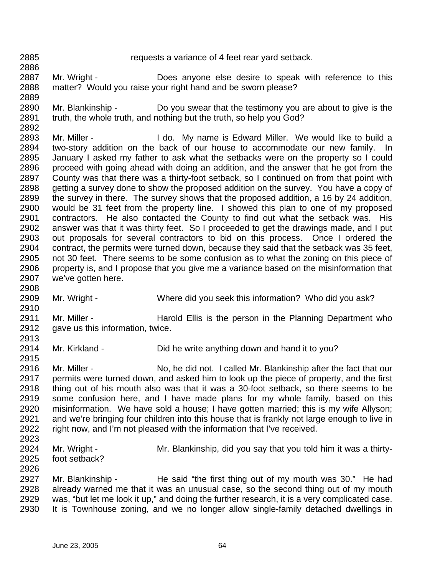2886

2889

2885 requests a variance of 4 feet rear yard setback.

2887 Mr. Wright - Does anyone else desire to speak with reference to this 2888 matter? Would you raise your right hand and be sworn please?

- 2890 Mr. Blankinship Do you swear that the testimony you are about to give is the 2891 truth, the whole truth, and nothing but the truth, so help you God?
- 2892 2893 Mr. Miller - I do. My name is Edward Miller. We would like to build a 2894 two-story addition on the back of our house to accommodate our new family. In 2895 January I asked my father to ask what the setbacks were on the property so I could 2896 proceed with going ahead with doing an addition, and the answer that he got from the 2897 County was that there was a thirty-foot setback, so I continued on from that point with 2898 getting a survey done to show the proposed addition on the survey. You have a copy of 2899 the survey in there. The survey shows that the proposed addition, a 16 by 24 addition, 2900 would be 31 feet from the property line. I showed this plan to one of my proposed 2901 contractors. He also contacted the County to find out what the setback was. His 2902 answer was that it was thirty feet. So I proceeded to get the drawings made, and I put 2903 out proposals for several contractors to bid on this process. Once I ordered the 2904 contract, the permits were turned down, because they said that the setback was 35 feet, 2905 not 30 feet. There seems to be some confusion as to what the zoning on this piece of 2906 property is, and I propose that you give me a variance based on the misinformation that 2907 we've gotten here.
- 2909 Mr. Wright Where did you seek this information? Who did you ask?
- 2911 Mr. Miller Harold Ellis is the person in the Planning Department who 2912 gave us this information, twice. 2913
- 2914 Mr. Kirkland Did he write anything down and hand it to you?
- 2916 Mr. Miller No, he did not. I called Mr. Blankinship after the fact that our 2917 permits were turned down, and asked him to look up the piece of property, and the first 2918 thing out of his mouth also was that it was a 30-foot setback, so there seems to be 2919 some confusion here, and I have made plans for my whole family, based on this 2920 misinformation. We have sold a house; I have gotten married; this is my wife Allyson; 2921 and we're bringing four children into this house that is frankly not large enough to live in 2922 right now, and I'm not pleased with the information that I've received.
- 2923

2908

2910

2915

- 2924 Mr. Wright Mr. Blankinship, did you say that you told him it was a thirty-2925 foot setback?
- 2926

2927 Mr. Blankinship - He said "the first thing out of my mouth was 30." He had 2928 already warned me that it was an unusual case, so the second thing out of my mouth 2929 was, "but let me look it up," and doing the further research, it is a very complicated case. 2930 It is Townhouse zoning, and we no longer allow single-family detached dwellings in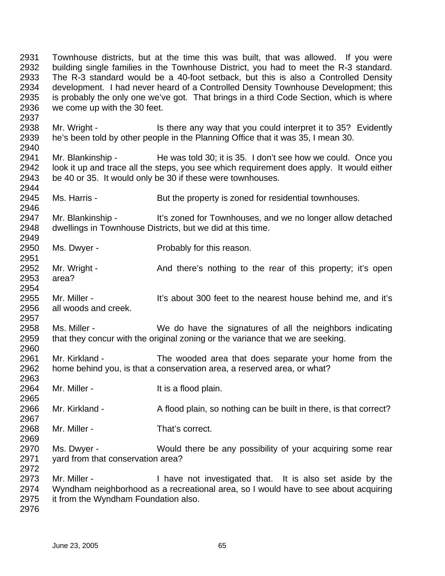2931 Townhouse districts, but at the time this was built, that was allowed. If you were 2932 building single families in the Townhouse District, you had to meet the R-3 standard. 2933 The R-3 standard would be a 40-foot setback, but this is also a Controlled Density 2934 development. I had never heard of a Controlled Density Townhouse Development; this 2935 is probably the only one we've got. That brings in a third Code Section, which is where 2936 we come up with the 30 feet. 2937 2938 Mr. Wright - Is there any way that you could interpret it to 35? Evidently 2939 he's been told by other people in the Planning Office that it was 35, I mean 30. 2940 2941 Mr. Blankinship - He was told 30; it is 35. I don't see how we could. Once you 2942 look it up and trace all the steps, you see which requirement does apply. It would either 2943 be 40 or 35. It would only be 30 if these were townhouses. 2944 2945 Ms. Harris - But the property is zoned for residential townhouses. 2946 2947 Mr. Blankinship - It's zoned for Townhouses, and we no longer allow detached 2948 dwellings in Townhouse Districts, but we did at this time. 2949 2950 Ms. Dwyer - Probably for this reason. 2951 2952 Mr. Wright - And there's nothing to the rear of this property; it's open 2953 area? 2954 2955 Mr. Miller - It's about 300 feet to the nearest house behind me, and it's 2956 all woods and creek. 2957 2958 Ms. Miller - We do have the signatures of all the neighbors indicating 2959 that they concur with the original zoning or the variance that we are seeking. 2960 2961 Mr. Kirkland - The wooded area that does separate your home from the 2962 home behind you, is that a conservation area, a reserved area, or what? 2963 2964 Mr. Miller - It is a flood plain. 2965 2966 Mr. Kirkland - A flood plain, so nothing can be built in there, is that correct? 2967 2968 Mr. Miller - That's correct. 2969 2970 Ms. Dwyer - Would there be any possibility of your acquiring some rear 2971 yard from that conservation area? 2972 2973 Mr. Miller - I have not investigated that. It is also set aside by the 2974 Wyndham neighborhood as a recreational area, so I would have to see about acquiring 2975 it from the Wyndham Foundation also. 2976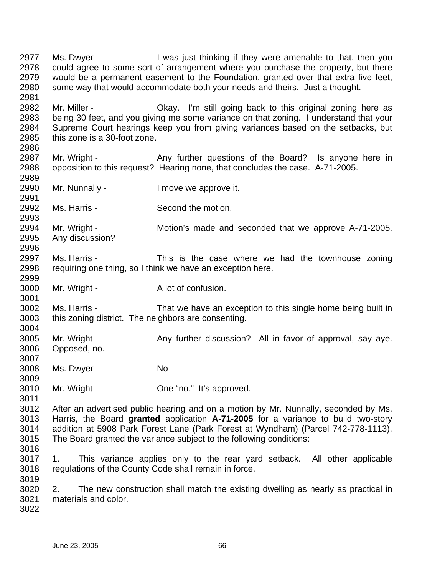2977 Ms. Dwyer - I was just thinking if they were amenable to that, then you 2978 could agree to some sort of arrangement where you purchase the property, but there 2979 would be a permanent easement to the Foundation, granted over that extra five feet, 2980 some way that would accommodate both your needs and theirs. Just a thought. 2981 2982 Mr. Miller - Okay. I'm still going back to this original zoning here as 2983 being 30 feet, and you giving me some variance on that zoning. I understand that your 2984 Supreme Court hearings keep you from giving variances based on the setbacks, but 2985 this zone is a 30-foot zone. 2986 2987 Mr. Wright - Any further questions of the Board? Is anyone here in 2988 opposition to this request? Hearing none, that concludes the case. A-71-2005. 2989 2990 Mr. Nunnally - I move we approve it. 2991 2992 Ms. Harris - Second the motion. 2993 2994 Mr. Wright - Motion's made and seconded that we approve A-71-2005. 2995 Any discussion? 2996 2997 Ms. Harris - This is the case where we had the townhouse zoning 2998 requiring one thing, so I think we have an exception here. 2999 3000 Mr. Wright - A lot of confusion. 3001 3002 Ms. Harris - That we have an exception to this single home being built in 3003 this zoning district. The neighbors are consenting. 3004 3005 Mr. Wright - Any further discussion? All in favor of approval, say aye. 3006 Opposed, no. 3007 3008 Ms. Dwyer - No 3009 3010 Mr. Wright - One "no." It's approved. 3011 3012 After an advertised public hearing and on a motion by Mr. Nunnally, seconded by Ms. 3013 Harris, the Board **granted** application **A-71-2005** for a variance to build two-story 3014 addition at 5908 Park Forest Lane (Park Forest at Wyndham) (Parcel 742-778-1113). 3015 The Board granted the variance subject to the following conditions: 3016 3017 1. This variance applies only to the rear yard setback. All other applicable 3018 regulations of the County Code shall remain in force. 3019 3020 2. The new construction shall match the existing dwelling as nearly as practical in 3021 materials and color. 3022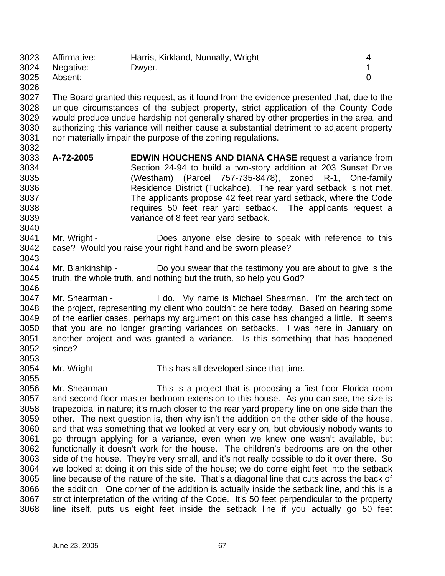| 3023 | Affirmative: | Harris, Kirkland, Nunnally, Wright |  |
|------|--------------|------------------------------------|--|
| 3024 | Negative:    | Dwyer,                             |  |
| 3025 | Absent:      |                                    |  |

3026

3040

3043

3053

3055

3027 The Board granted this request, as it found from the evidence presented that, due to the 3028 unique circumstances of the subject property, strict application of the County Code 3029 would produce undue hardship not generally shared by other properties in the area, and 3030 authorizing this variance will neither cause a substantial detriment to adjacent property 3031 nor materially impair the purpose of the zoning regulations. 3032

- 3033 **A-72-2005 EDWIN HOUCHENS AND DIANA CHASE** request a variance from 3034 Section 24-94 to build a two-story addition at 203 Sunset Drive 3035 (Westham) (Parcel 757-735-8478), zoned R-1, One-family 3036 Residence District (Tuckahoe). The rear yard setback is not met. 3037 The applicants propose 42 feet rear yard setback, where the Code 3038 requires 50 feet rear yard setback. The applicants request a 3039 variance of 8 feet rear yard setback.
- 3041 Mr. Wright Does anyone else desire to speak with reference to this 3042 case? Would you raise your right hand and be sworn please?
- 3044 Mr. Blankinship Do you swear that the testimony you are about to give is the 3045 truth, the whole truth, and nothing but the truth, so help you God? 3046
- 3047 Mr. Shearman I do. My name is Michael Shearman. I'm the architect on 3048 the project, representing my client who couldn't be here today. Based on hearing some 3049 of the earlier cases, perhaps my argument on this case has changed a little. It seems 3050 that you are no longer granting variances on setbacks. I was here in January on 3051 another project and was granted a variance. Is this something that has happened 3052 since?
- 3054 Mr. Wright This has all developed since that time.
- 3056 Mr. Shearman This is a project that is proposing a first floor Florida room 3057 and second floor master bedroom extension to this house. As you can see, the size is 3058 trapezoidal in nature; it's much closer to the rear yard property line on one side than the 3059 other. The next question is, then why isn't the addition on the other side of the house, 3060 and that was something that we looked at very early on, but obviously nobody wants to 3061 go through applying for a variance, even when we knew one wasn't available, but 3062 functionally it doesn't work for the house. The children's bedrooms are on the other 3063 side of the house. They're very small, and it's not really possible to do it over there. So 3064 we looked at doing it on this side of the house; we do come eight feet into the setback 3065 line because of the nature of the site. That's a diagonal line that cuts across the back of 3066 the addition. One corner of the addition is actually inside the setback line, and this is a 3067 strict interpretation of the writing of the Code. It's 50 feet perpendicular to the property 3068 line itself, puts us eight feet inside the setback line if you actually go 50 feet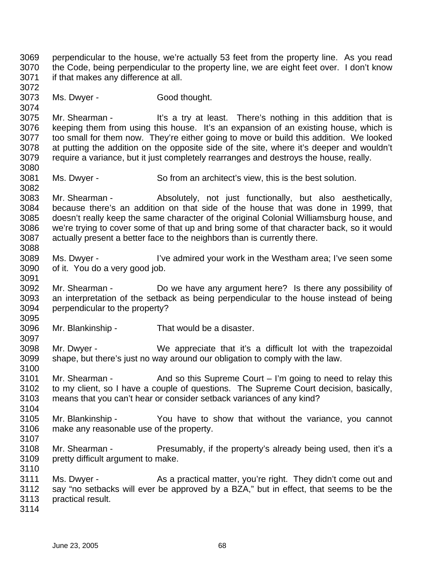3069 perpendicular to the house, we're actually 53 feet from the property line. As you read 3070 the Code, being perpendicular to the property line, we are eight feet over. I don't know 3071 if that makes any difference at all. 3072 3073 Ms. Dwyer - Good thought. 3074 3075 Mr. Shearman - It's a try at least. There's nothing in this addition that is 3076 keeping them from using this house. It's an expansion of an existing house, which is 3077 too small for them now. They're either going to move or build this addition. We looked 3078 at putting the addition on the opposite side of the site, where it's deeper and wouldn't 3079 require a variance, but it just completely rearranges and destroys the house, really. 3080 3081 Ms. Dwyer - So from an architect's view, this is the best solution. 3082 3083 Mr. Shearman - Absolutely, not just functionally, but also aesthetically, 3084 because there's an addition on that side of the house that was done in 1999, that 3085 doesn't really keep the same character of the original Colonial Williamsburg house, and 3086 we're trying to cover some of that up and bring some of that character back, so it would 3087 actually present a better face to the neighbors than is currently there. 3088 3089 Ms. Dwyer - I've admired your work in the Westham area; I've seen some 3090 of it. You do a very good job. 3091 3092 Mr. Shearman - Do we have any argument here? Is there any possibility of 3093 an interpretation of the setback as being perpendicular to the house instead of being 3094 perpendicular to the property? 3095 3096 Mr. Blankinship - That would be a disaster. 3097 3098 Mr. Dwyer - We appreciate that it's a difficult lot with the trapezoidal 3099 shape, but there's just no way around our obligation to comply with the law. 3100 3101 Mr. Shearman - And so this Supreme Court – I'm going to need to relay this 3102 to my client, so I have a couple of questions. The Supreme Court decision, basically, 3103 means that you can't hear or consider setback variances of any kind? 3104 3105 Mr. Blankinship - You have to show that without the variance, you cannot 3106 make any reasonable use of the property. 3107 3108 Mr. Shearman - Presumably, if the property's already being used, then it's a 3109 pretty difficult argument to make. 3110 3111 Ms. Dwyer - As a practical matter, you're right. They didn't come out and 3112 say "no setbacks will ever be approved by a BZA," but in effect, that seems to be the 3113 practical result. 3114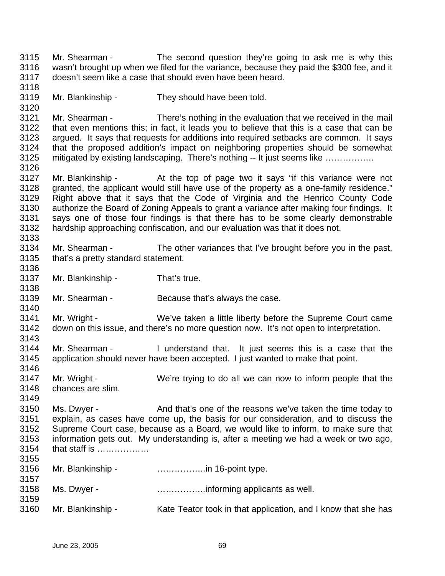3115 Mr. Shearman - The second question they're going to ask me is why this 3116 wasn't brought up when we filed for the variance, because they paid the \$300 fee, and it 3117 doesn't seem like a case that should even have been heard. 3118 3119 Mr. Blankinship - They should have been told. 3120 3121 Mr. Shearman - There's nothing in the evaluation that we received in the mail 3122 that even mentions this; in fact, it leads you to believe that this is a case that can be 3123 argued. It says that requests for additions into required setbacks are common. It says 3124 that the proposed addition's impact on neighboring properties should be somewhat 3125 mitigated by existing landscaping. There's nothing -- It just seems like …………….. 3126 3127 Mr. Blankinship - At the top of page two it says "if this variance were not 3128 granted, the applicant would still have use of the property as a one-family residence." 3129 Right above that it says that the Code of Virginia and the Henrico County Code 3130 authorize the Board of Zoning Appeals to grant a variance after making four findings. It 3131 says one of those four findings is that there has to be some clearly demonstrable 3132 hardship approaching confiscation, and our evaluation was that it does not. 3133 3134 Mr. Shearman - The other variances that I've brought before you in the past, 3135 that's a pretty standard statement. 3136 3137 Mr. Blankinship - That's true. 3138 3139 Mr. Shearman - Because that's always the case. 3140 3141 Mr. Wright - We've taken a little liberty before the Supreme Court came 3142 down on this issue, and there's no more question now. It's not open to interpretation. 3143 3144 Mr. Shearman - I understand that. It just seems this is a case that the 3145 application should never have been accepted. I just wanted to make that point. 3146 3147 Mr. Wright - We're trying to do all we can now to inform people that the 3148 chances are slim. 3149 3150 Ms. Dwyer - And that's one of the reasons we've taken the time today to 3151 explain, as cases have come up, the basis for our consideration, and to discuss the 3152 Supreme Court case, because as a Board, we would like to inform, to make sure that 3153 information gets out. My understanding is, after a meeting we had a week or two ago, 3154 that staff is ……………… 3155 3156 Mr. Blankinship - ……………..in 16-point type. 3157 3158 Ms. Dwyer - ……………..informing applicants as well. 3159 3160 Mr. Blankinship - Kate Teator took in that application, and I know that she has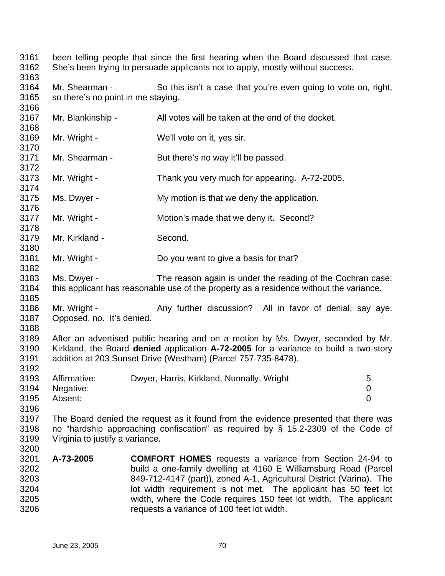3161 been telling people that since the first hearing when the Board discussed that case. 3162 She's been trying to persuade applicants not to apply, mostly without success.

3164 Mr. Shearman - So this isn't a case that you're even going to vote on, right, 3165 so there's no point in me staying.

3167 Mr. Blankinship - All votes will be taken at the end of the docket. 3168 3169 Mr. Wright - We'll vote on it, yes sir. 3170 3171 Mr. Shearman - But there's no way it'll be passed. 3172 3173 Mr. Wright - Thank you very much for appearing. A-72-2005. 3174 3175 Ms. Dwyer - My motion is that we deny the application. 3176 3177 Mr. Wright - Motion's made that we deny it. Second? 3178 3179 Mr. Kirkland - Second. 3180 3181 Mr. Wright - Do you want to give a basis for that? 3182 3183 Ms. Dwyer - The reason again is under the reading of the Cochran case; 3184 this applicant has reasonable use of the property as a residence without the variance. 3185 3186 Mr. Wright - Any further discussion? All in favor of denial, say aye. 3187 Opposed, no. It's denied. 3188 3189 After an advertised public hearing and on a motion by Ms. Dwyer, seconded by Mr. 3190 Kirkland, the Board **denied** application **A-72-2005** for a variance to build a two-story 3191 addition at 203 Sunset Drive (Westham) (Parcel 757-735-8478). 3192 3193 Affirmative: Dwyer, Harris, Kirkland, Nunnally, Wright 5 3194 Negative: 0 3195 Absent: 0 3196 3197 The Board denied the request as it found from the evidence presented that there was 3198 no "hardship approaching confiscation" as required by § 15.2-2309 of the Code of 3199 Virginia to justify a variance. 3200 3201 **A-73-2005 COMFORT HOMES** requests a variance from Section 24-94 to 3202 build a one-family dwelling at 4160 E Williamsburg Road (Parcel 3203 849-712-4147 (part)), zoned A-1, Agricultural District (Varina). The

3163

3166

3204 lot width requirement is not met. The applicant has 50 feet lot 3205 width, where the Code requires 150 feet lot width. The applicant

3206 requests a variance of 100 feet lot width.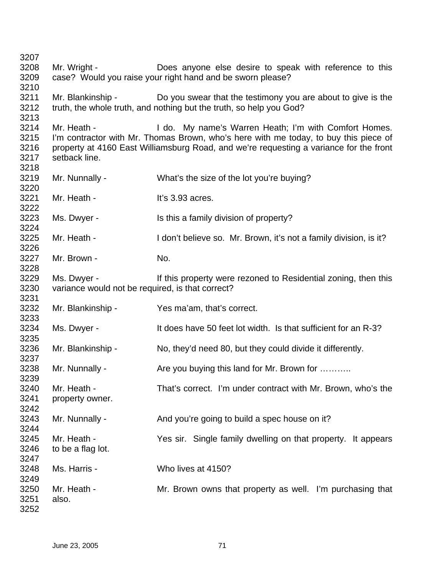3207 3208 Mr. Wright - Does anyone else desire to speak with reference to this 3209 case? Would you raise your right hand and be sworn please? 3210 3211 Mr. Blankinship - Do you swear that the testimony you are about to give is the 3212 truth, the whole truth, and nothing but the truth, so help you God? 3213 3214 Mr. Heath - I do. My name's Warren Heath; I'm with Comfort Homes. 3215 I'm contractor with Mr. Thomas Brown, who's here with me today, to buy this piece of 3216 property at 4160 East Williamsburg Road, and we're requesting a variance for the front 3217 setback line. 3218 3219 Mr. Nunnally - What's the size of the lot you're buying? 3220 3221 Mr. Heath - It's 3.93 acres. 3222 3223 Ms. Dwyer - Is this a family division of property? 3224 3225 Mr. Heath - I don't believe so. Mr. Brown, it's not a family division, is it? 3226 3227 Mr. Brown - No. 3228 3229 Ms. Dwyer - If this property were rezoned to Residential zoning, then this 3230 variance would not be required, is that correct? 3231 3232 Mr. Blankinship - Yes ma'am, that's correct. 3233 3234 Ms. Dwyer - It does have 50 feet lot width. Is that sufficient for an R-3? 3235 3236 Mr. Blankinship - No, they'd need 80, but they could divide it differently. 3237 3238 Mr. Nunnally - Are you buying this land for Mr. Brown for ........... 3239 3240 Mr. Heath - That's correct. I'm under contract with Mr. Brown, who's the 3241 property owner. 3242 3243 Mr. Nunnally - And you're going to build a spec house on it? 3244 3245 Mr. Heath - Yes sir. Single family dwelling on that property. It appears 3246 to be a flag lot. 3247 3248 Ms. Harris - Who lives at 4150? 3249 3250 Mr. Heath - Mr. Brown owns that property as well. I'm purchasing that 3251 also. 3252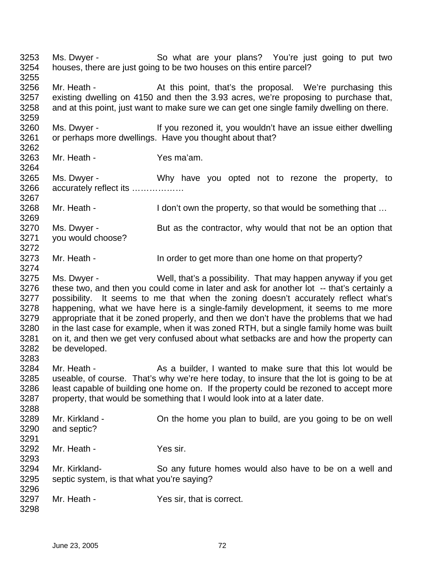3253 Ms. Dwyer - So what are your plans? You're just going to put two 3254 houses, there are just going to be two houses on this entire parcel? 3255 3256 Mr. Heath - At this point, that's the proposal. We're purchasing this 3257 existing dwelling on 4150 and then the 3.93 acres, we're proposing to purchase that, 3258 and at this point, just want to make sure we can get one single family dwelling on there. 3259 3260 Ms. Dwyer - If you rezoned it, you wouldn't have an issue either dwelling 3261 or perhaps more dwellings. Have you thought about that? 3262 3263 Mr. Heath - Yes ma'am. 3264 3265 Ms. Dwyer - Why have you opted not to rezone the property, to 3266 accurately reflect its ……………… 3267 3268 Mr. Heath - I don't own the property, so that would be something that ... 3269 3270 Ms. Dwyer - But as the contractor, why would that not be an option that 3271 you would choose? 3272 3273 Mr. Heath - In order to get more than one home on that property? 3274 3275 Ms. Dwyer - Well, that's a possibility. That may happen anyway if you get 3276 these two, and then you could come in later and ask for another lot -- that's certainly a 3277 possibility. It seems to me that when the zoning doesn't accurately reflect what's 3278 happening, what we have here is a single-family development, it seems to me more 3279 appropriate that it be zoned properly, and then we don't have the problems that we had 3280 in the last case for example, when it was zoned RTH, but a single family home was built 3281 on it, and then we get very confused about what setbacks are and how the property can 3282 be developed. 3283 3284 Mr. Heath - As a builder, I wanted to make sure that this lot would be 3285 useable, of course. That's why we're here today, to insure that the lot is going to be at 3286 least capable of building one home on. If the property could be rezoned to accept more 3287 property, that would be something that I would look into at a later date. 3288 3289 Mr. Kirkland - On the home you plan to build, are you going to be on well 3290 and septic? 3291 3292 Mr. Heath - Yes sir. 3293<br>3294 Mr. Kirkland- So any future homes would also have to be on a well and 3295 septic system, is that what you're saying? 3296 3297 Mr. Heath - Yes sir, that is correct. 3298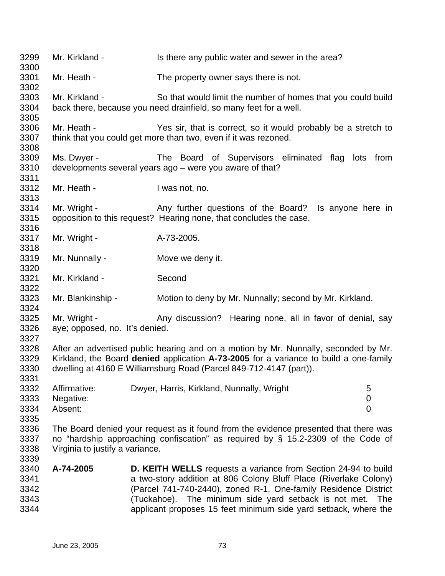3299 Mr. Kirkland - Is there any public water and sewer in the area? 3300 3301 Mr. Heath - The property owner says there is not. 3302 3303 Mr. Kirkland - So that would limit the number of homes that you could build 3304 back there, because you need drainfield, so many feet for a well. 3305 3306 Mr. Heath - Yes sir, that is correct, so it would probably be a stretch to 3307 think that you could get more than two, even if it was rezoned. 3308 3309 Ms. Dwyer - The Board of Supervisors eliminated flag lots from 3310 developments several years ago – were you aware of that? 3311 3312 Mr. Heath - I was not, no. 3313 3314 Mr. Wright - Any further questions of the Board? Is anyone here in 3315 opposition to this request? Hearing none, that concludes the case. 3316 3317 Mr. Wright - A-73-2005. 3318 3319 Mr. Nunnally - Move we deny it. 3320 3321 Mr. Kirkland - Second 3322 3323 Mr. Blankinship - Motion to deny by Mr. Nunnally; second by Mr. Kirkland. 3324 3325 Mr. Wright - Any discussion? Hearing none, all in favor of denial, say 3326 aye; opposed, no. It's denied. 3327 3328 After an advertised public hearing and on a motion by Mr. Nunnally, seconded by Mr. 3329 Kirkland, the Board **denied** application **A-73-2005** for a variance to build a one-family 3330 dwelling at 4160 E Williamsburg Road (Parcel 849-712-4147 (part)). 3331 3332 Affirmative: Dwyer, Harris, Kirkland, Nunnally, Wright 5 3333 Negative: 0 3334 Absent: 0 3335 3336 The Board denied your request as it found from the evidence presented that there was 3337 no "hardship approaching confiscation" as required by § 15.2-2309 of the Code of 3338 Virginia to justify a variance. 3339 3340 **A-74-2005 D. KEITH WELLS** requests a variance from Section 24-94 to build 3341 a two-story addition at 806 Colony Bluff Place (Riverlake Colony) 3342 (Parcel 741-740-2440), zoned R-1, One-family Residence District 3343 (Tuckahoe). The minimum side yard setback is not met. The 3344 applicant proposes 15 feet minimum side yard setback, where the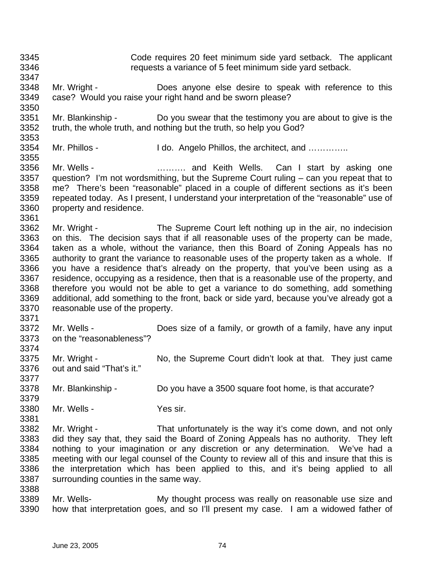3345 Code requires 20 feet minimum side yard setback. The applicant 3346 requests a variance of 5 feet minimum side yard setback. 3347 3348 Mr. Wright - Does anyone else desire to speak with reference to this 3349 case? Would you raise your right hand and be sworn please? 3350 3351 Mr. Blankinship - Do you swear that the testimony you are about to give is the 3352 truth, the whole truth, and nothing but the truth, so help you God? 3353 3354 Mr. Phillos - I do. Angelo Phillos, the architect, and ………….. 3355 3356 Mr. Wells - ………. and Keith Wells. Can I start by asking one 3357 question? I'm not wordsmithing, but the Supreme Court ruling – can you repeat that to 3358 me? There's been "reasonable" placed in a couple of different sections as it's been 3359 repeated today. As I present, I understand your interpretation of the "reasonable" use of 3360 property and residence. 3361 3362 Mr. Wright - The Supreme Court left nothing up in the air, no indecision 3363 on this. The decision says that if all reasonable uses of the property can be made, 3364 taken as a whole, without the variance, then this Board of Zoning Appeals has no 3365 authority to grant the variance to reasonable uses of the property taken as a whole. If 3366 you have a residence that's already on the property, that you've been using as a 3367 residence, occupying as a residence, then that is a reasonable use of the property, and 3368 therefore you would not be able to get a variance to do something, add something 3369 additional, add something to the front, back or side yard, because you've already got a 3370 reasonable use of the property. 3371 3372 Mr. Wells - Does size of a family, or growth of a family, have any input 3373 on the "reasonableness"? 3374 3375 Mr. Wright - No, the Supreme Court didn't look at that. They just came 3376 out and said "That's it." 3377 3378 Mr. Blankinship - Do you have a 3500 square foot home, is that accurate? 3379 3380 Mr. Wells - Yes sir. 3381 3382 Mr. Wright - That unfortunately is the way it's come down, and not only 3383 did they say that, they said the Board of Zoning Appeals has no authority. They left 3384 nothing to your imagination or any discretion or any determination. We've had a 3385 meeting with our legal counsel of the County to review all of this and insure that this is 3386 the interpretation which has been applied to this, and it's being applied to all 3387 surrounding counties in the same way. 3388 3389 Mr. Wells- My thought process was really on reasonable use size and 3390 how that interpretation goes, and so I'll present my case. I am a widowed father of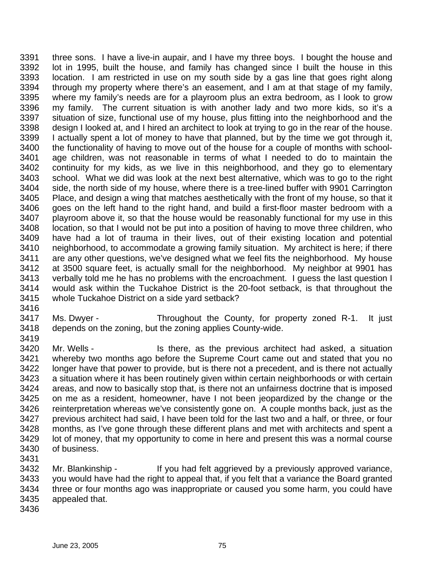3391 three sons. I have a live-in aupair, and I have my three boys. I bought the house and 3392 lot in 1995, built the house, and family has changed since I built the house in this 3393 location. I am restricted in use on my south side by a gas line that goes right along 3394 through my property where there's an easement, and I am at that stage of my family, 3395 where my family's needs are for a playroom plus an extra bedroom, as I look to grow 3396 my family. The current situation is with another lady and two more kids, so it's a 3397 situation of size, functional use of my house, plus fitting into the neighborhood and the 3398 design I looked at, and I hired an architect to look at trying to go in the rear of the house. 3399 I actually spent a lot of money to have that planned, but by the time we got through it, 3400 the functionality of having to move out of the house for a couple of months with school-3401 age children, was not reasonable in terms of what I needed to do to maintain the 3402 continuity for my kids, as we live in this neighborhood, and they go to elementary 3403 school. What we did was look at the next best alternative, which was to go to the right 3404 side, the north side of my house, where there is a tree-lined buffer with 9901 Carrington 3405 Place, and design a wing that matches aesthetically with the front of my house, so that it 3406 goes on the left hand to the right hand, and build a first-floor master bedroom with a 3407 playroom above it, so that the house would be reasonably functional for my use in this 3408 location, so that I would not be put into a position of having to move three children, who 3409 have had a lot of trauma in their lives, out of their existing location and potential 3410 neighborhood, to accommodate a growing family situation. My architect is here; if there 3411 are any other questions, we've designed what we feel fits the neighborhood. My house 3412 at 3500 square feet, is actually small for the neighborhood. My neighbor at 9901 has 3413 verbally told me he has no problems with the encroachment. I guess the last question I 3414 would ask within the Tuckahoe District is the 20-foot setback, is that throughout the 3415 whole Tuckahoe District on a side yard setback?

- 3416
- 3417 Ms. Dwyer Throughout the County, for property zoned R-1. It just 3418 depends on the zoning, but the zoning applies County-wide. 3419
- 3420 Mr. Wells Is there, as the previous architect had asked, a situation 3421 whereby two months ago before the Supreme Court came out and stated that you no 3422 longer have that power to provide, but is there not a precedent, and is there not actually 3423 a situation where it has been routinely given within certain neighborhoods or with certain 3424 areas, and now to basically stop that, is there not an unfairness doctrine that is imposed 3425 on me as a resident, homeowner, have I not been jeopardized by the change or the 3426 reinterpretation whereas we've consistently gone on. A couple months back, just as the 3427 previous architect had said, I have been told for the last two and a half, or three, or four 3428 months, as I've gone through these different plans and met with architects and spent a 3429 lot of money, that my opportunity to come in here and present this was a normal course 3430 of business.
- 3431

3432 Mr. Blankinship - If you had felt aggrieved by a previously approved variance, 3433 you would have had the right to appeal that, if you felt that a variance the Board granted 3434 three or four months ago was inappropriate or caused you some harm, you could have 3435 appealed that.

3436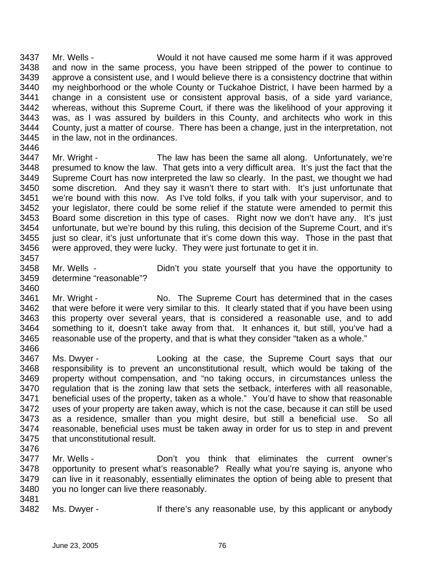3437 Mr. Wells - Would it not have caused me some harm if it was approved 3438 and now in the same process, you have been stripped of the power to continue to 3439 approve a consistent use, and I would believe there is a consistency doctrine that within 3440 my neighborhood or the whole County or Tuckahoe District, I have been harmed by a 3441 change in a consistent use or consistent approval basis, of a side yard variance, 3442 whereas, without this Supreme Court, if there was the likelihood of your approving it 3443 was, as I was assured by builders in this County, and architects who work in this 3444 County, just a matter of course. There has been a change, just in the interpretation, not 3445 in the law, not in the ordinances.

- 3446<br>3447 Mr. Wright - The law has been the same all along. Unfortunately, we're 3448 presumed to know the law. That gets into a very difficult area. It's just the fact that the 3449 Supreme Court has now interpreted the law so clearly. In the past, we thought we had 3450 some discretion. And they say it wasn't there to start with. It's just unfortunate that 3451 we're bound with this now. As I've told folks, if you talk with your supervisor, and to 3452 your legislator, there could be some relief if the statute were amended to permit this 3453 Board some discretion in this type of cases. Right now we don't have any. It's just 3454 unfortunate, but we're bound by this ruling, this decision of the Supreme Court, and it's 3455 just so clear, it's just unfortunate that it's come down this way. Those in the past that 3456 were approved, they were lucky. They were just fortunate to get it in.
- 3458 Mr. Wells Didn't you state yourself that you have the opportunity to 3459 determine "reasonable"?
- 3461 Mr. Wright No. The Supreme Court has determined that in the cases 3462 that were before it were very similar to this. It clearly stated that if you have been using 3463 this property over several years, that is considered a reasonable use, and to add 3464 something to it, doesn't take away from that. It enhances it, but still, you've had a 3465 reasonable use of the property, and that is what they consider "taken as a whole." 3466
- 3467 Ms. Dwyer Looking at the case, the Supreme Court says that our 3468 responsibility is to prevent an unconstitutional result, which would be taking of the 3469 property without compensation, and "no taking occurs, in circumstances unless the 3470 regulation that is the zoning law that sets the setback, interferes with all reasonable, 3471 beneficial uses of the property, taken as a whole." You'd have to show that reasonable 3472 uses of your property are taken away, which is not the case, because it can still be used 3473 as a residence, smaller than you might desire, but still a beneficial use. So all 3474 reasonable, beneficial uses must be taken away in order for us to step in and prevent 3475 that unconstitutional result.
- 3476

3457

3460

3477 Mr. Wells - Don't you think that eliminates the current owner's 3478 opportunity to present what's reasonable? Really what you're saying is, anyone who 3479 can live in it reasonably, essentially eliminates the option of being able to present that 3480 you no longer can live there reasonably.

3481

3482 Ms. Dwyer - If there's any reasonable use, by this applicant or anybody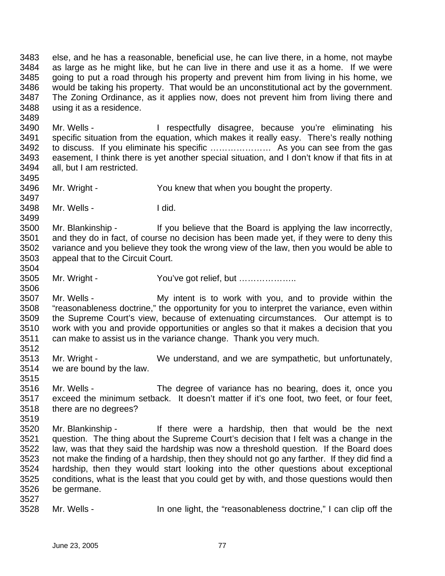3483 else, and he has a reasonable, beneficial use, he can live there, in a home, not maybe 3484 as large as he might like, but he can live in there and use it as a home. If we were 3485 going to put a road through his property and prevent him from living in his home, we 3486 would be taking his property. That would be an unconstitutional act by the government. 3487 The Zoning Ordinance, as it applies now, does not prevent him from living there and 3488 using it as a residence.

3490 Mr. Wells - I respectfully disagree, because you're eliminating his 3491 specific situation from the equation, which makes it really easy. There's really nothing 3492 to discuss. If you eliminate his specific ………………… As you can see from the gas 3493 easement, I think there is yet another special situation, and I don't know if that fits in at 3494 all, but I am restricted.

3496 Mr. Wright - You knew that when you bought the property.

3498 Mr. Wells - I did.

3500 Mr. Blankinship - If you believe that the Board is applying the law incorrectly, 3501 and they do in fact, of course no decision has been made yet, if they were to deny this 3502 variance and you believe they took the wrong view of the law, then you would be able to 3503 appeal that to the Circuit Court. 3504

3505 Mr. Wright - You've got relief, but ………………..

3507 Mr. Wells - My intent is to work with you, and to provide within the 3508 "reasonableness doctrine," the opportunity for you to interpret the variance, even within 3509 the Supreme Court's view, because of extenuating circumstances. Our attempt is to 3510 work with you and provide opportunities or angles so that it makes a decision that you 3511 can make to assist us in the variance change. Thank you very much. 3512

3513 Mr. Wright - We understand, and we are sympathetic, but unfortunately, 3514 we are bound by the law.

3515

3489

3495

3497

3499

3506

3516 Mr. Wells - The degree of variance has no bearing, does it, once you 3517 exceed the minimum setback. It doesn't matter if it's one foot, two feet, or four feet, 3518 there are no degrees? 3519

- 3520 Mr. Blankinship If there were a hardship, then that would be the next 3521 question. The thing about the Supreme Court's decision that I felt was a change in the 3522 law, was that they said the hardship was now a threshold question. If the Board does 3523 not make the finding of a hardship, then they should not go any farther. If they did find a 3524 hardship, then they would start looking into the other questions about exceptional 3525 conditions, what is the least that you could get by with, and those questions would then 3526 be germane.
- 3527

3528 Mr. Wells - In one light, the "reasonableness doctrine," I can clip off the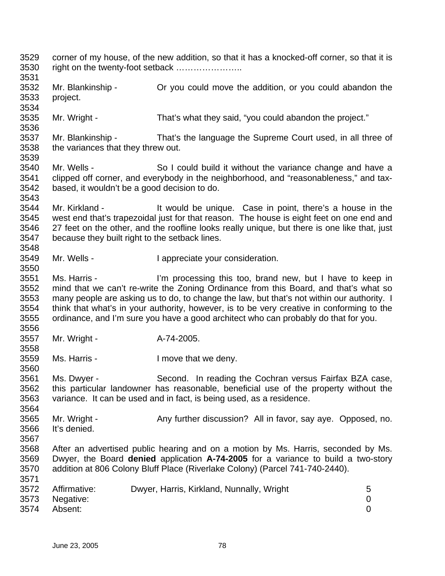3529 corner of my house, of the new addition, so that it has a knocked-off corner, so that it is 3530 right on the twenty-foot setback ………………….. 3531 3532 Mr. Blankinship - Or you could move the addition, or you could abandon the 3533 project. 3534 3535 Mr. Wright - That's what they said, "you could abandon the project." 3536 3537 Mr. Blankinship - That's the language the Supreme Court used, in all three of 3538 the variances that they threw out. 3539 3540 Mr. Wells - So I could build it without the variance change and have a 3541 clipped off corner, and everybody in the neighborhood, and "reasonableness," and tax-3542 based, it wouldn't be a good decision to do. 3543 3544 Mr. Kirkland - It would be unique. Case in point, there's a house in the 3545 west end that's trapezoidal just for that reason. The house is eight feet on one end and 3546 27 feet on the other, and the roofline looks really unique, but there is one like that, just 3547 because they built right to the setback lines. 3548 3549 Mr. Wells - I appreciate your consideration. 3550 3551 Ms. Harris - I'm processing this too, brand new, but I have to keep in 3552 mind that we can't re-write the Zoning Ordinance from this Board, and that's what so 3553 many people are asking us to do, to change the law, but that's not within our authority. I 3554 think that what's in your authority, however, is to be very creative in conforming to the 3555 ordinance, and I'm sure you have a good architect who can probably do that for you. 3556 3557 Mr. Wright - A-74-2005. 3558 3559 Ms. Harris - I move that we deny. 3560 3561 Ms. Dwyer - Second. In reading the Cochran versus Fairfax BZA case, 3562 this particular landowner has reasonable, beneficial use of the property without the 3563 variance. It can be used and in fact, is being used, as a residence. 3564 3565 Mr. Wright - Any further discussion? All in favor, say aye. Opposed, no. 3566 It's denied. 3567 3568 After an advertised public hearing and on a motion by Ms. Harris, seconded by Ms. 3569 Dwyer, the Board **denied** application **A-74-2005** for a variance to build a two-story 3570 addition at 806 Colony Bluff Place (Riverlake Colony) (Parcel 741-740-2440). 3571 3572 Affirmative: Dwyer, Harris, Kirkland, Nunnally, Wright 5 3573 Negative: 0 3574 Absent: 0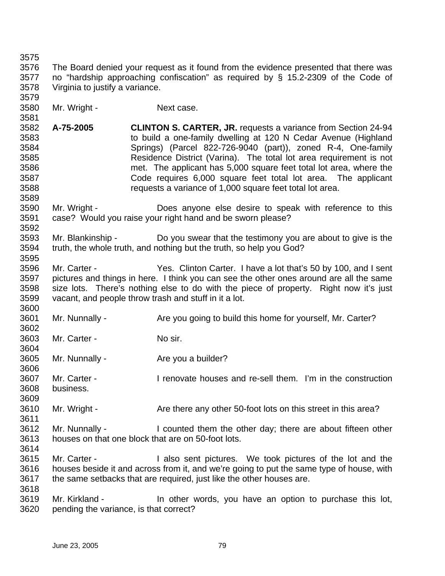- 3575 3576 The Board denied your request as it found from the evidence presented that there was 3577 no "hardship approaching confiscation" as required by § 15.2-2309 of the Code of 3578 Virginia to justify a variance.
- 3580 Mr. Wright Next case.

3579

3581

3589

3592

3600

3602

3604

3606

3609

3611

3618

- 3582 **A-75-2005 CLINTON S. CARTER, JR.** requests a variance from Section 24-94 3583 to build a one-family dwelling at 120 N Cedar Avenue (Highland 3584 Springs) (Parcel 822-726-9040 (part)), zoned R-4, One-family 3585 Residence District (Varina). The total lot area requirement is not 3586 met. The applicant has 5,000 square feet total lot area, where the 3587 Code requires 6,000 square feet total lot area. The applicant 3588 requests a variance of 1,000 square feet total lot area.
- 3590 Mr. Wright Does anyone else desire to speak with reference to this 3591 case? Would you raise your right hand and be sworn please?
- 3593 Mr. Blankinship Do you swear that the testimony you are about to give is the 3594 truth, the whole truth, and nothing but the truth, so help you God? 3595
- 3596 Mr. Carter Yes. Clinton Carter. I have a lot that's 50 by 100, and I sent 3597 pictures and things in here. I think you can see the other ones around are all the same 3598 size lots. There's nothing else to do with the piece of property. Right now it's just 3599 vacant, and people throw trash and stuff in it a lot.
- 3601 Mr. Nunnally Are you going to build this home for yourself, Mr. Carter?
- 3603 Mr. Carter No sir.
- 3605 Mr. Nunnally Are you a builder?
- 3607 Mr. Carter I renovate houses and re-sell them. I'm in the construction 3608 business.
- 3610 Mr. Wright Are there any other 50-foot lots on this street in this area?
- 3612 Mr. Nunnally I counted them the other day; there are about fifteen other 3613 houses on that one block that are on 50-foot lots. 3614
- 3615 Mr. Carter I also sent pictures. We took pictures of the lot and the 3616 houses beside it and across from it, and we're going to put the same type of house, with 3617 the same setbacks that are required, just like the other houses are.
- 3619 Mr. Kirkland In other words, you have an option to purchase this lot, 3620 pending the variance, is that correct?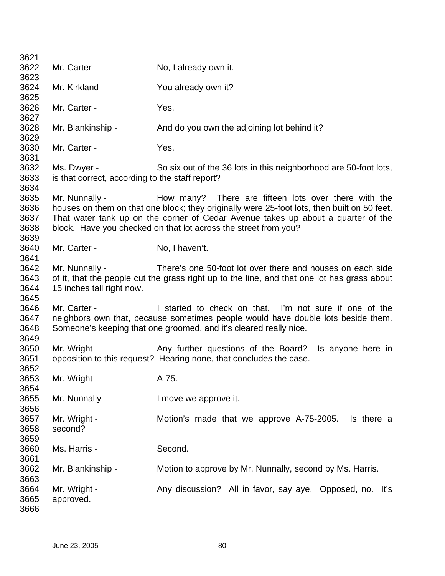| 3621         |                                                                                  |                                                                                             |  |  |
|--------------|----------------------------------------------------------------------------------|---------------------------------------------------------------------------------------------|--|--|
| 3622         | Mr. Carter -                                                                     | No, I already own it.                                                                       |  |  |
| 3623         |                                                                                  |                                                                                             |  |  |
| 3624<br>3625 | Mr. Kirkland -                                                                   | You already own it?                                                                         |  |  |
| 3626<br>3627 | Mr. Carter -                                                                     | Yes.                                                                                        |  |  |
| 3628         | Mr. Blankinship -                                                                | And do you own the adjoining lot behind it?                                                 |  |  |
| 3629<br>3630 | Mr. Carter -                                                                     | Yes.                                                                                        |  |  |
| 3631<br>3632 | Ms. Dwyer -                                                                      | So six out of the 36 lots in this neighborhood are 50-foot lots,                            |  |  |
| 3633<br>3634 | is that correct, according to the staff report?                                  |                                                                                             |  |  |
| 3635         | Mr. Nunnally -                                                                   | How many? There are fifteen lots over there with the                                        |  |  |
| 3636         |                                                                                  | houses on them on that one block; they originally were 25-foot lots, then built on 50 feet. |  |  |
| 3637         | That water tank up on the corner of Cedar Avenue takes up about a quarter of the |                                                                                             |  |  |
| 3638         |                                                                                  | block. Have you checked on that lot across the street from you?                             |  |  |
| 3639         |                                                                                  |                                                                                             |  |  |
| 3640         | Mr. Carter -                                                                     | No, I haven't.                                                                              |  |  |
| 3641         |                                                                                  |                                                                                             |  |  |
| 3642         | Mr. Nunnally -                                                                   | There's one 50-foot lot over there and houses on each side                                  |  |  |
| 3643         |                                                                                  | of it, that the people cut the grass right up to the line, and that one lot has grass about |  |  |
| 3644         | 15 inches tall right now.                                                        |                                                                                             |  |  |
| 3645         |                                                                                  |                                                                                             |  |  |
| 3646         | Mr. Carter -                                                                     | I started to check on that. I'm not sure if one of the                                      |  |  |
| 3647         |                                                                                  | neighbors own that, because sometimes people would have double lots beside them.            |  |  |
| 3648         |                                                                                  | Someone's keeping that one groomed, and it's cleared really nice.                           |  |  |
| 3649         |                                                                                  |                                                                                             |  |  |
| 3650         | Mr. Wright -                                                                     | Any further questions of the Board? Is anyone here in                                       |  |  |
| 3651         |                                                                                  | opposition to this request? Hearing none, that concludes the case.                          |  |  |
| 3652         |                                                                                  |                                                                                             |  |  |
| 3653         | Mr. Wright -                                                                     | A-75.                                                                                       |  |  |
| 3654         |                                                                                  |                                                                                             |  |  |
| 3655         | Mr. Nunnally -                                                                   | I move we approve it.                                                                       |  |  |
| 3656         |                                                                                  |                                                                                             |  |  |
| 3657         | Mr. Wright -                                                                     | Motion's made that we approve A-75-2005.<br>Is there a                                      |  |  |
| 3658         | second?                                                                          |                                                                                             |  |  |
| 3659         |                                                                                  |                                                                                             |  |  |
| 3660         | Ms. Harris -                                                                     | Second.                                                                                     |  |  |
| 3661         |                                                                                  |                                                                                             |  |  |
| 3662         | Mr. Blankinship -                                                                | Motion to approve by Mr. Nunnally, second by Ms. Harris.                                    |  |  |
| 3663         |                                                                                  |                                                                                             |  |  |
| 3664         | Mr. Wright -                                                                     | Any discussion? All in favor, say aye. Opposed, no. It's                                    |  |  |
| 3665         | approved.                                                                        |                                                                                             |  |  |
| 3666         |                                                                                  |                                                                                             |  |  |
|              |                                                                                  |                                                                                             |  |  |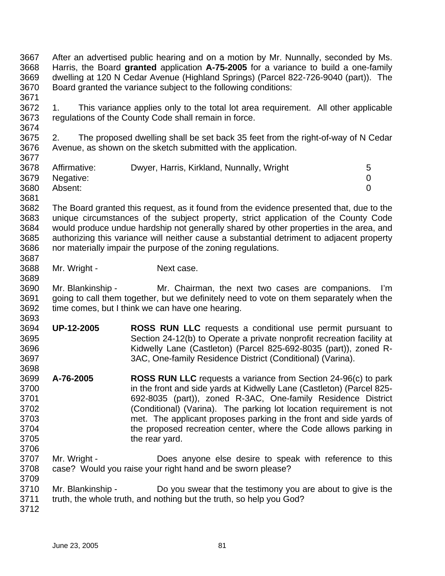3667 After an advertised public hearing and on a motion by Mr. Nunnally, seconded by Ms. 3668 Harris, the Board **granted** application **A-75-2005** for a variance to build a one-family 3669 dwelling at 120 N Cedar Avenue (Highland Springs) (Parcel 822-726-9040 (part)). The 3670 Board granted the variance subject to the following conditions: 3671 3672 1. This variance applies only to the total lot area requirement. All other applicable 3673 regulations of the County Code shall remain in force. 3674 3675 2. The proposed dwelling shall be set back 35 feet from the right-of-way of N Cedar 3676 Avenue, as shown on the sketch submitted with the application. 3677 3678 Affirmative: Dwyer, Harris, Kirkland, Nunnally, Wright 5 3679 Negative: 0 3680 Absent: 0 3681 3682 The Board granted this request, as it found from the evidence presented that, due to the 3683 unique circumstances of the subject property, strict application of the County Code 3684 would produce undue hardship not generally shared by other properties in the area, and 3685 authorizing this variance will neither cause a substantial detriment to adjacent property 3686 nor materially impair the purpose of the zoning regulations. 3687 3688 Mr. Wright - Next case. 3689 3690 Mr. Blankinship - Mr. Chairman, the next two cases are companions. I'm 3691 going to call them together, but we definitely need to vote on them separately when the 3692 time comes, but I think we can have one hearing. 3693 3694 **UP-12-2005 ROSS RUN LLC** requests a conditional use permit pursuant to 3695 Section 24-12(b) to Operate a private nonprofit recreation facility at 3696 Kidwelly Lane (Castleton) (Parcel 825-692-8035 (part)), zoned R-3697 3AC, One-family Residence District (Conditional) (Varina). 3698 3699 **A-76-2005 ROSS RUN LLC** requests a variance from Section 24-96(c) to park 3700 **in the front and side yards at Kidwelly Lane (Castleton) (Parcel 825-**3701 692-8035 (part)), zoned R-3AC, One-family Residence District 3702 (Conditional) (Varina). The parking lot location requirement is not 3703 met. The applicant proposes parking in the front and side yards of 3704 the proposed recreation center, where the Code allows parking in 3705 the rear yard. 3706 3707 Mr. Wright - Does anyone else desire to speak with reference to this 3708 case? Would you raise your right hand and be sworn please? 3709 3710 Mr. Blankinship - Do you swear that the testimony you are about to give is the 3711 truth, the whole truth, and nothing but the truth, so help you God? 3712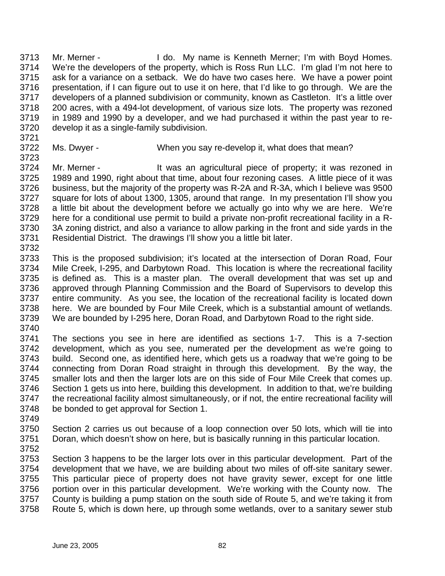3713 Mr. Merner - I do. My name is Kenneth Merner; I'm with Boyd Homes. 3714 We're the developers of the property, which is Ross Run LLC. I'm glad I'm not here to 3715 ask for a variance on a setback. We do have two cases here. We have a power point 3716 presentation, if I can figure out to use it on here, that I'd like to go through. We are the 3717 developers of a planned subdivision or community, known as Castleton. It's a little over 3718 200 acres, with a 494-lot development, of various size lots. The property was rezoned 3719 in 1989 and 1990 by a developer, and we had purchased it within the past year to re-3720 develop it as a single-family subdivision.

- 3721
- 3723

3722 Ms. Dwyer - When you say re-develop it, what does that mean?

3724 Mr. Merner - It was an agricultural piece of property; it was rezoned in 3725 1989 and 1990, right about that time, about four rezoning cases. A little piece of it was 3726 business, but the majority of the property was R-2A and R-3A, which I believe was 9500 3727 square for lots of about 1300, 1305, around that range. In my presentation I'll show you 3728 a little bit about the development before we actually go into why we are here. We're 3729 here for a conditional use permit to build a private non-profit recreational facility in a R-3730 3A zoning district, and also a variance to allow parking in the front and side yards in the 3731 Residential District. The drawings I'll show you a little bit later. 3732

- 3733 This is the proposed subdivision; it's located at the intersection of Doran Road, Four 3734 Mile Creek, I-295, and Darbytown Road. This location is where the recreational facility 3735 is defined as. This is a master plan. The overall development that was set up and 3736 approved through Planning Commission and the Board of Supervisors to develop this 3737 entire community. As you see, the location of the recreational facility is located down 3738 here. We are bounded by Four Mile Creek, which is a substantial amount of wetlands. 3739 We are bounded by I-295 here, Doran Road, and Darbytown Road to the right side.
- 3740

3741 The sections you see in here are identified as sections 1-7. This is a 7-section 3742 development, which as you see, numerated per the development as we're going to 3743 build. Second one, as identified here, which gets us a roadway that we're going to be 3744 connecting from Doran Road straight in through this development. By the way, the 3745 smaller lots and then the larger lots are on this side of Four Mile Creek that comes up. 3746 Section 1 gets us into here, building this development. In addition to that, we're building 3747 the recreational facility almost simultaneously, or if not, the entire recreational facility will 3748 be bonded to get approval for Section 1.

3749

3750 Section 2 carries us out because of a loop connection over 50 lots, which will tie into 3751 Doran, which doesn't show on here, but is basically running in this particular location.

3752

3753 Section 3 happens to be the larger lots over in this particular development. Part of the 3754 development that we have, we are building about two miles of off-site sanitary sewer. 3755 This particular piece of property does not have gravity sewer, except for one little 3756 portion over in this particular development. We're working with the County now. The 3757 County is building a pump station on the south side of Route 5, and we're taking it from 3758 Route 5, which is down here, up through some wetlands, over to a sanitary sewer stub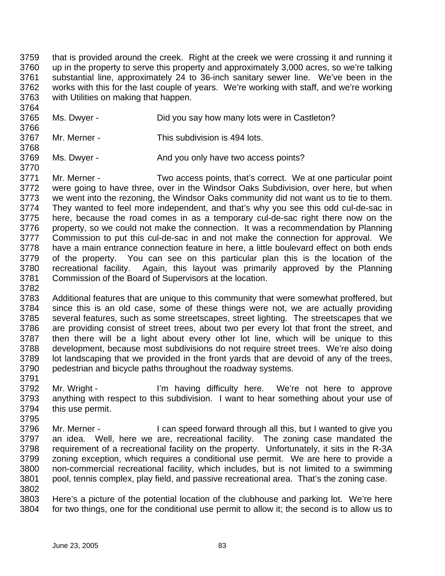3759 that is provided around the creek. Right at the creek we were crossing it and running it 3760 up in the property to serve this property and approximately 3,000 acres, so we're talking 3761 substantial line, approximately 24 to 36-inch sanitary sewer line. We've been in the 3762 works with this for the last couple of years. We're working with staff, and we're working 3763 with Utilities on making that happen.

- 3765 Ms. Dwyer Did you say how many lots were in Castleton? 3766 3767 Mr. Merner - This subdivision is 494 lots.
- 3768

3791

3764

- 3769 Ms. Dwyer And you only have two access points? 3770
- 3771 Mr. Merner Two access points, that's correct. We at one particular point 3772 were going to have three, over in the Windsor Oaks Subdivision, over here, but when 3773 we went into the rezoning, the Windsor Oaks community did not want us to tie to them. 3774 They wanted to feel more independent, and that's why you see this odd cul-de-sac in 3775 here, because the road comes in as a temporary cul-de-sac right there now on the 3776 property, so we could not make the connection. It was a recommendation by Planning 3777 Commission to put this cul-de-sac in and not make the connection for approval. We 3778 have a main entrance connection feature in here, a little boulevard effect on both ends 3779 of the property. You can see on this particular plan this is the location of the 3780 recreational facility. Again, this layout was primarily approved by the Planning 3781 Commission of the Board of Supervisors at the location. 3782
- 3783 Additional features that are unique to this community that were somewhat proffered, but 3784 since this is an old case, some of these things were not, we are actually providing 3785 several features, such as some streetscapes, street lighting. The streetscapes that we 3786 are providing consist of street trees, about two per every lot that front the street, and 3787 then there will be a light about every other lot line, which will be unique to this 3788 development, because most subdivisions do not require street trees. We're also doing 3789 lot landscaping that we provided in the front yards that are devoid of any of the trees, 3790 pedestrian and bicycle paths throughout the roadway systems.
- 3792 Mr. Wright I'm having difficulty here. We're not here to approve 3793 anything with respect to this subdivision. I want to hear something about your use of 3794 this use permit.
- 3795 3796 Mr. Merner - I can speed forward through all this, but I wanted to give you 3797 an idea. Well, here we are, recreational facility. The zoning case mandated the 3798 requirement of a recreational facility on the property. Unfortunately, it sits in the R-3A 3799 zoning exception, which requires a conditional use permit. We are here to provide a 3800 non-commercial recreational facility, which includes, but is not limited to a swimming 3801 pool, tennis complex, play field, and passive recreational area. That's the zoning case. 3802
	- 3803 Here's a picture of the potential location of the clubhouse and parking lot. We're here 3804 for two things, one for the conditional use permit to allow it; the second is to allow us to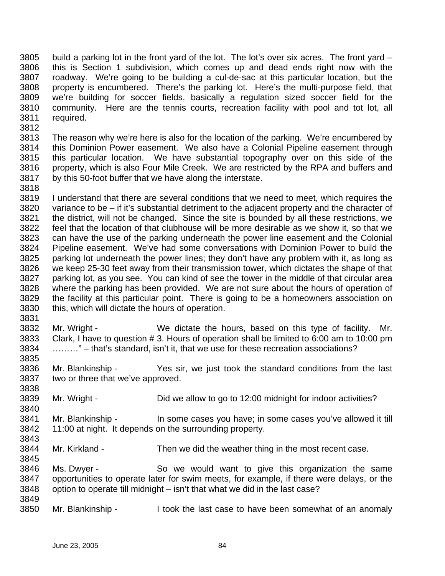3805 build a parking lot in the front yard of the lot. The lot's over six acres. The front yard – 3806 this is Section 1 subdivision, which comes up and dead ends right now with the 3807 roadway. We're going to be building a cul-de-sac at this particular location, but the 3808 property is encumbered. There's the parking lot. Here's the multi-purpose field, that 3809 we're building for soccer fields, basically a regulation sized soccer field for the 3810 community. Here are the tennis courts, recreation facility with pool and tot lot, all 3811 required.

3813 The reason why we're here is also for the location of the parking. We're encumbered by 3814 this Dominion Power easement. We also have a Colonial Pipeline easement through 3815 this particular location. We have substantial topography over on this side of the 3816 property, which is also Four Mile Creek. We are restricted by the RPA and buffers and 3817 by this 50-foot buffer that we have along the interstate.

3819 I understand that there are several conditions that we need to meet, which requires the 3820 variance to be – if it's substantial detriment to the adjacent property and the character of 3821 the district, will not be changed. Since the site is bounded by all these restrictions, we 3822 feel that the location of that clubhouse will be more desirable as we show it, so that we 3823 can have the use of the parking underneath the power line easement and the Colonial 3824 Pipeline easement. We've had some conversations with Dominion Power to build the 3825 parking lot underneath the power lines; they don't have any problem with it, as long as 3826 we keep 25-30 feet away from their transmission tower, which dictates the shape of that 3827 parking lot, as you see. You can kind of see the tower in the middle of that circular area 3828 where the parking has been provided. We are not sure about the hours of operation of 3829 the facility at this particular point. There is going to be a homeowners association on 3830 this, which will dictate the hours of operation.

- 3832 Mr. Wright We dictate the hours, based on this type of facility. Mr. 3833 Clark, I have to question # 3. Hours of operation shall be limited to 6:00 am to 10:00 pm 3834 ………" – that's standard, isn't it, that we use for these recreation associations?
- 3836 Mr. Blankinship Yes sir, we just took the standard conditions from the last 3837 two or three that we've approved.
- 3839 Mr. Wright Did we allow to go to 12:00 midnight for indoor activities?
- 3841 Mr. Blankinship In some cases you have; in some cases you've allowed it till 3842 11:00 at night. It depends on the surrounding property. 3843
- 3844 Mr. Kirkland Then we did the weather thing in the most recent case.
- 3846 Ms. Dwyer So we would want to give this organization the same 3847 opportunities to operate later for swim meets, for example, if there were delays, or the 3848 option to operate till midnight – isn't that what we did in the last case? 3849
- 3850 Mr. Blankinship I took the last case to have been somewhat of an anomaly

3812

3818

3831

3835

3838

3840

3845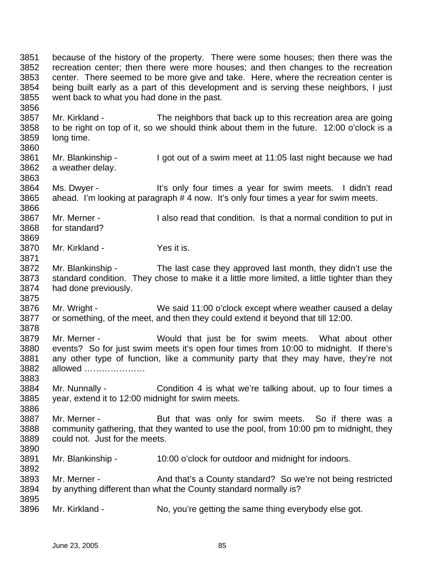3851 because of the history of the property. There were some houses; then there was the 3852 recreation center; then there were more houses; and then changes to the recreation 3853 center. There seemed to be more give and take. Here, where the recreation center is 3854 being built early as a part of this development and is serving these neighbors, I just 3855 went back to what you had done in the past. 3856 3857 Mr. Kirkland - The neighbors that back up to this recreation area are going 3858 to be right on top of it, so we should think about them in the future. 12:00 o'clock is a 3859 long time. 3860 3861 Mr. Blankinship - I got out of a swim meet at 11:05 last night because we had 3862 a weather delay. 3863 3864 Ms. Dwyer - It's only four times a year for swim meets. I didn't read 3865 ahead. I'm looking at paragraph  $\sharp$  4 now. It's only four times a year for swim meets. 3866 3867 Mr. Merner - I also read that condition. Is that a normal condition to put in 3868 for standard? 3869 3870 Mr. Kirkland - Yes it is. 3871 3872 Mr. Blankinship - The last case they approved last month, they didn't use the 3873 standard condition. They chose to make it a little more limited, a little tighter than they 3874 had done previously. 3875 3876 Mr. Wright - We said 11:00 o'clock except where weather caused a delay 3877 or something, of the meet, and then they could extend it beyond that till 12:00. 3878 3879 Mr. Merner - Would that just be for swim meets. What about other 3880 events? So for just swim meets it's open four times from 10:00 to midnight. If there's 3881 any other type of function, like a community party that they may have, they're not 3882 allowed ………………… 3883 3884 Mr. Nunnally - Condition 4 is what we're talking about, up to four times a 3885 year, extend it to 12:00 midnight for swim meets. 3886 3887 Mr. Merner - But that was only for swim meets. So if there was a 3888 community gathering, that they wanted to use the pool, from 10:00 pm to midnight, they 3889 could not. Just for the meets. 3890 3891 Mr. Blankinship - 10:00 o'clock for outdoor and midnight for indoors. 3892 3893 Mr. Merner - And that's a County standard? So we're not being restricted 3894 by anything different than what the County standard normally is? 3895 3896 Mr. Kirkland - No, you're getting the same thing everybody else got.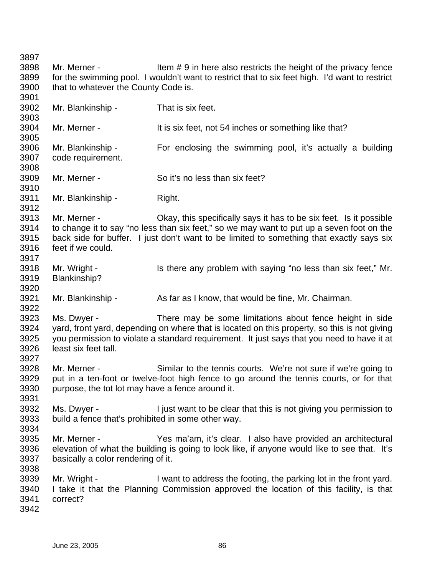3897 3898 Mr. Merner - Item # 9 in here also restricts the height of the privacy fence 3899 for the swimming pool. I wouldn't want to restrict that to six feet high. I'd want to restrict 3900 that to whatever the County Code is. 3901 3902 Mr. Blankinship - That is six feet. 3903 3904 Mr. Merner - It is six feet, not 54 inches or something like that? 3905 3906 Mr. Blankinship - For enclosing the swimming pool, it's actually a building 3907 code requirement. 3908 3909 Mr. Merner - So it's no less than six feet? 3910 3911 Mr. Blankinship - Right. 3912 3913 Mr. Merner - Okay, this specifically says it has to be six feet. Is it possible 3914 to change it to say "no less than six feet," so we may want to put up a seven foot on the 3915 back side for buffer. I just don't want to be limited to something that exactly says six 3916 feet if we could. 3917 3918 Mr. Wright - Is there any problem with saying "no less than six feet," Mr. 3919 Blankinship? 3920 3921 Mr. Blankinship - As far as I know, that would be fine, Mr. Chairman. 3922 3923 Ms. Dwyer - There may be some limitations about fence height in side 3924 yard, front yard, depending on where that is located on this property, so this is not giving 3925 you permission to violate a standard requirement. It just says that you need to have it at 3926 least six feet tall. 3927 3928 Mr. Merner - Similar to the tennis courts. We're not sure if we're going to 3929 put in a ten-foot or twelve-foot high fence to go around the tennis courts, or for that 3930 purpose, the tot lot may have a fence around it. 3931 3932 Ms. Dwyer - I just want to be clear that this is not giving you permission to 3933 build a fence that's prohibited in some other way. 3934 3935 Mr. Merner - Yes ma'am, it's clear. I also have provided an architectural 3936 elevation of what the building is going to look like, if anyone would like to see that. It's 3937 basically a color rendering of it. 3938 3939 Mr. Wright - I want to address the footing, the parking lot in the front yard. 3940 I take it that the Planning Commission approved the location of this facility, is that 3941 correct? 3942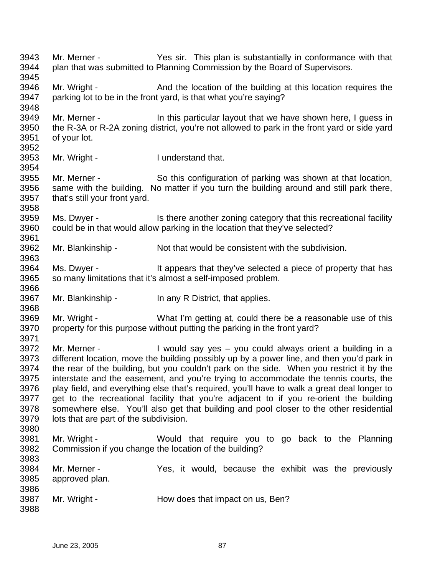3943 Mr. Merner - Yes sir. This plan is substantially in conformance with that 3944 plan that was submitted to Planning Commission by the Board of Supervisors. 3945 3946 Mr. Wright - And the location of the building at this location requires the 3947 parking lot to be in the front yard, is that what you're saying? 3948 3949 Mr. Merner - In this particular layout that we have shown here, I guess in 3950 the R-3A or R-2A zoning district, you're not allowed to park in the front yard or side yard 3951 of your lot. 3952 3953 Mr. Wright - I understand that. 3954 3955 Mr. Merner - So this configuration of parking was shown at that location, 3956 same with the building. No matter if you turn the building around and still park there, 3957 that's still your front yard. 3958 3959 Ms. Dwyer - Is there another zoning category that this recreational facility 3960 could be in that would allow parking in the location that they've selected? 3961 3962 Mr. Blankinship - Not that would be consistent with the subdivision. 3963 3964 Ms. Dwyer - It appears that they've selected a piece of property that has 3965 so many limitations that it's almost a self-imposed problem. 3966<br>3967 Mr. Blankinship - In any R District, that applies. 3968 3969 Mr. Wright - What I'm getting at, could there be a reasonable use of this 3970 property for this purpose without putting the parking in the front yard? 3971 3972 Mr. Merner - I would say yes – you could always orient a building in a 3973 different location, move the building possibly up by a power line, and then you'd park in 3974 the rear of the building, but you couldn't park on the side. When you restrict it by the 3975 interstate and the easement, and you're trying to accommodate the tennis courts, the 3976 play field, and everything else that's required, you'll have to walk a great deal longer to 3977 get to the recreational facility that you're adjacent to if you re-orient the building 3978 somewhere else. You'll also get that building and pool closer to the other residential 3979 lots that are part of the subdivision. 3980 3981 Mr. Wright - Would that require you to go back to the Planning 3982 Commission if you change the location of the building? 3983 3984 Mr. Merner - Yes, it would, because the exhibit was the previously 3985 approved plan. 3986 3987 Mr. Wright - How does that impact on us, Ben? 3988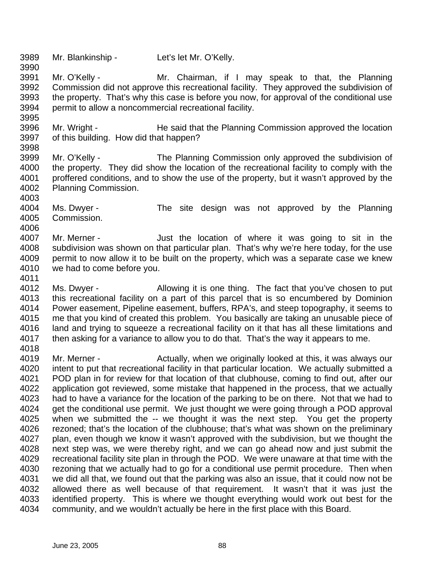3989 Mr. Blankinship - Let's let Mr. O'Kelly.

3990

3995

4011

3991 Mr. O'Kelly - Mr. Chairman, if I may speak to that, the Planning 3992 Commission did not approve this recreational facility. They approved the subdivision of 3993 the property. That's why this case is before you now, for approval of the conditional use 3994 permit to allow a noncommercial recreational facility.

3996 Mr. Wright - He said that the Planning Commission approved the location 3997 of this building. How did that happen? 3998

3999 Mr. O'Kelly - The Planning Commission only approved the subdivision of 4000 the property. They did show the location of the recreational facility to comply with the 4001 proffered conditions, and to show the use of the property, but it wasn't approved by the 4002 Planning Commission. 4003

4004 Ms. Dwyer - The site design was not approved by the Planning 4005 Commission. 4006

4007 Mr. Merner - Just the location of where it was going to sit in the 4008 subdivision was shown on that particular plan. That's why we're here today, for the use 4009 permit to now allow it to be built on the property, which was a separate case we knew 4010 we had to come before you.

4012 Ms. Dwyer - Allowing it is one thing. The fact that you've chosen to put 4013 this recreational facility on a part of this parcel that is so encumbered by Dominion 4014 Power easement, Pipeline easement, buffers, RPA's, and steep topography, it seems to 4015 me that you kind of created this problem. You basically are taking an unusable piece of 4016 land and trying to squeeze a recreational facility on it that has all these limitations and 4017 then asking for a variance to allow you to do that. That's the way it appears to me. 4018

4019 Mr. Merner - Actually, when we originally looked at this, it was always our 4020 intent to put that recreational facility in that particular location. We actually submitted a 4021 POD plan in for review for that location of that clubhouse, coming to find out, after our 4022 application got reviewed, some mistake that happened in the process, that we actually 4023 had to have a variance for the location of the parking to be on there. Not that we had to 4024 get the conditional use permit. We just thought we were going through a POD approval 4025 when we submitted the -- we thought it was the next step. You get the property 4026 rezoned; that's the location of the clubhouse; that's what was shown on the preliminary 4027 plan, even though we know it wasn't approved with the subdivision, but we thought the 4028 next step was, we were thereby right, and we can go ahead now and just submit the 4029 recreational facility site plan in through the POD. We were unaware at that time with the 4030 rezoning that we actually had to go for a conditional use permit procedure. Then when 4031 we did all that, we found out that the parking was also an issue, that it could now not be 4032 allowed there as well because of that requirement. It wasn't that it was just the 4033 identified property. This is where we thought everything would work out best for the 4034 community, and we wouldn't actually be here in the first place with this Board.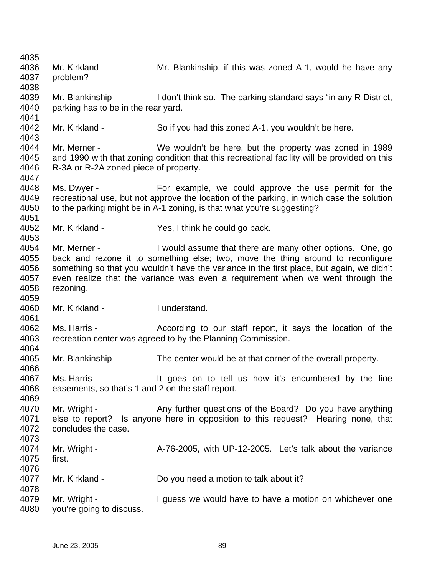| 4035 |                                                                                  |                                                                                              |  |
|------|----------------------------------------------------------------------------------|----------------------------------------------------------------------------------------------|--|
| 4036 | Mr. Kirkland -                                                                   | Mr. Blankinship, if this was zoned A-1, would he have any                                    |  |
| 4037 | problem?                                                                         |                                                                                              |  |
| 4038 |                                                                                  |                                                                                              |  |
| 4039 | Mr. Blankinship -                                                                | I don't think so. The parking standard says "in any R District,                              |  |
| 4040 | parking has to be in the rear yard.                                              |                                                                                              |  |
| 4041 |                                                                                  |                                                                                              |  |
| 4042 | Mr. Kirkland -                                                                   | So if you had this zoned A-1, you wouldn't be here.                                          |  |
| 4043 |                                                                                  |                                                                                              |  |
| 4044 | Mr. Merner -                                                                     | We wouldn't be here, but the property was zoned in 1989                                      |  |
| 4045 |                                                                                  | and 1990 with that zoning condition that this recreational facility will be provided on this |  |
| 4046 | R-3A or R-2A zoned piece of property.                                            |                                                                                              |  |
| 4047 |                                                                                  |                                                                                              |  |
|      |                                                                                  |                                                                                              |  |
| 4048 | Ms. Dwyer -                                                                      | For example, we could approve the use permit for the                                         |  |
| 4049 |                                                                                  | recreational use, but not approve the location of the parking, in which case the solution    |  |
| 4050 |                                                                                  | to the parking might be in A-1 zoning, is that what you're suggesting?                       |  |
| 4051 |                                                                                  |                                                                                              |  |
| 4052 | Mr. Kirkland -                                                                   | Yes, I think he could go back.                                                               |  |
| 4053 |                                                                                  |                                                                                              |  |
| 4054 | Mr. Merner -                                                                     | I would assume that there are many other options. One, go                                    |  |
| 4055 |                                                                                  | back and rezone it to something else; two, move the thing around to reconfigure              |  |
| 4056 |                                                                                  | something so that you wouldn't have the variance in the first place, but again, we didn't    |  |
| 4057 |                                                                                  | even realize that the variance was even a requirement when we went through the               |  |
| 4058 | rezoning.                                                                        |                                                                                              |  |
| 4059 |                                                                                  |                                                                                              |  |
| 4060 | Mr. Kirkland -                                                                   | I understand.                                                                                |  |
| 4061 |                                                                                  |                                                                                              |  |
| 4062 | Ms. Harris -                                                                     | According to our staff report, it says the location of the                                   |  |
| 4063 |                                                                                  | recreation center was agreed to by the Planning Commission.                                  |  |
| 4064 |                                                                                  |                                                                                              |  |
| 4065 | Mr. Blankinship -                                                                | The center would be at that corner of the overall property.                                  |  |
| 4066 |                                                                                  |                                                                                              |  |
| 4067 | Ms. Harris -                                                                     | It goes on to tell us how it's encumbered by the line                                        |  |
| 4068 | easements, so that's 1 and 2 on the staff report.                                |                                                                                              |  |
| 4069 |                                                                                  |                                                                                              |  |
| 4070 | Mr. Wright -                                                                     |                                                                                              |  |
|      |                                                                                  | Any further questions of the Board? Do you have anything                                     |  |
| 4071 | else to report? Is anyone here in opposition to this request? Hearing none, that |                                                                                              |  |
| 4072 | concludes the case.                                                              |                                                                                              |  |
| 4073 |                                                                                  |                                                                                              |  |
| 4074 | Mr. Wright -                                                                     | A-76-2005, with UP-12-2005. Let's talk about the variance                                    |  |
| 4075 | first.                                                                           |                                                                                              |  |
| 4076 |                                                                                  |                                                                                              |  |
| 4077 | Mr. Kirkland -                                                                   | Do you need a motion to talk about it?                                                       |  |
| 4078 |                                                                                  |                                                                                              |  |
| 4079 | Mr. Wright -                                                                     | I guess we would have to have a motion on whichever one                                      |  |
| 4080 | you're going to discuss.                                                         |                                                                                              |  |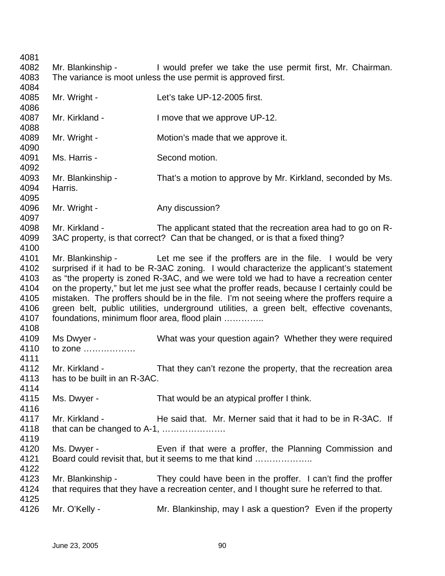4081 4082 Mr. Blankinship - I would prefer we take the use permit first, Mr. Chairman. 4083 The variance is moot unless the use permit is approved first. 4084 4085 Mr. Wright - Let's take UP-12-2005 first. 4086 4087 Mr. Kirkland - I move that we approve UP-12. 4088 4089 Mr. Wright - Motion's made that we approve it. 4090 4091 Ms. Harris - Second motion. 4092 4093 Mr. Blankinship - That's a motion to approve by Mr. Kirkland, seconded by Ms. 4094 Harris. 4095 4096 Mr. Wright - Any discussion? 4097 4098 Mr. Kirkland - The applicant stated that the recreation area had to go on R-4099 3AC property, is that correct? Can that be changed, or is that a fixed thing? 4100 4101 Mr. Blankinship - Let me see if the proffers are in the file. I would be very 4102 surprised if it had to be R-3AC zoning. I would characterize the applicant's statement 4103 as "the property is zoned R-3AC, and we were told we had to have a recreation center 4104 on the property," but let me just see what the proffer reads, because I certainly could be 4105 mistaken. The proffers should be in the file. I'm not seeing where the proffers require a 4106 green belt, public utilities, underground utilities, a green belt, effective covenants, 4107 foundations, minimum floor area, flood plain ………….. 4108 4109 Ms Dwyer - What was your question again? Whether they were required 4110 to zone ……………… 4111 4112 Mr. Kirkland - That they can't rezone the property, that the recreation area 4113 has to be built in an R-3AC. 4114 4115 Ms. Dwyer - That would be an atypical proffer I think. 4116 4117 Mr. Kirkland - He said that. Mr. Merner said that it had to be in R-3AC. If 4118 that can be changed to A-1, …………………… 4119 4120 Ms. Dwyer - Even if that were a proffer, the Planning Commission and 4121 Board could revisit that, but it seems to me that kind ……………….. 4122 4123 Mr. Blankinship - They could have been in the proffer. I can't find the proffer 4124 that requires that they have a recreation center, and I thought sure he referred to that. 4125 4126 Mr. O'Kelly - Mr. Blankinship, may I ask a question? Even if the property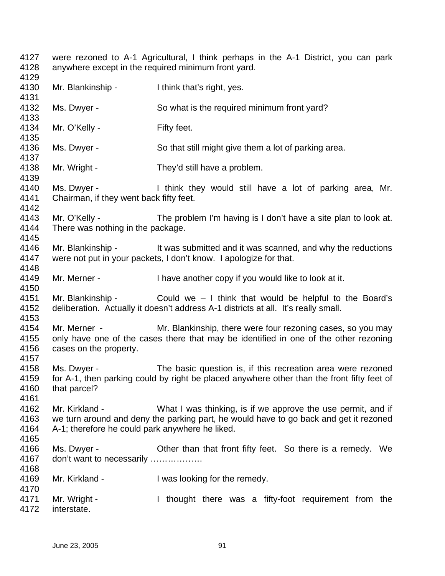4127 were rezoned to A-1 Agricultural, I think perhaps in the A-1 District, you can park 4128 anywhere except in the required minimum front yard. 4129 4130 Mr. Blankinship - I think that's right, yes. 4131 4132 Ms. Dwyer - So what is the required minimum front yard? 4133 4134 Mr. O'Kelly - Fifty feet. 4135 4136 Ms. Dwyer - So that still might give them a lot of parking area. 4137 4138 Mr. Wright - They'd still have a problem. 4139 4140 Ms. Dwyer - I think they would still have a lot of parking area, Mr. 4141 Chairman, if they went back fifty feet. 4142 4143 Mr. O'Kelly - The problem I'm having is I don't have a site plan to look at. 4144 There was nothing in the package. 4145 4146 Mr. Blankinship - It was submitted and it was scanned, and why the reductions 4147 were not put in your packets, I don't know. I apologize for that. 4148 4149 Mr. Merner - I have another copy if you would like to look at it. 4150 4151 Mr. Blankinship - Could we – I think that would be helpful to the Board's 4152 deliberation. Actually it doesn't address A-1 districts at all. It's really small. 4153 4154 Mr. Merner - Mr. Blankinship, there were four rezoning cases, so you may 4155 only have one of the cases there that may be identified in one of the other rezoning 4156 cases on the property. 4157 4158 Ms. Dwyer - The basic question is, if this recreation area were rezoned 4159 for A-1, then parking could by right be placed anywhere other than the front fifty feet of 4160 that parcel? 4161 4162 Mr. Kirkland - What I was thinking, is if we approve the use permit, and if 4163 we turn around and deny the parking part, he would have to go back and get it rezoned 4164 A-1; therefore he could park anywhere he liked. 4165 4166 Ms. Dwyer - Other than that front fifty feet. So there is a remedy. We 4167 don't want to necessarily ……………… 4168 4169 Mr. Kirkland - I was looking for the remedy. 4170 4171 Mr. Wright - I thought there was a fifty-foot requirement from the 4172 interstate.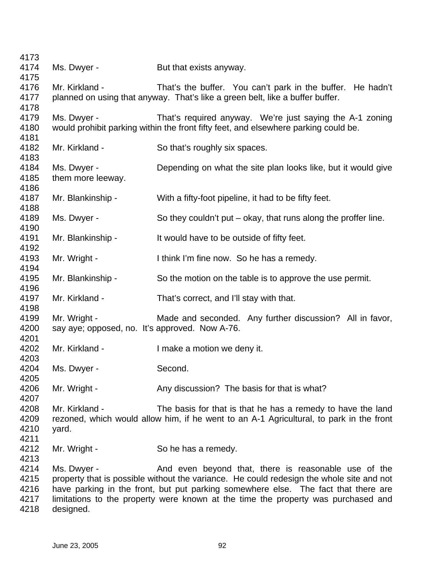| 4173 |                                                                                          |                                                                                         |  |
|------|------------------------------------------------------------------------------------------|-----------------------------------------------------------------------------------------|--|
| 4174 | Ms. Dwyer -                                                                              | But that exists anyway.                                                                 |  |
| 4175 |                                                                                          |                                                                                         |  |
| 4176 | Mr. Kirkland -                                                                           | That's the buffer. You can't park in the buffer. He hadn't                              |  |
| 4177 |                                                                                          | planned on using that anyway. That's like a green belt, like a buffer buffer.           |  |
| 4178 |                                                                                          |                                                                                         |  |
| 4179 | Ms. Dwyer -                                                                              | That's required anyway. We're just saying the A-1 zoning                                |  |
| 4180 |                                                                                          | would prohibit parking within the front fifty feet, and elsewhere parking could be.     |  |
| 4181 |                                                                                          |                                                                                         |  |
| 4182 | Mr. Kirkland -                                                                           | So that's roughly six spaces.                                                           |  |
| 4183 |                                                                                          |                                                                                         |  |
| 4184 | Ms. Dwyer -                                                                              | Depending on what the site plan looks like, but it would give                           |  |
| 4185 | them more leeway.                                                                        |                                                                                         |  |
| 4186 |                                                                                          |                                                                                         |  |
| 4187 | Mr. Blankinship -                                                                        | With a fifty-foot pipeline, it had to be fifty feet.                                    |  |
| 4188 |                                                                                          |                                                                                         |  |
| 4189 | Ms. Dwyer -                                                                              | So they couldn't put $-$ okay, that runs along the proffer line.                        |  |
| 4190 |                                                                                          |                                                                                         |  |
| 4191 | Mr. Blankinship -                                                                        | It would have to be outside of fifty feet.                                              |  |
| 4192 |                                                                                          |                                                                                         |  |
| 4193 | Mr. Wright -                                                                             | I think I'm fine now. So he has a remedy.                                               |  |
| 4194 |                                                                                          |                                                                                         |  |
| 4195 | Mr. Blankinship -                                                                        | So the motion on the table is to approve the use permit.                                |  |
| 4196 |                                                                                          |                                                                                         |  |
| 4197 | Mr. Kirkland -                                                                           | That's correct, and I'll stay with that.                                                |  |
| 4198 |                                                                                          |                                                                                         |  |
| 4199 | Mr. Wright -                                                                             | Made and seconded. Any further discussion? All in favor,                                |  |
| 4200 | say aye; opposed, no. It's approved. Now A-76.                                           |                                                                                         |  |
| 4201 |                                                                                          |                                                                                         |  |
| 4202 | Mr. Kirkland -                                                                           | I make a motion we deny it.                                                             |  |
| 4203 |                                                                                          |                                                                                         |  |
| 4204 | Ms. Dwyer -                                                                              | Second.                                                                                 |  |
| 4205 |                                                                                          |                                                                                         |  |
| 4206 | Mr. Wright -                                                                             | Any discussion? The basis for that is what?                                             |  |
| 4207 |                                                                                          |                                                                                         |  |
| 4208 | Mr. Kirkland -                                                                           | The basis for that is that he has a remedy to have the land                             |  |
| 4209 |                                                                                          | rezoned, which would allow him, if he went to an A-1 Agricultural, to park in the front |  |
| 4210 | yard.                                                                                    |                                                                                         |  |
| 4211 |                                                                                          |                                                                                         |  |
| 4212 | Mr. Wright -                                                                             | So he has a remedy.                                                                     |  |
| 4213 |                                                                                          |                                                                                         |  |
| 4214 | Ms. Dwyer -                                                                              | And even beyond that, there is reasonable use of the                                    |  |
| 4215 | property that is possible without the variance. He could redesign the whole site and not |                                                                                         |  |
| 4216 |                                                                                          | have parking in the front, but put parking somewhere else. The fact that there are      |  |
| 4217 |                                                                                          | limitations to the property were known at the time the property was purchased and       |  |
| 4218 | designed.                                                                                |                                                                                         |  |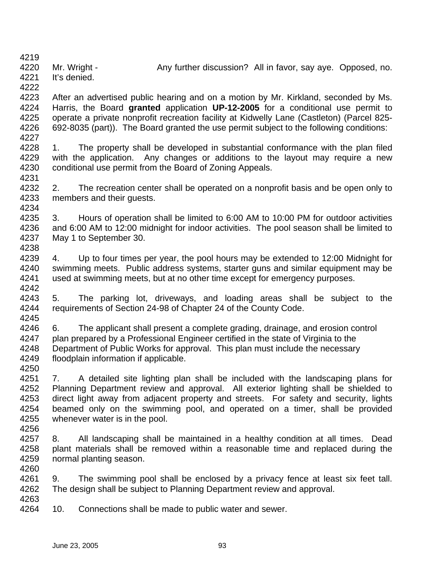June 23, 2005 93 4223 After an advertised public hearing and on a motion by Mr. Kirkland, seconded by Ms. 4224 Harris, the Board **granted** application **UP-12-2005** for a conditional use permit to 4225 operate a private nonprofit recreation facility at Kidwelly Lane (Castleton) (Parcel 825- 4226 692-8035 (part)). The Board granted the use permit subject to the following conditions: 4227 4228 1. The property shall be developed in substantial conformance with the plan filed 4229 with the application. Any changes or additions to the layout may require a new 4230 conditional use permit from the Board of Zoning Appeals. 4231 4232 2. The recreation center shall be operated on a nonprofit basis and be open only to 4233 members and their guests. 4234 4235 3. Hours of operation shall be limited to 6:00 AM to 10:00 PM for outdoor activities 4236 and 6:00 AM to 12:00 midnight for indoor activities. The pool season shall be limited to 4237 May 1 to September 30. 4238 4239 4. Up to four times per year, the pool hours may be extended to 12:00 Midnight for 4240 swimming meets. Public address systems, starter guns and similar equipment may be 4241 used at swimming meets, but at no other time except for emergency purposes. 4242<br>4243 5. The parking lot, driveways, and loading areas shall be subject to the 4244 requirements of Section 24-98 of Chapter 24 of the County Code. 4245 4246 6. The applicant shall present a complete grading, drainage, and erosion control 4247 plan prepared by a Professional Engineer certified in the state of Virginia to the 4248 Department of Public Works for approval. This plan must include the necessary 4249 floodplain information if applicable. 4250 4251 7. A detailed site lighting plan shall be included with the landscaping plans for 4252 Planning Department review and approval. All exterior lighting shall be shielded to 4253 direct light away from adjacent property and streets. For safety and security, lights 4254 beamed only on the swimming pool, and operated on a timer, shall be provided 4255 whenever water is in the pool. 4256 4257 8. All landscaping shall be maintained in a healthy condition at all times. Dead 4258 plant materials shall be removed within a reasonable time and replaced during the 4259 normal planting season. 4260 4261 9. The swimming pool shall be enclosed by a privacy fence at least six feet tall. 4262 The design shall be subject to Planning Department review and approval. 4263 4264 10. Connections shall be made to public water and sewer.

4220 Mr. Wright - Any further discussion? All in favor, say aye. Opposed, no.

4219

4222

4221 It's denied.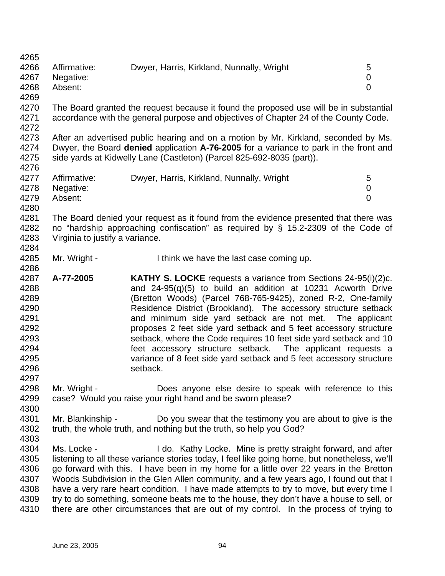| 4265         |                                                                                        |                                                                                                                                        |                  |  |  |
|--------------|----------------------------------------------------------------------------------------|----------------------------------------------------------------------------------------------------------------------------------------|------------------|--|--|
| 4266         | Affirmative:                                                                           | Dwyer, Harris, Kirkland, Nunnally, Wright                                                                                              | 5                |  |  |
| 4267         | Negative:                                                                              |                                                                                                                                        | $\boldsymbol{0}$ |  |  |
| 4268         | Absent:                                                                                |                                                                                                                                        | $\overline{0}$   |  |  |
| 4269         |                                                                                        |                                                                                                                                        |                  |  |  |
| 4270         |                                                                                        | The Board granted the request because it found the proposed use will be in substantial                                                 |                  |  |  |
| 4271         |                                                                                        | accordance with the general purpose and objectives of Chapter 24 of the County Code.                                                   |                  |  |  |
| 4272         |                                                                                        |                                                                                                                                        |                  |  |  |
| 4273         | After an advertised public hearing and on a motion by Mr. Kirkland, seconded by Ms.    |                                                                                                                                        |                  |  |  |
| 4274         | Dwyer, the Board denied application A-76-2005 for a variance to park in the front and  |                                                                                                                                        |                  |  |  |
| 4275         |                                                                                        | side yards at Kidwelly Lane (Castleton) (Parcel 825-692-8035 (part)).                                                                  |                  |  |  |
| 4276         |                                                                                        |                                                                                                                                        |                  |  |  |
| 4277         | Affirmative:                                                                           | Dwyer, Harris, Kirkland, Nunnally, Wright                                                                                              | 5                |  |  |
| 4278         | Negative:                                                                              |                                                                                                                                        | 0                |  |  |
| 4279         | Absent:                                                                                |                                                                                                                                        | $\overline{0}$   |  |  |
| 4280         |                                                                                        |                                                                                                                                        |                  |  |  |
| 4281         |                                                                                        | The Board denied your request as it found from the evidence presented that there was                                                   |                  |  |  |
| 4282         |                                                                                        | no "hardship approaching confiscation" as required by § 15.2-2309 of the Code of                                                       |                  |  |  |
| 4283         | Virginia to justify a variance.                                                        |                                                                                                                                        |                  |  |  |
| 4284         |                                                                                        |                                                                                                                                        |                  |  |  |
| 4285         | Mr. Wright -                                                                           | I think we have the last case coming up.                                                                                               |                  |  |  |
| 4286         |                                                                                        |                                                                                                                                        |                  |  |  |
| 4287<br>4288 | A-77-2005                                                                              | <b>KATHY S. LOCKE</b> requests a variance from Sections 24-95(i)(2)c.<br>and $24-95(q)(5)$ to build an addition at 10231 Acworth Drive |                  |  |  |
| 4289         |                                                                                        | (Bretton Woods) (Parcel 768-765-9425), zoned R-2, One-family                                                                           |                  |  |  |
| 4290         |                                                                                        | Residence District (Brookland). The accessory structure setback                                                                        |                  |  |  |
| 4291         |                                                                                        | and minimum side yard setback are not met. The applicant                                                                               |                  |  |  |
| 4292         |                                                                                        | proposes 2 feet side yard setback and 5 feet accessory structure                                                                       |                  |  |  |
| 4293         |                                                                                        | setback, where the Code requires 10 feet side yard setback and 10                                                                      |                  |  |  |
| 4294         |                                                                                        | feet accessory structure setback.<br>The applicant requests a                                                                          |                  |  |  |
| 4295         |                                                                                        | variance of 8 feet side yard setback and 5 feet accessory structure                                                                    |                  |  |  |
| 4296         |                                                                                        | setback.                                                                                                                               |                  |  |  |
| 4297         |                                                                                        |                                                                                                                                        |                  |  |  |
| 4298         | Mr. Wright -                                                                           | Does anyone else desire to speak with reference to this                                                                                |                  |  |  |
| 4299         |                                                                                        | case? Would you raise your right hand and be sworn please?                                                                             |                  |  |  |
| 4300         |                                                                                        |                                                                                                                                        |                  |  |  |
| 4301         | Mr. Blankinship -                                                                      | Do you swear that the testimony you are about to give is the                                                                           |                  |  |  |
| 4302         |                                                                                        | truth, the whole truth, and nothing but the truth, so help you God?                                                                    |                  |  |  |
| 4303         |                                                                                        |                                                                                                                                        |                  |  |  |
| 4304         | Ms. Locke -                                                                            | I do. Kathy Locke. Mine is pretty straight forward, and after                                                                          |                  |  |  |
| 4305         |                                                                                        | listening to all these variance stories today, I feel like going home, but nonetheless, we'll                                          |                  |  |  |
| 4306         |                                                                                        | go forward with this. I have been in my home for a little over 22 years in the Bretton                                                 |                  |  |  |
| 4307         | Woods Subdivision in the Glen Allen community, and a few years ago, I found out that I |                                                                                                                                        |                  |  |  |
| 4308         |                                                                                        | have a very rare heart condition. I have made attempts to try to move, but every time I                                                |                  |  |  |
| 4309         |                                                                                        | try to do something, someone beats me to the house, they don't have a house to sell, or                                                |                  |  |  |
| 4310         |                                                                                        | there are other circumstances that are out of my control. In the process of trying to                                                  |                  |  |  |
|              |                                                                                        |                                                                                                                                        |                  |  |  |
|              |                                                                                        |                                                                                                                                        |                  |  |  |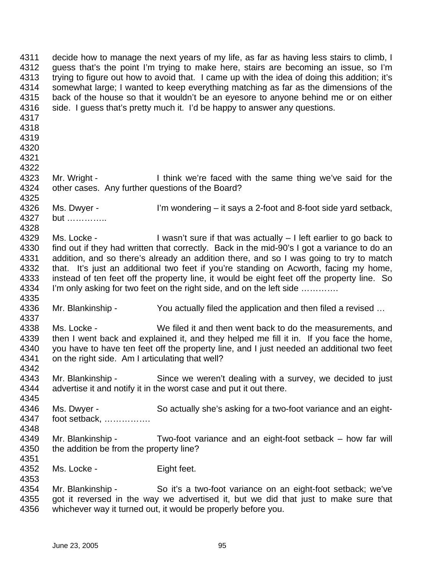4311 decide how to manage the next years of my life, as far as having less stairs to climb, I 4312 guess that's the point I'm trying to make here, stairs are becoming an issue, so I'm 4313 trying to figure out how to avoid that. I came up with the idea of doing this addition; it's 4314 somewhat large; I wanted to keep everything matching as far as the dimensions of the 4315 back of the house so that it wouldn't be an eyesore to anyone behind me or on either 4316 side. I guess that's pretty much it. I'd be happy to answer any questions. 4317 4318 4319 4320 4321 4322 4323 Mr. Wright - I think we're faced with the same thing we've said for the 4324 other cases. Any further questions of the Board? 4325 4326 Ms. Dwyer - I'm wondering – it says a 2-foot and 8-foot side yard setback, 4327 but ………….. 4328 4329 Ms. Locke - I wasn't sure if that was actually – I left earlier to go back to 4330 find out if they had written that correctly. Back in the mid-90's I got a variance to do an 4331 addition, and so there's already an addition there, and so I was going to try to match 4332 that. It's just an additional two feet if you're standing on Acworth, facing my home, 4333 instead of ten feet off the property line, it would be eight feet off the property line. So 4334 I'm only asking for two feet on the right side, and on the left side …………. 4335 4336 Mr. Blankinship - You actually filed the application and then filed a revised … 4337 4338 Ms. Locke - We filed it and then went back to do the measurements, and 4339 then I went back and explained it, and they helped me fill it in. If you face the home, 4340 you have to have ten feet off the property line, and I just needed an additional two feet 4341 on the right side. Am I articulating that well? 4342 4343 Mr. Blankinship - Since we weren't dealing with a survey, we decided to just 4344 advertise it and notify it in the worst case and put it out there. 4345 4346 Ms. Dwyer - So actually she's asking for a two-foot variance and an eight-4347 foot setback, ……………. 4348 4349 Mr. Blankinship - Two-foot variance and an eight-foot setback – how far will 4350 the addition be from the property line? 4351 4352 Ms. Locke - Eight feet. 4353 4354 Mr. Blankinship - So it's a two-foot variance on an eight-foot setback; we've 4355 got it reversed in the way we advertised it, but we did that just to make sure that 4356 whichever way it turned out, it would be properly before you.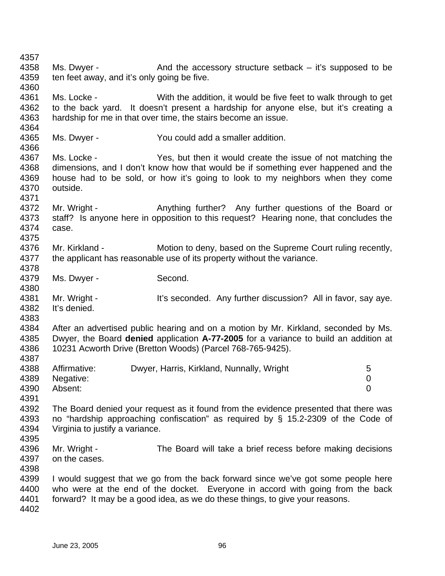4357 4358 Ms. Dwyer - And the accessory structure setback – it's supposed to be 4359 ten feet away, and it's only going be five. 4360 4361 Ms. Locke - With the addition, it would be five feet to walk through to get 4362 to the back yard. It doesn't present a hardship for anyone else, but it's creating a 4363 hardship for me in that over time, the stairs become an issue. 4364 4365 Ms. Dwyer - You could add a smaller addition. 4366 4367 Ms. Locke - Yes, but then it would create the issue of not matching the 4368 dimensions, and I don't know how that would be if something ever happened and the 4369 house had to be sold, or how it's going to look to my neighbors when they come 4370 outside. 4371 4372 Mr. Wright - Anything further? Any further questions of the Board or 4373 staff? Is anyone here in opposition to this request? Hearing none, that concludes the 4374 case. 4375 4376 Mr. Kirkland - Motion to deny, based on the Supreme Court ruling recently, 4377 the applicant has reasonable use of its property without the variance. 4378 4379 Ms. Dwyer - Second. 4380 4381 Mr. Wright - It's seconded. Any further discussion? All in favor, say aye. 4382 It's denied. 4383 4384 After an advertised public hearing and on a motion by Mr. Kirkland, seconded by Ms. 4385 Dwyer, the Board **denied** application **A-77-2005** for a variance to build an addition at 4386 10231 Acworth Drive (Bretton Woods) (Parcel 768-765-9425). 4387 4388 Affirmative: Dwyer, Harris, Kirkland, Nunnally, Wright 5 4389 Negative: 0 4390 Absent: 0 4391 4392 The Board denied your request as it found from the evidence presented that there was 4393 no "hardship approaching confiscation" as required by § 15.2-2309 of the Code of 4394 Virginia to justify a variance. 4395 4396 Mr. Wright - The Board will take a brief recess before making decisions 4397 on the cases. 4398 4399 I would suggest that we go from the back forward since we've got some people here 4400 who were at the end of the docket. Everyone in accord with going from the back 4401 forward? It may be a good idea, as we do these things, to give your reasons. 4402